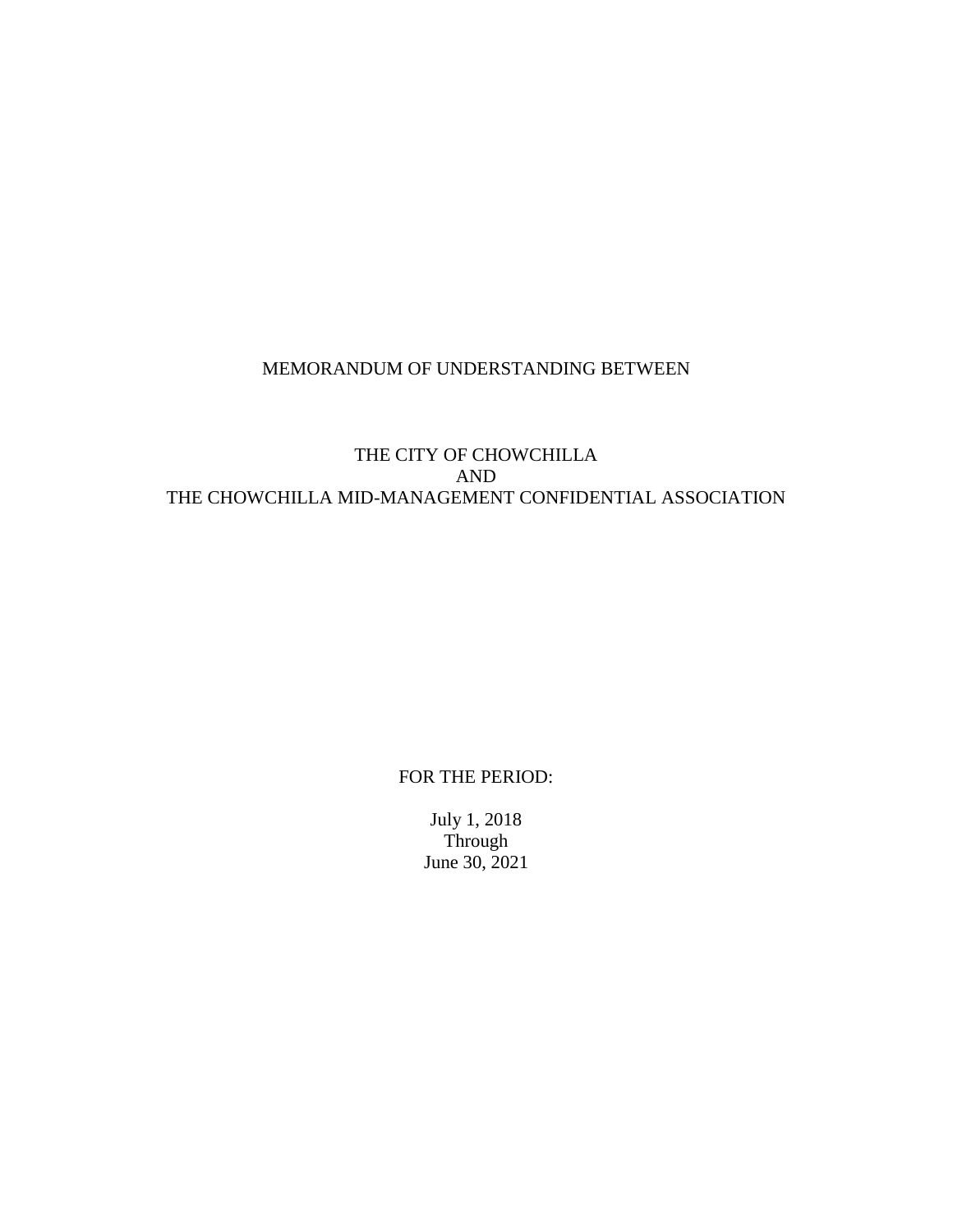#### MEMORANDUM OF UNDERSTANDING BETWEEN

### THE CITY OF CHOWCHILLA AND THE CHOWCHILLA MID-MANAGEMENT CONFIDENTIAL ASSOCIATION

#### FOR THE PERIOD:

July 1, 2018 Through June 30, 2021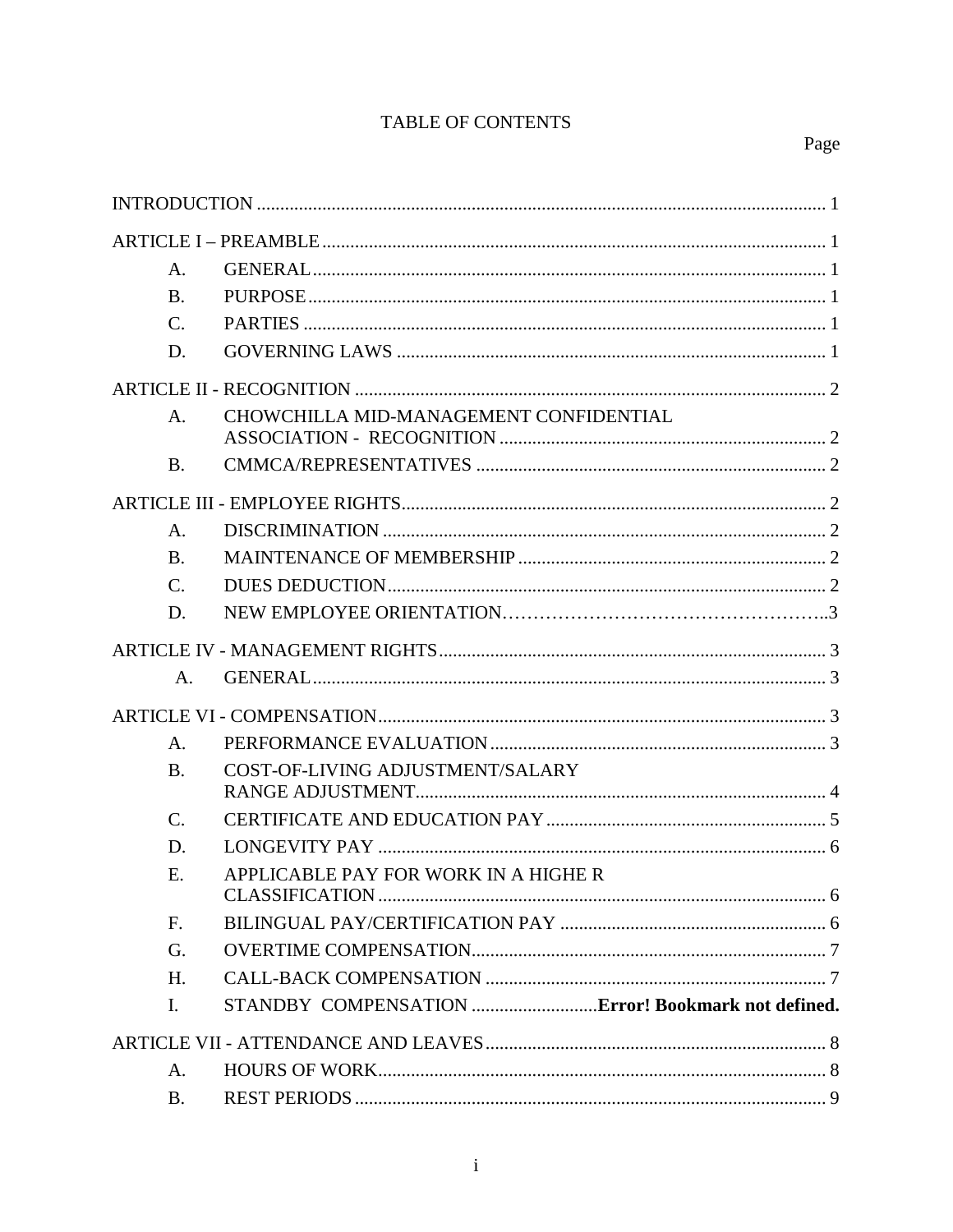# TABLE OF CONTENTS

# Page

| A.              |                                        |  |
|-----------------|----------------------------------------|--|
| <b>B.</b>       |                                        |  |
| $\mathcal{C}$ . |                                        |  |
| D.              |                                        |  |
|                 |                                        |  |
| A.              | CHOWCHILLA MID-MANAGEMENT CONFIDENTIAL |  |
| <b>B.</b>       |                                        |  |
|                 |                                        |  |
| A.              |                                        |  |
| <b>B.</b>       |                                        |  |
| $C_{\cdot}$     |                                        |  |
| D.              |                                        |  |
|                 |                                        |  |
| A.              |                                        |  |
|                 |                                        |  |
| A.              |                                        |  |
| <b>B.</b>       | COST-OF-LIVING ADJUSTMENT/SALARY       |  |
|                 |                                        |  |
| $\mathcal{C}$ . |                                        |  |
| D.              |                                        |  |
| Ε.              | APPLICABLE PAY FOR WORK IN A HIGHE R   |  |
| F.              |                                        |  |
| G.              |                                        |  |
| H.              |                                        |  |
| I.              |                                        |  |
|                 |                                        |  |
| A.              |                                        |  |
| <b>B.</b>       |                                        |  |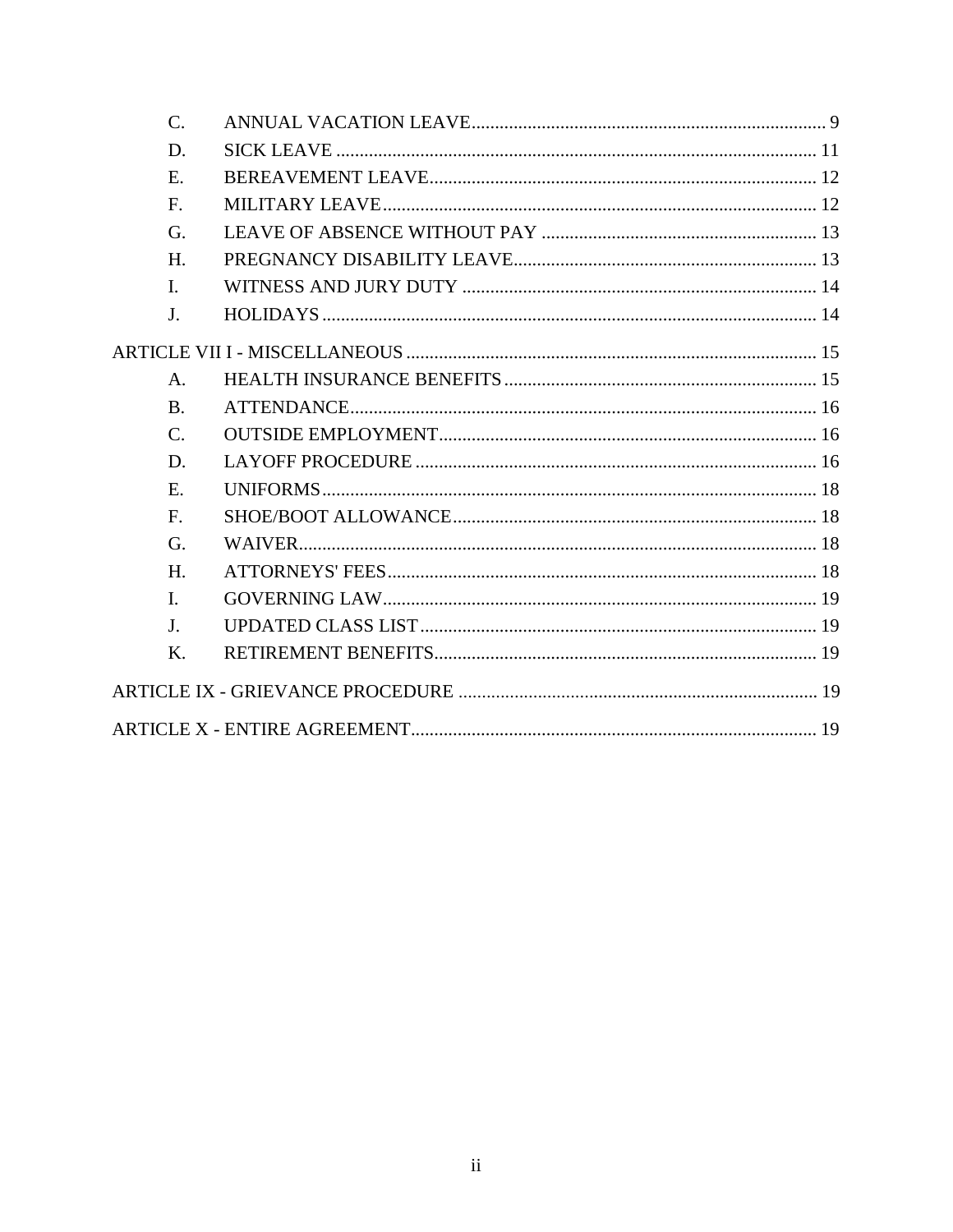| $\mathcal{C}$ . |  |
|-----------------|--|
| D.              |  |
| E.              |  |
| F.              |  |
| G.              |  |
| H.              |  |
| $\mathbf{I}$ .  |  |
| J.              |  |
|                 |  |
| $\mathsf{A}$ .  |  |
| <b>B.</b>       |  |
| $C_{\cdot}$     |  |
| D.              |  |
| E.              |  |
| F.              |  |
| G <sub>r</sub>  |  |
| H.              |  |
| $\mathbf{I}$ .  |  |
| J <sub>r</sub>  |  |
| K.              |  |
|                 |  |
|                 |  |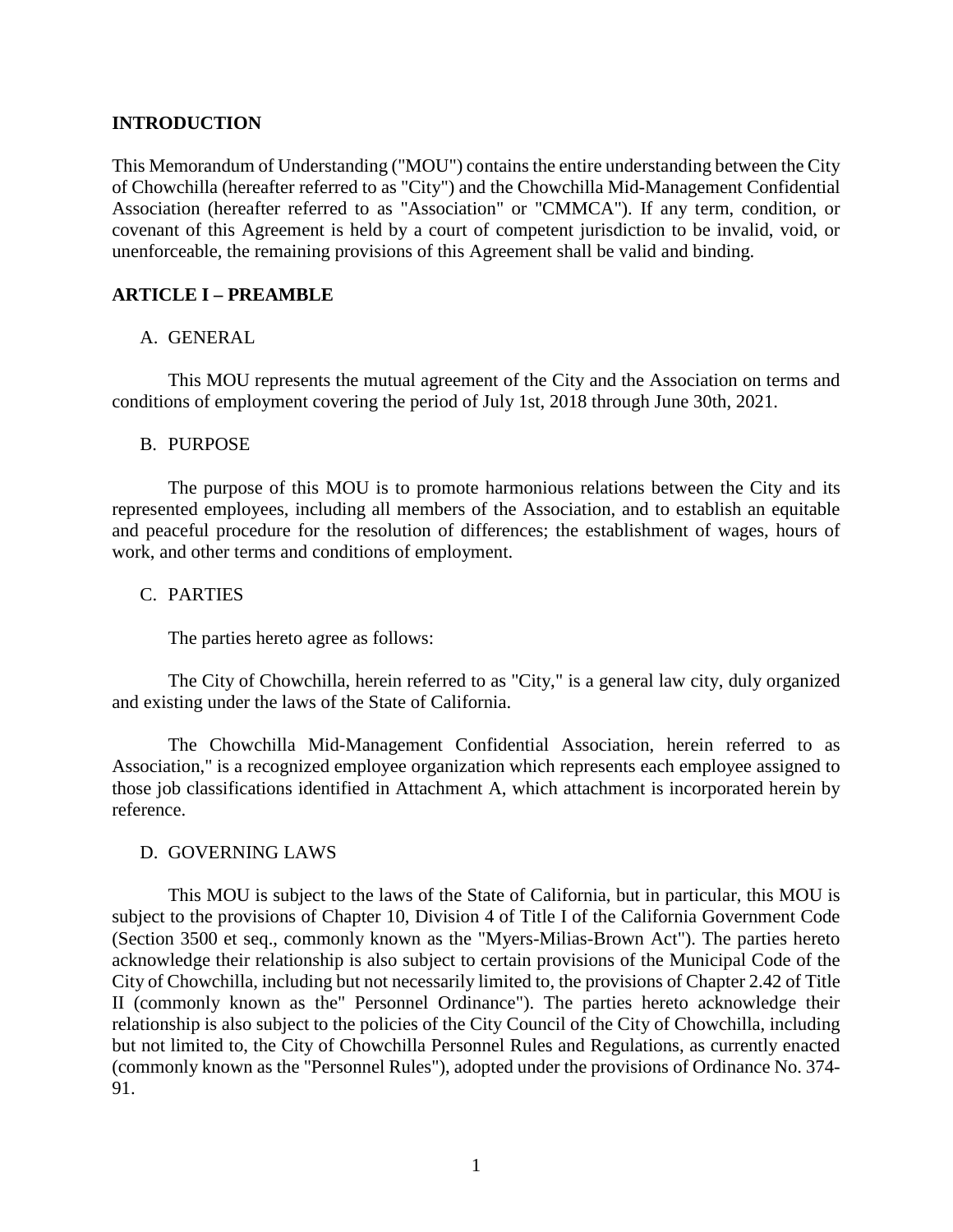#### <span id="page-3-0"></span>**INTRODUCTION**

This Memorandum of Understanding ("MOU") contains the entire understanding between the City of Chowchilla (hereafter referred to as "City") and the Chowchilla Mid-Management Confidential Association (hereafter referred to as "Association" or "CMMCA"). If any term, condition, or covenant of this Agreement is held by a court of competent jurisdiction to be invalid, void, or unenforceable, the remaining provisions of this Agreement shall be valid and binding.

#### <span id="page-3-1"></span>**ARTICLE I – PREAMBLE**

#### <span id="page-3-2"></span>A. GENERAL

This MOU represents the mutual agreement of the City and the Association on terms and conditions of employment covering the period of July 1st, 2018 through June 30th, 2021.

#### <span id="page-3-3"></span>B. PURPOSE

The purpose of this MOU is to promote harmonious relations between the City and its represented employees, including all members of the Association, and to establish an equitable and peaceful procedure for the resolution of differences; the establishment of wages, hours of work, and other terms and conditions of employment.

#### <span id="page-3-4"></span>C. PARTIES

The parties hereto agree as follows:

The City of Chowchilla, herein referred to as "City," is a general law city, duly organized and existing under the laws of the State of California.

The Chowchilla Mid-Management Confidential Association, herein referred to as Association," is a recognized employee organization which represents each employee assigned to those job classifications identified in Attachment A, which attachment is incorporated herein by reference.

#### <span id="page-3-5"></span>D. GOVERNING LAWS

This MOU is subject to the laws of the State of California, but in particular, this MOU is subject to the provisions of Chapter 10, Division 4 of Title I of the California Government Code (Section 3500 et seq., commonly known as the "Myers-Milias-Brown Act"). The parties hereto acknowledge their relationship is also subject to certain provisions of the Municipal Code of the City of Chowchilla, including but not necessarily limited to, the provisions of Chapter 2.42 of Title II (commonly known as the" Personnel Ordinance"). The parties hereto acknowledge their relationship is also subject to the policies of the City Council of the City of Chowchilla, including but not limited to, the City of Chowchilla Personnel Rules and Regulations, as currently enacted (commonly known as the "Personnel Rules"), adopted under the provisions of Ordinance No. 374- 91.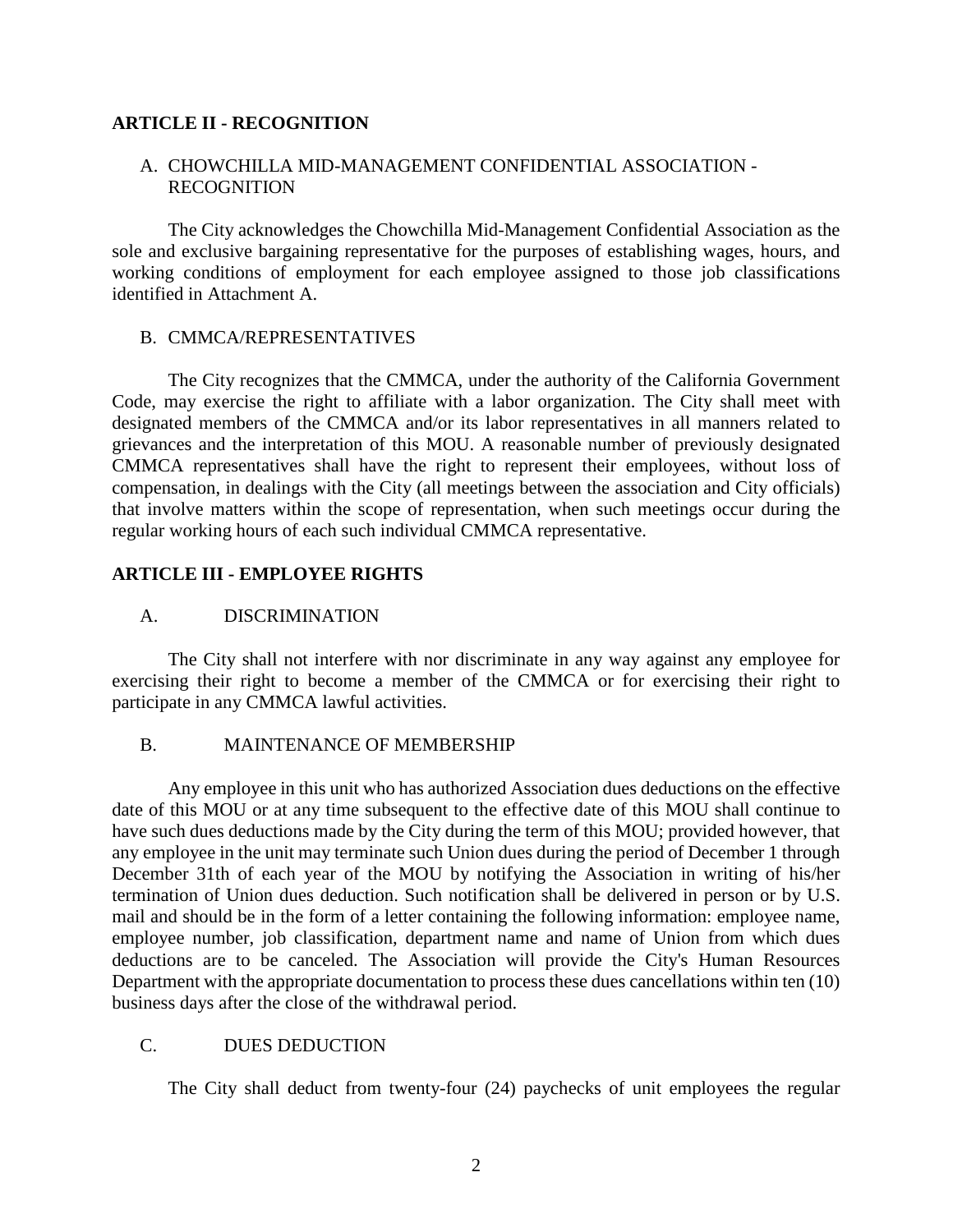#### <span id="page-4-0"></span>**ARTICLE II - RECOGNITION**

#### <span id="page-4-1"></span>A. CHOWCHILLA MID-MANAGEMENT CONFIDENTIAL ASSOCIATION - RECOGNITION

The City acknowledges the Chowchilla Mid-Management Confidential Association as the sole and exclusive bargaining representative for the purposes of establishing wages, hours, and working conditions of employment for each employee assigned to those job classifications identified in Attachment A.

#### <span id="page-4-2"></span>B. CMMCA/REPRESENTATIVES

The City recognizes that the CMMCA, under the authority of the California Government Code, may exercise the right to affiliate with a labor organization. The City shall meet with designated members of the CMMCA and/or its labor representatives in all manners related to grievances and the interpretation of this MOU. A reasonable number of previously designated CMMCA representatives shall have the right to represent their employees, without loss of compensation, in dealings with the City (all meetings between the association and City officials) that involve matters within the scope of representation, when such meetings occur during the regular working hours of each such individual CMMCA representative.

#### <span id="page-4-3"></span>**ARTICLE III - EMPLOYEE RIGHTS**

#### <span id="page-4-4"></span>A. DISCRIMINATION

The City shall not interfere with nor discriminate in any way against any employee for exercising their right to become a member of the CMMCA or for exercising their right to participate in any CMMCA lawful activities.

#### <span id="page-4-5"></span>B. MAINTENANCE OF MEMBERSHIP

Any employee in this unit who has authorized Association dues deductions on the effective date of this MOU or at any time subsequent to the effective date of this MOU shall continue to have such dues deductions made by the City during the term of this MOU; provided however, that any employee in the unit may terminate such Union dues during the period of December 1 through December 31th of each year of the MOU by notifying the Association in writing of his/her termination of Union dues deduction. Such notification shall be delivered in person or by U.S. mail and should be in the form of a letter containing the following information: employee name, employee number, job classification, department name and name of Union from which dues deductions are to be canceled. The Association will provide the City's Human Resources Department with the appropriate documentation to process these dues cancellations within ten (10) business days after the close of the withdrawal period.

#### C. DUES DEDUCTION

<span id="page-4-6"></span>The City shall deduct from twenty-four (24) paychecks of unit employees the regular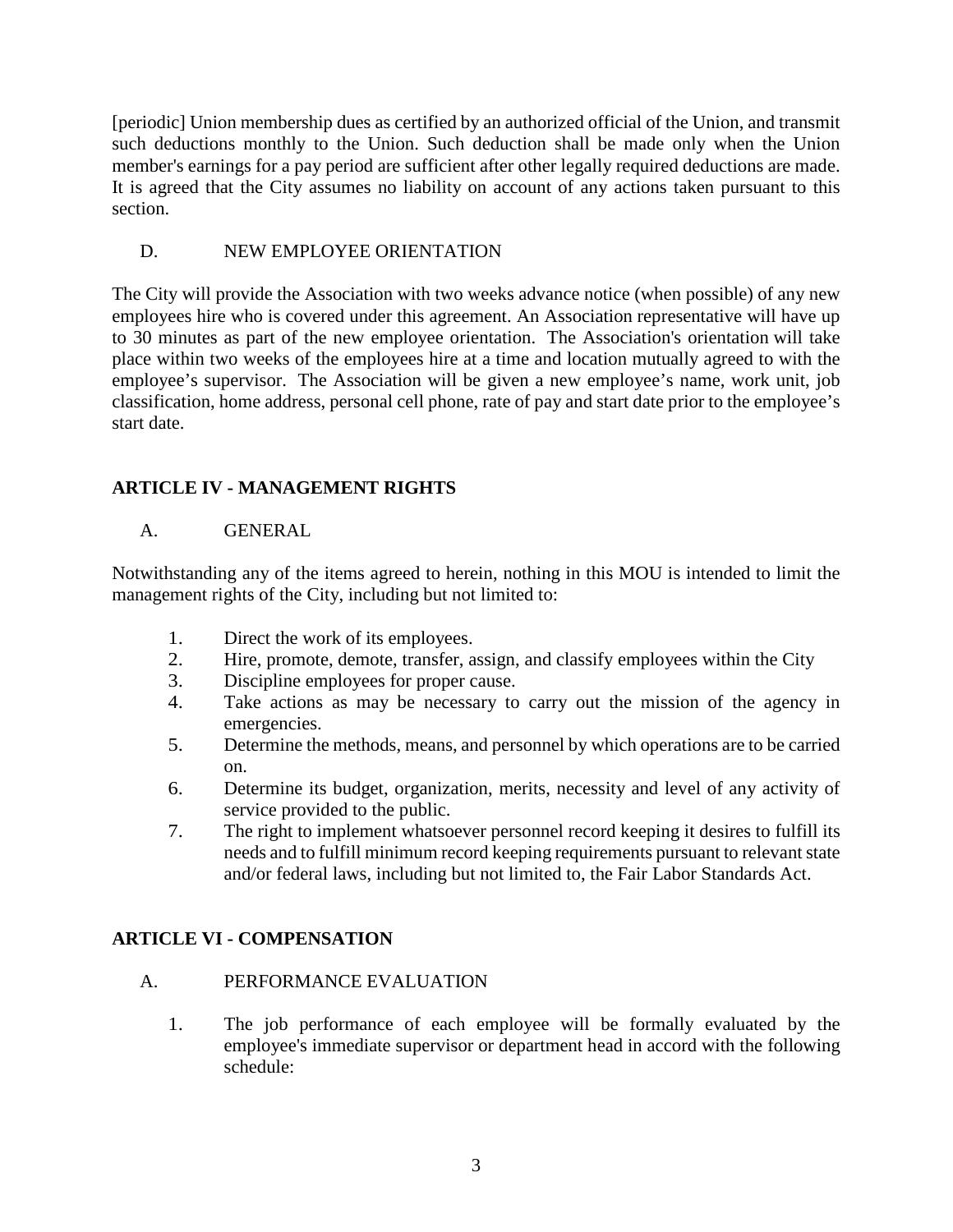[periodic] Union membership dues as certified by an authorized official of the Union, and transmit such deductions monthly to the Union. Such deduction shall be made only when the Union member's earnings for a pay period are sufficient after other legally required deductions are made. It is agreed that the City assumes no liability on account of any actions taken pursuant to this section.

#### D. NEW EMPLOYEE ORIENTATION

The City will provide the Association with two weeks advance notice (when possible) of any new employees hire who is covered under this agreement. An Association representative will have up to 30 minutes as part of the new employee orientation. The Association's orientation will take place within two weeks of the employees hire at a time and location mutually agreed to with the employee's supervisor. The Association will be given a new employee's name, work unit, job classification, home address, personal cell phone, rate of pay and start date prior to the employee's start date.

# <span id="page-5-0"></span>**ARTICLE IV - MANAGEMENT RIGHTS**

### <span id="page-5-1"></span>A. GENERAL

Notwithstanding any of the items agreed to herein, nothing in this MOU is intended to limit the management rights of the City, including but not limited to:

- 1. Direct the work of its employees.<br>2. Hire, promote, demote, transfer, a
- 2. Hire, promote, demote, transfer, assign, and classify employees within the City
- 3. Discipline employees for proper cause.
- 4. Take actions as may be necessary to carry out the mission of the agency in emergencies.
- 5. Determine the methods, means, and personnel by which operations are to be carried on.
- 6. Determine its budget, organization, merits, necessity and level of any activity of service provided to the public.
- 7. The right to implement whatsoever personnel record keeping it desires to fulfill its needs and to fulfill minimum record keeping requirements pursuant to relevant state and/or federal laws, including but not limited to, the Fair Labor Standards Act.

## <span id="page-5-2"></span>**ARTICLE VI - COMPENSATION**

#### <span id="page-5-3"></span>A. PERFORMANCE EVALUATION

1. The job performance of each employee will be formally evaluated by the employee's immediate supervisor or department head in accord with the following schedule: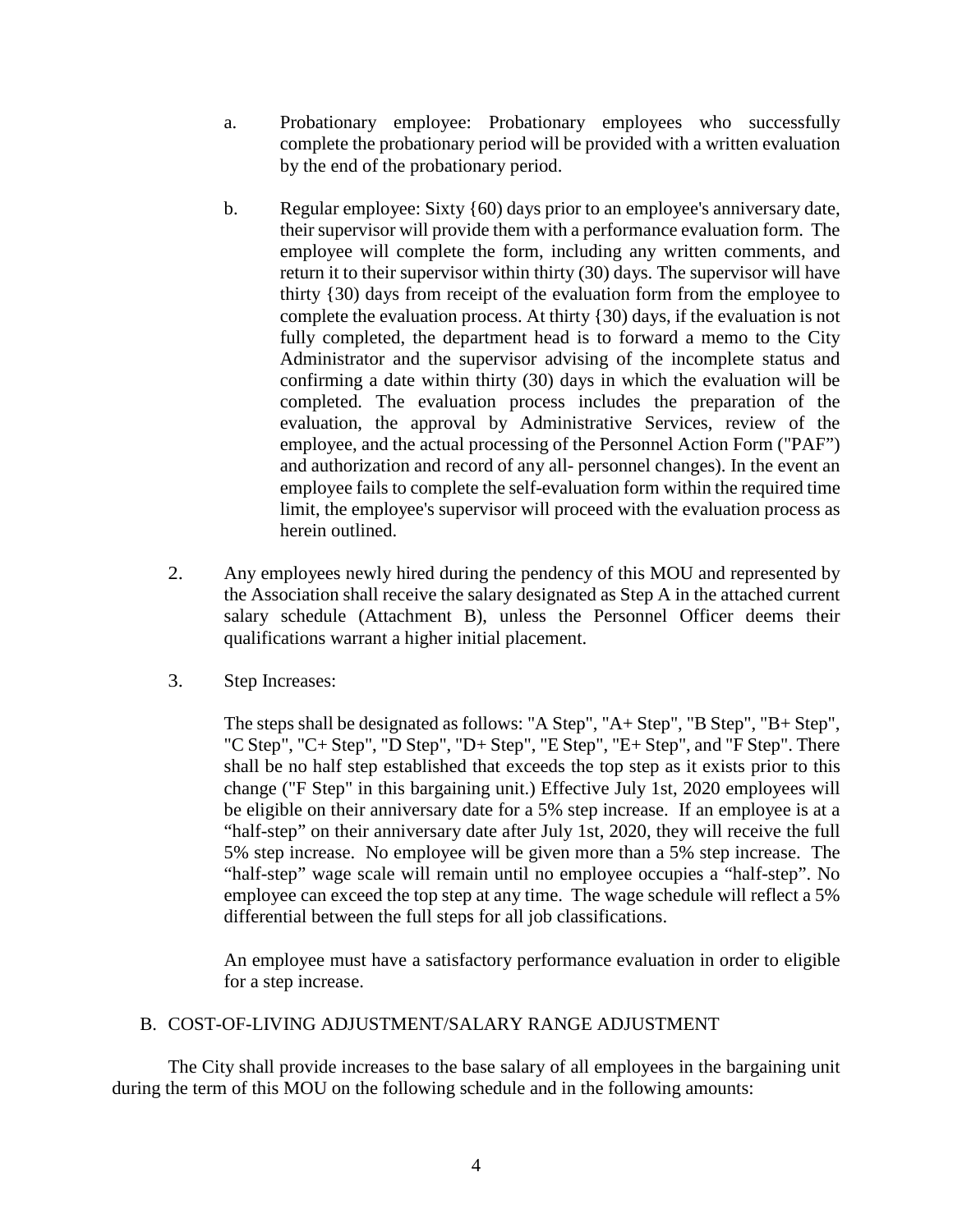- a. Probationary employee: Probationary employees who successfully complete the probationary period will be provided with a written evaluation by the end of the probationary period.
- b. Regular employee: Sixty {60) days prior to an employee's anniversary date, their supervisor will provide them with a performance evaluation form. The employee will complete the form, including any written comments, and return it to their supervisor within thirty (30) days. The supervisor will have thirty {30) days from receipt of the evaluation form from the employee to complete the evaluation process. At thirty {30) days, if the evaluation is not fully completed, the department head is to forward a memo to the City Administrator and the supervisor advising of the incomplete status and confirming a date within thirty (30) days in which the evaluation will be completed. The evaluation process includes the preparation of the evaluation, the approval by Administrative Services, review of the employee, and the actual processing of the Personnel Action Form ("PAF") and authorization and record of any all- personnel changes). In the event an employee fails to complete the self-evaluation form within the required time limit, the employee's supervisor will proceed with the evaluation process as herein outlined.
- 2. Any employees newly hired during the pendency of this MOU and represented by the Association shall receive the salary designated as Step A in the attached current salary schedule (Attachment B), unless the Personnel Officer deems their qualifications warrant a higher initial placement.
- 3. Step Increases:

The steps shall be designated as follows: "A Step", "A+ Step", "B Step", "B+ Step", "C Step", "C+ Step", "D Step", "D+ Step", "E Step", "E+ Step", and "F Step". There shall be no half step established that exceeds the top step as it exists prior to this change ("F Step" in this bargaining unit.) Effective July 1st, 2020 employees will be eligible on their anniversary date for a 5% step increase. If an employee is at a "half-step" on their anniversary date after July 1st, 2020, they will receive the full 5% step increase. No employee will be given more than a 5% step increase. The "half-step" wage scale will remain until no employee occupies a "half-step". No employee can exceed the top step at any time. The wage schedule will reflect a 5% differential between the full steps for all job classifications.

An employee must have a satisfactory performance evaluation in order to eligible for a step increase.

#### <span id="page-6-0"></span>B. COST-OF-LIVING ADJUSTMENT/SALARY RANGE ADJUSTMENT

The City shall provide increases to the base salary of all employees in the bargaining unit during the term of this MOU on the following schedule and in the following amounts: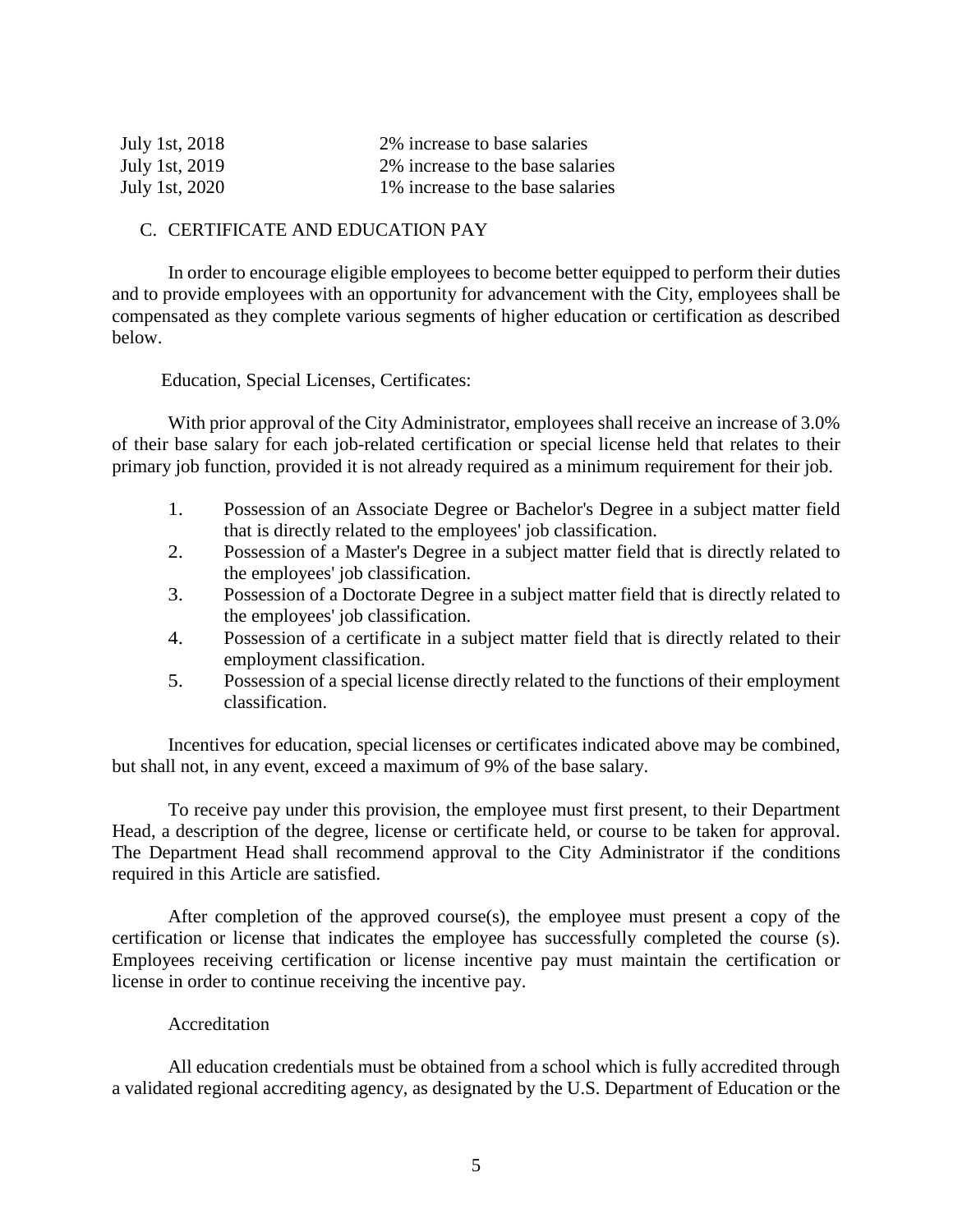| July 1st, 2018 | 2% increase to base salaries     |
|----------------|----------------------------------|
| July 1st, 2019 | 2% increase to the base salaries |
| July 1st, 2020 | 1% increase to the base salaries |

#### <span id="page-7-0"></span>C. CERTIFICATE AND EDUCATION PAY

In order to encourage eligible employees to become better equipped to perform their duties and to provide employees with an opportunity for advancement with the City, employees shall be compensated as they complete various segments of higher education or certification as described below.

Education, Special Licenses, Certificates:

With prior approval of the City Administrator, employees shall receive an increase of 3.0% of their base salary for each job-related certification or special license held that relates to their primary job function, provided it is not already required as a minimum requirement for their job.

- 1. Possession of an Associate Degree or Bachelor's Degree in a subject matter field that is directly related to the employees' job classification.
- 2. Possession of a Master's Degree in a subject matter field that is directly related to the employees' job classification.
- 3. Possession of a Doctorate Degree in a subject matter field that is directly related to the employees' job classification.
- 4. Possession of a certificate in a subject matter field that is directly related to their employment classification.
- 5. Possession of a special license directly related to the functions of their employment classification.

Incentives for education, special licenses or certificates indicated above may be combined, but shall not, in any event, exceed a maximum of 9% of the base salary.

To receive pay under this provision, the employee must first present, to their Department Head, a description of the degree, license or certificate held, or course to be taken for approval. The Department Head shall recommend approval to the City Administrator if the conditions required in this Article are satisfied.

After completion of the approved course(s), the employee must present a copy of the certification or license that indicates the employee has successfully completed the course (s). Employees receiving certification or license incentive pay must maintain the certification or license in order to continue receiving the incentive pay.

#### Accreditation

All education credentials must be obtained from a school which is fully accredited through a validated regional accrediting agency, as designated by the U.S. Department of Education or the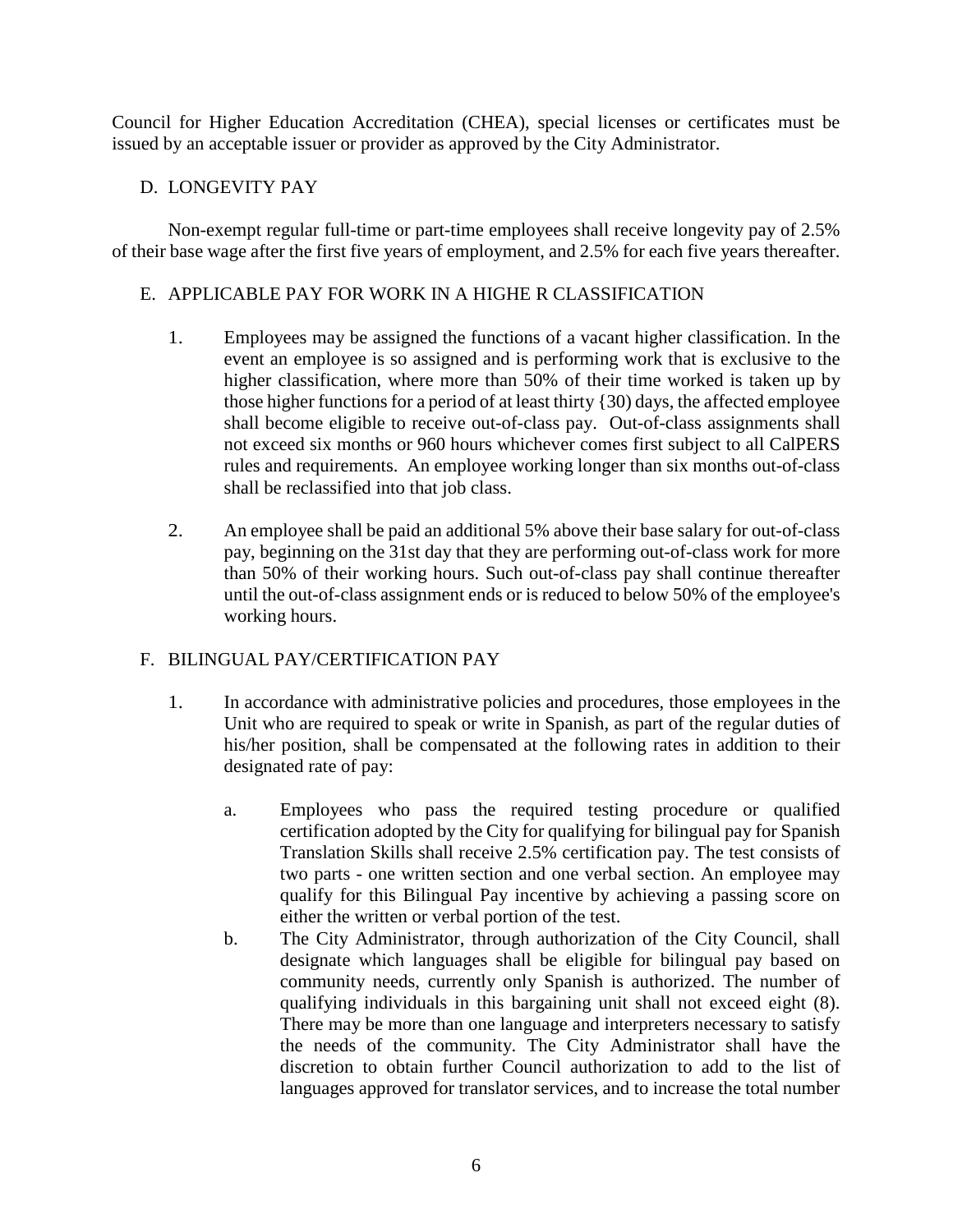Council for Higher Education Accreditation (CHEA), special licenses or certificates must be issued by an acceptable issuer or provider as approved by the City Administrator.

#### <span id="page-8-0"></span>D. LONGEVITY PAY

Non-exempt regular full-time or part-time employees shall receive longevity pay of 2.5% of their base wage after the first five years of employment, and 2.5% for each five years thereafter.

#### <span id="page-8-1"></span>E. APPLICABLE PAY FOR WORK IN A HIGHE R CLASSIFICATION

- 1. Employees may be assigned the functions of a vacant higher classification. In the event an employee is so assigned and is performing work that is exclusive to the higher classification, where more than 50% of their time worked is taken up by those higher functions for a period of at least thirty {30) days, the affected employee shall become eligible to receive out-of-class pay. Out-of-class assignments shall not exceed six months or 960 hours whichever comes first subject to all CalPERS rules and requirements. An employee working longer than six months out-of-class shall be reclassified into that job class.
- 2. An employee shall be paid an additional 5% above their base salary for out-of-class pay, beginning on the 31st day that they are performing out-of-class work for more than 50% of their working hours. Such out-of-class pay shall continue thereafter until the out-of-class assignment ends or is reduced to below 50% of the employee's working hours.

#### <span id="page-8-2"></span>F. BILINGUAL PAY/CERTIFICATION PAY

- 1. In accordance with administrative policies and procedures, those employees in the Unit who are required to speak or write in Spanish, as part of the regular duties of his/her position, shall be compensated at the following rates in addition to their designated rate of pay:
	- a. Employees who pass the required testing procedure or qualified certification adopted by the City for qualifying for bilingual pay for Spanish Translation Skills shall receive 2.5% certification pay. The test consists of two parts - one written section and one verbal section. An employee may qualify for this Bilingual Pay incentive by achieving a passing score on either the written or verbal portion of the test.
	- b. The City Administrator, through authorization of the City Council, shall designate which languages shall be eligible for bilingual pay based on community needs, currently only Spanish is authorized. The number of qualifying individuals in this bargaining unit shall not exceed eight (8). There may be more than one language and interpreters necessary to satisfy the needs of the community. The City Administrator shall have the discretion to obtain further Council authorization to add to the list of languages approved for translator services, and to increase the total number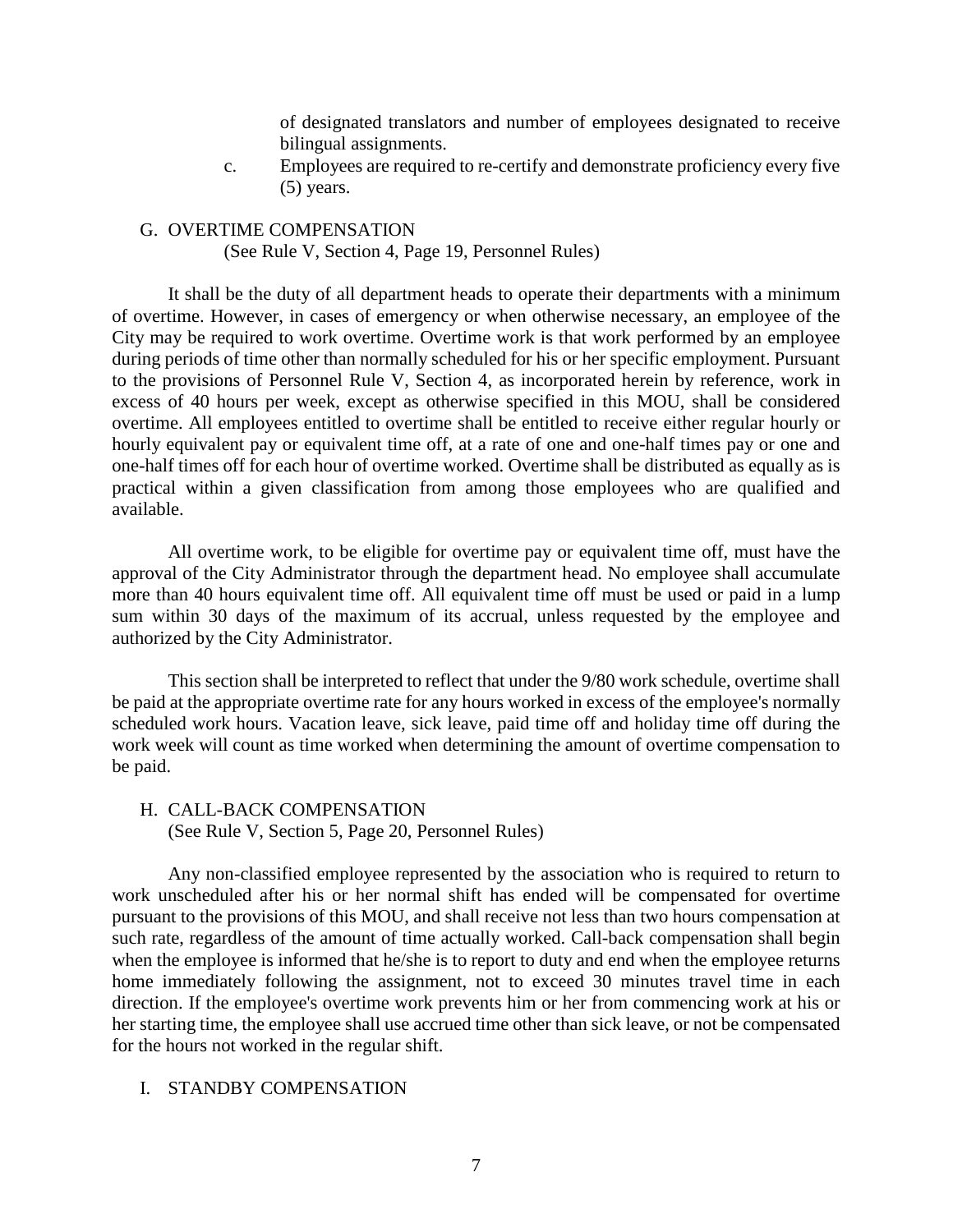of designated translators and number of employees designated to receive bilingual assignments.

c. Employees are required to re-certify and demonstrate proficiency every five (5) years.

#### <span id="page-9-0"></span>G. OVERTIME COMPENSATION

(See Rule V, Section 4, Page 19, Personnel Rules)

It shall be the duty of all department heads to operate their departments with a minimum of overtime. However, in cases of emergency or when otherwise necessary, an employee of the City may be required to work overtime. Overtime work is that work performed by an employee during periods of time other than normally scheduled for his or her specific employment. Pursuant to the provisions of Personnel Rule V, Section 4, as incorporated herein by reference, work in excess of 40 hours per week, except as otherwise specified in this MOU, shall be considered overtime. All employees entitled to overtime shall be entitled to receive either regular hourly or hourly equivalent pay or equivalent time off, at a rate of one and one-half times pay or one and one-half times off for each hour of overtime worked. Overtime shall be distributed as equally as is practical within a given classification from among those employees who are qualified and available.

All overtime work, to be eligible for overtime pay or equivalent time off, must have the approval of the City Administrator through the department head. No employee shall accumulate more than 40 hours equivalent time off. All equivalent time off must be used or paid in a lump sum within 30 days of the maximum of its accrual, unless requested by the employee and authorized by the City Administrator.

This section shall be interpreted to reflect that under the 9/80 work schedule, overtime shall be paid at the appropriate overtime rate for any hours worked in excess of the employee's normally scheduled work hours. Vacation leave, sick leave, paid time off and holiday time off during the work week will count as time worked when determining the amount of overtime compensation to be paid.

<span id="page-9-1"></span>H. CALL-BACK COMPENSATION (See Rule V, Section 5, Page 20, Personnel Rules)

Any non-classified employee represented by the association who is required to return to work unscheduled after his or her normal shift has ended will be compensated for overtime pursuant to the provisions of this MOU, and shall receive not less than two hours compensation at such rate, regardless of the amount of time actually worked. Call-back compensation shall begin when the employee is informed that he/she is to report to duty and end when the employee returns home immediately following the assignment, not to exceed 30 minutes travel time in each direction. If the employee's overtime work prevents him or her from commencing work at his or her starting time, the employee shall use accrued time other than sick leave, or not be compensated for the hours not worked in the regular shift.

#### I. STANDBY COMPENSATION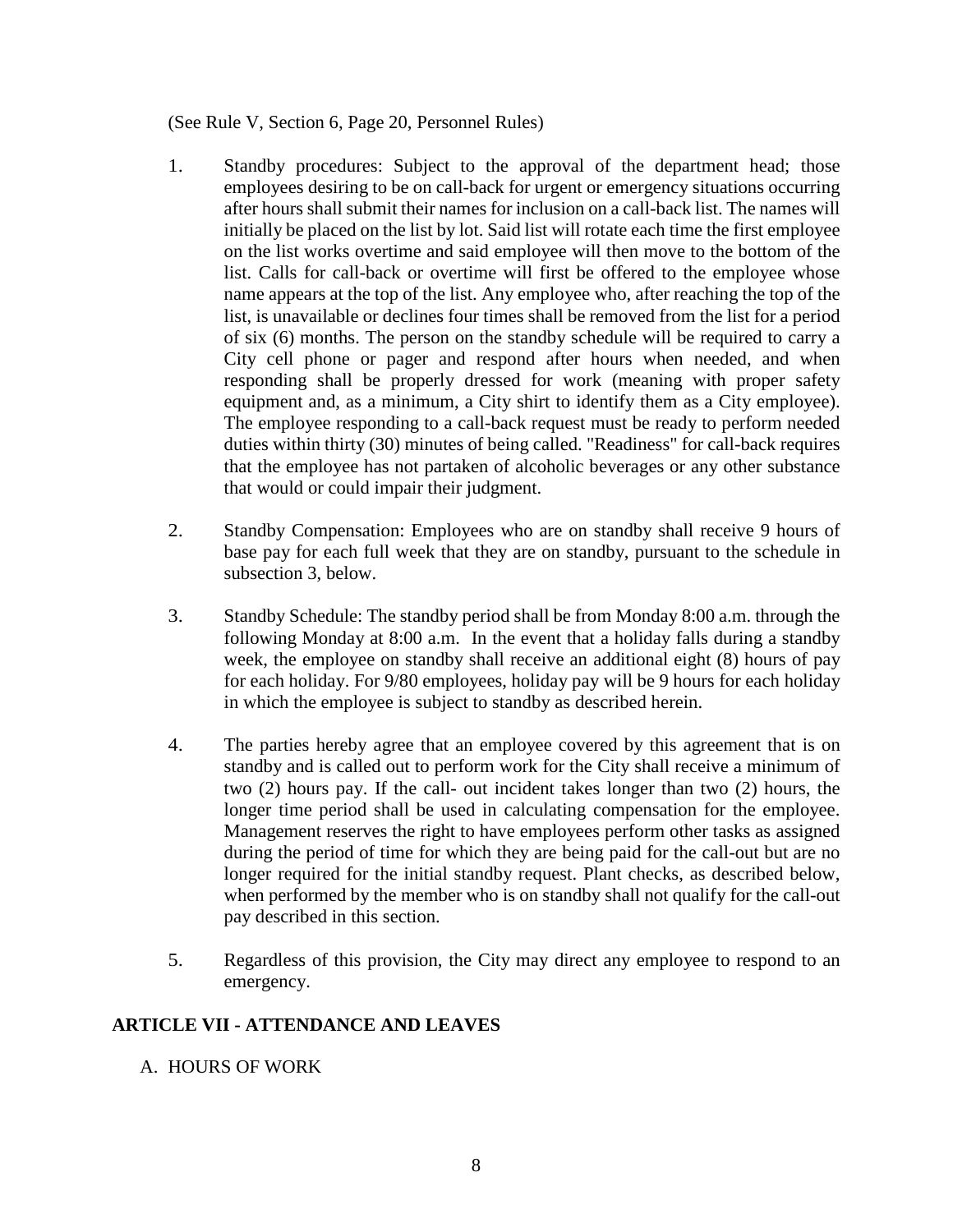(See Rule V, Section 6, Page 20, Personnel Rules)

- 1. Standby procedures: Subject to the approval of the department head; those employees desiring to be on call-back for urgent or emergency situations occurring after hours shall submit their names for inclusion on a call-back list. The names will initially be placed on the list by lot. Said list will rotate each time the first employee on the list works overtime and said employee will then move to the bottom of the list. Calls for call-back or overtime will first be offered to the employee whose name appears at the top of the list. Any employee who, after reaching the top of the list, is unavailable or declines four times shall be removed from the list for a period of six (6) months. The person on the standby schedule will be required to carry a City cell phone or pager and respond after hours when needed, and when responding shall be properly dressed for work (meaning with proper safety equipment and, as a minimum, a City shirt to identify them as a City employee). The employee responding to a call-back request must be ready to perform needed duties within thirty (30) minutes of being called. "Readiness" for call-back requires that the employee has not partaken of alcoholic beverages or any other substance that would or could impair their judgment.
- 2. Standby Compensation: Employees who are on standby shall receive 9 hours of base pay for each full week that they are on standby, pursuant to the schedule in subsection 3, below.
- 3. Standby Schedule: The standby period shall be from Monday 8:00 a.m. through the following Monday at 8:00 a.m. In the event that a holiday falls during a standby week, the employee on standby shall receive an additional eight  $(8)$  hours of pay for each holiday. For 9/80 employees, holiday pay will be 9 hours for each holiday in which the employee is subject to standby as described herein.
- 4. The parties hereby agree that an employee covered by this agreement that is on standby and is called out to perform work for the City shall receive a minimum of two (2) hours pay. If the call- out incident takes longer than two (2) hours, the longer time period shall be used in calculating compensation for the employee. Management reserves the right to have employees perform other tasks as assigned during the period of time for which they are being paid for the call-out but are no longer required for the initial standby request. Plant checks, as described below, when performed by the member who is on standby shall not qualify for the call-out pay described in this section.
- 5. Regardless of this provision, the City may direct any employee to respond to an emergency.

#### <span id="page-10-0"></span>**ARTICLE VII - ATTENDANCE AND LEAVES**

#### <span id="page-10-1"></span>A. HOURS OF WORK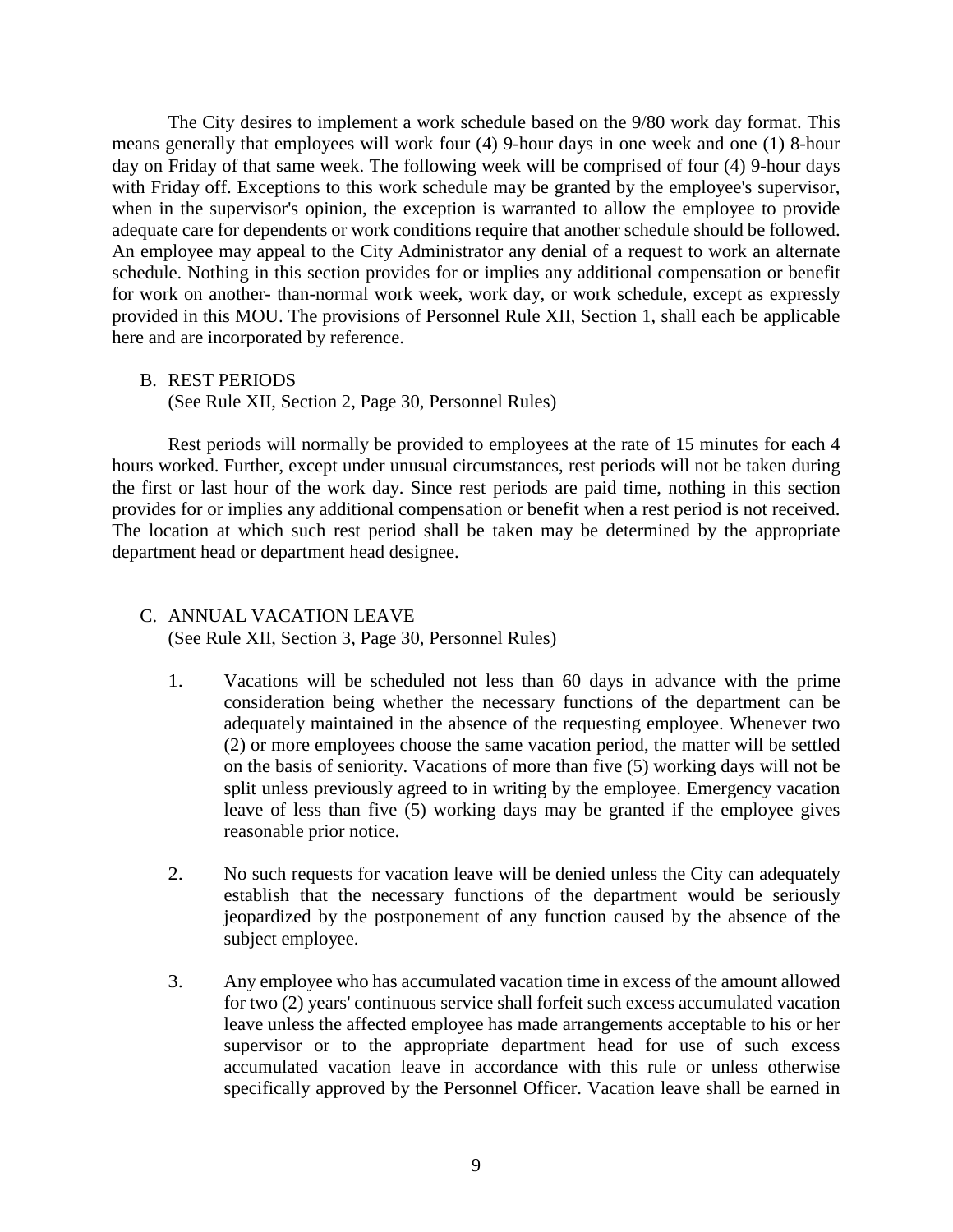The City desires to implement a work schedule based on the 9/80 work day format. This means generally that employees will work four (4) 9-hour days in one week and one (1) 8-hour day on Friday of that same week. The following week will be comprised of four (4) 9-hour days with Friday off. Exceptions to this work schedule may be granted by the employee's supervisor, when in the supervisor's opinion, the exception is warranted to allow the employee to provide adequate care for dependents or work conditions require that another schedule should be followed. An employee may appeal to the City Administrator any denial of a request to work an alternate schedule. Nothing in this section provides for or implies any additional compensation or benefit for work on another- than-normal work week, work day, or work schedule, except as expressly provided in this MOU. The provisions of Personnel Rule XII, Section 1, shall each be applicable here and are incorporated by reference.

<span id="page-11-0"></span>B. REST PERIODS

(See Rule XII, Section 2, Page 30, Personnel Rules)

Rest periods will normally be provided to employees at the rate of 15 minutes for each 4 hours worked. Further, except under unusual circumstances, rest periods will not be taken during the first or last hour of the work day. Since rest periods are paid time, nothing in this section provides for or implies any additional compensation or benefit when a rest period is not received. The location at which such rest period shall be taken may be determined by the appropriate department head or department head designee.

#### <span id="page-11-1"></span>C. ANNUAL VACATION LEAVE (See Rule XII, Section 3, Page 30, Personnel Rules)

- 1. Vacations will be scheduled not less than 60 days in advance with the prime consideration being whether the necessary functions of the department can be adequately maintained in the absence of the requesting employee. Whenever two (2) or more employees choose the same vacation period, the matter will be settled on the basis of seniority. Vacations of more than five (5) working days will not be split unless previously agreed to in writing by the employee. Emergency vacation leave of less than five (5) working days may be granted if the employee gives reasonable prior notice.
- 2. No such requests for vacation leave will be denied unless the City can adequately establish that the necessary functions of the department would be seriously jeopardized by the postponement of any function caused by the absence of the subject employee.
- 3. Any employee who has accumulated vacation time in excess of the amount allowed for two (2) years' continuous service shall forfeit such excess accumulated vacation leave unless the affected employee has made arrangements acceptable to his or her supervisor or to the appropriate department head for use of such excess accumulated vacation leave in accordance with this rule or unless otherwise specifically approved by the Personnel Officer. Vacation leave shall be earned in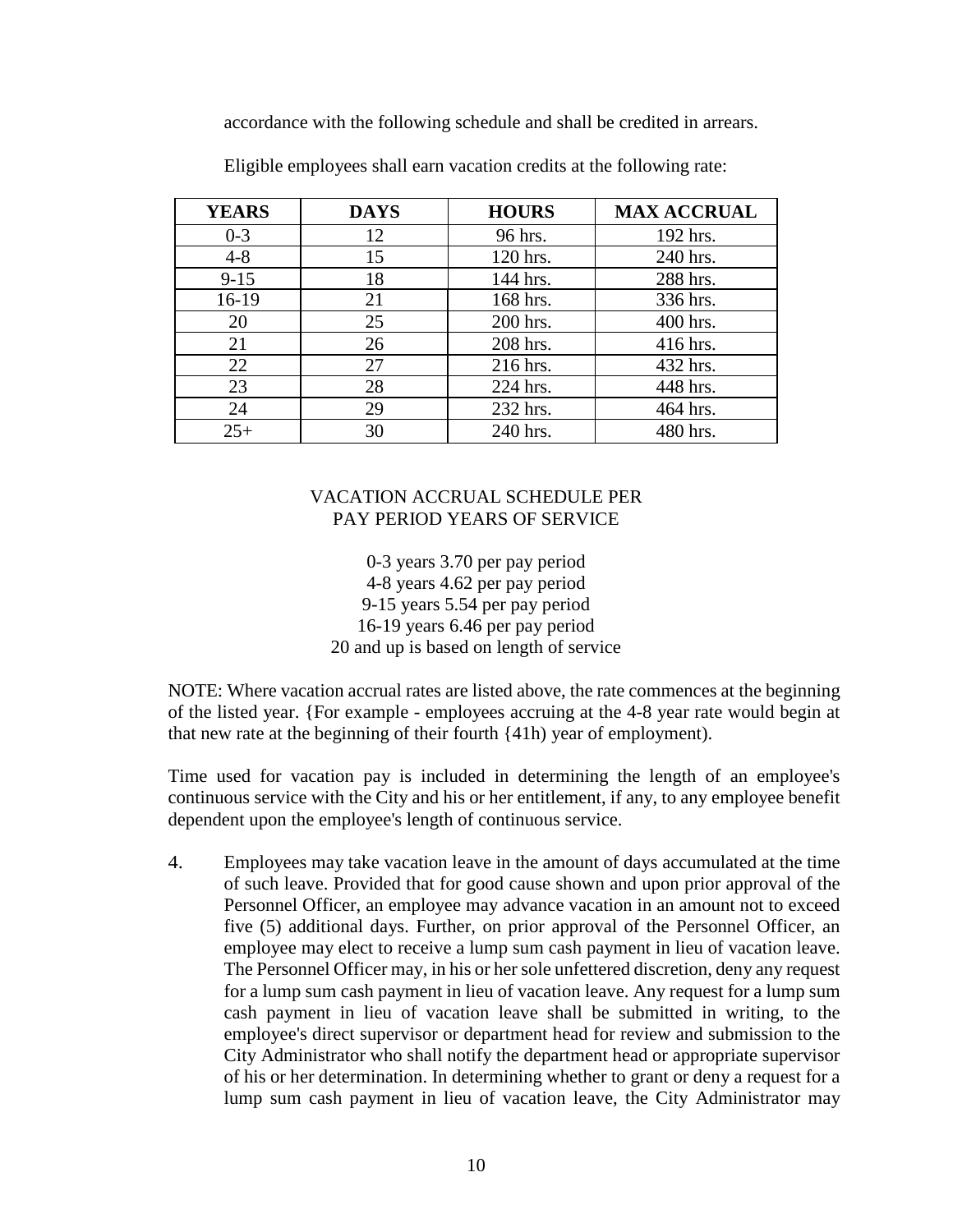accordance with the following schedule and shall be credited in arrears.

| <b>YEARS</b> | <b>DAYS</b> | <b>HOURS</b> | <b>MAX ACCRUAL</b> |
|--------------|-------------|--------------|--------------------|
| $0 - 3$      | 12          | 96 hrs.      | 192 hrs.           |
| $4 - 8$      | 15          | 120 hrs.     | 240 hrs.           |
| $9 - 15$     | 18          | 144 hrs.     | 288 hrs.           |
| 16-19        | 21          | 168 hrs.     | 336 hrs.           |
| 20           | 25          | 200 hrs.     | 400 hrs.           |
| 21           | 26          | 208 hrs.     | 416 hrs.           |
| 22           | 27          | 216 hrs.     | 432 hrs.           |
| 23           | 28          | 224 hrs.     | 448 hrs.           |
| 24           | 29          | 232 hrs.     | 464 hrs.           |
| $25+$        | 30          | 240 hrs.     | 480 hrs.           |

Eligible employees shall earn vacation credits at the following rate:

#### VACATION ACCRUAL SCHEDULE PER PAY PERIOD YEARS OF SERVICE

0-3 years 3.70 per pay period 4-8 years 4.62 per pay period 9-15 years 5.54 per pay period 16-19 years 6.46 per pay period 20 and up is based on length of service

NOTE: Where vacation accrual rates are listed above, the rate commences at the beginning of the listed year. {For example - employees accruing at the 4-8 year rate would begin at that new rate at the beginning of their fourth {41h) year of employment).

Time used for vacation pay is included in determining the length of an employee's continuous service with the City and his or her entitlement, if any, to any employee benefit dependent upon the employee's length of continuous service.

4. Employees may take vacation leave in the amount of days accumulated at the time of such leave. Provided that for good cause shown and upon prior approval of the Personnel Officer, an employee may advance vacation in an amount not to exceed five (5) additional days. Further, on prior approval of the Personnel Officer, an employee may elect to receive a lump sum cash payment in lieu of vacation leave. The Personnel Officer may, in his or her sole unfettered discretion, deny any request for a lump sum cash payment in lieu of vacation leave. Any request for a lump sum cash payment in lieu of vacation leave shall be submitted in writing, to the employee's direct supervisor or department head for review and submission to the City Administrator who shall notify the department head or appropriate supervisor of his or her determination. In determining whether to grant or deny a request for a lump sum cash payment in lieu of vacation leave, the City Administrator may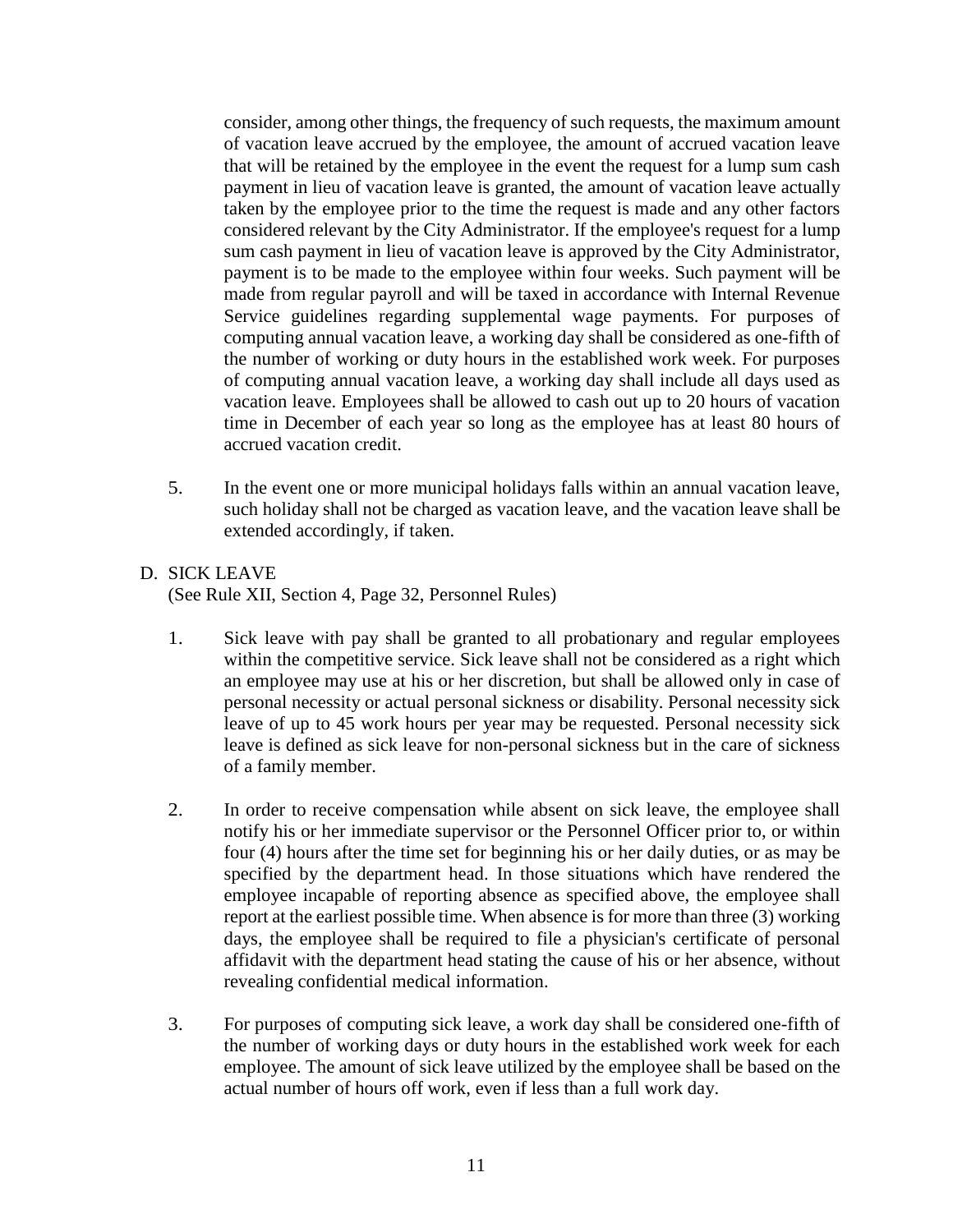consider, among other things, the frequency of such requests, the maximum amount of vacation leave accrued by the employee, the amount of accrued vacation leave that will be retained by the employee in the event the request for a lump sum cash payment in lieu of vacation leave is granted, the amount of vacation leave actually taken by the employee prior to the time the request is made and any other factors considered relevant by the City Administrator. If the employee's request for a lump sum cash payment in lieu of vacation leave is approved by the City Administrator, payment is to be made to the employee within four weeks. Such payment will be made from regular payroll and will be taxed in accordance with Internal Revenue Service guidelines regarding supplemental wage payments. For purposes of computing annual vacation leave, a working day shall be considered as one-fifth of the number of working or duty hours in the established work week. For purposes of computing annual vacation leave, a working day shall include all days used as vacation leave. Employees shall be allowed to cash out up to 20 hours of vacation time in December of each year so long as the employee has at least 80 hours of accrued vacation credit.

- 5. In the event one or more municipal holidays falls within an annual vacation leave, such holiday shall not be charged as vacation leave, and the vacation leave shall be extended accordingly, if taken.
- <span id="page-13-0"></span>D. SICK LEAVE

(See Rule XII, Section 4, Page 32, Personnel Rules)

- 1. Sick leave with pay shall be granted to all probationary and regular employees within the competitive service. Sick leave shall not be considered as a right which an employee may use at his or her discretion, but shall be allowed only in case of personal necessity or actual personal sickness or disability. Personal necessity sick leave of up to 45 work hours per year may be requested. Personal necessity sick leave is defined as sick leave for non-personal sickness but in the care of sickness of a family member.
- 2. In order to receive compensation while absent on sick leave, the employee shall notify his or her immediate supervisor or the Personnel Officer prior to, or within four (4) hours after the time set for beginning his or her daily duties, or as may be specified by the department head. In those situations which have rendered the employee incapable of reporting absence as specified above, the employee shall report at the earliest possible time. When absence is for more than three (3) working days, the employee shall be required to file a physician's certificate of personal affidavit with the department head stating the cause of his or her absence, without revealing confidential medical information.
- 3. For purposes of computing sick leave, a work day shall be considered one-fifth of the number of working days or duty hours in the established work week for each employee. The amount of sick leave utilized by the employee shall be based on the actual number of hours off work, even if less than a full work day.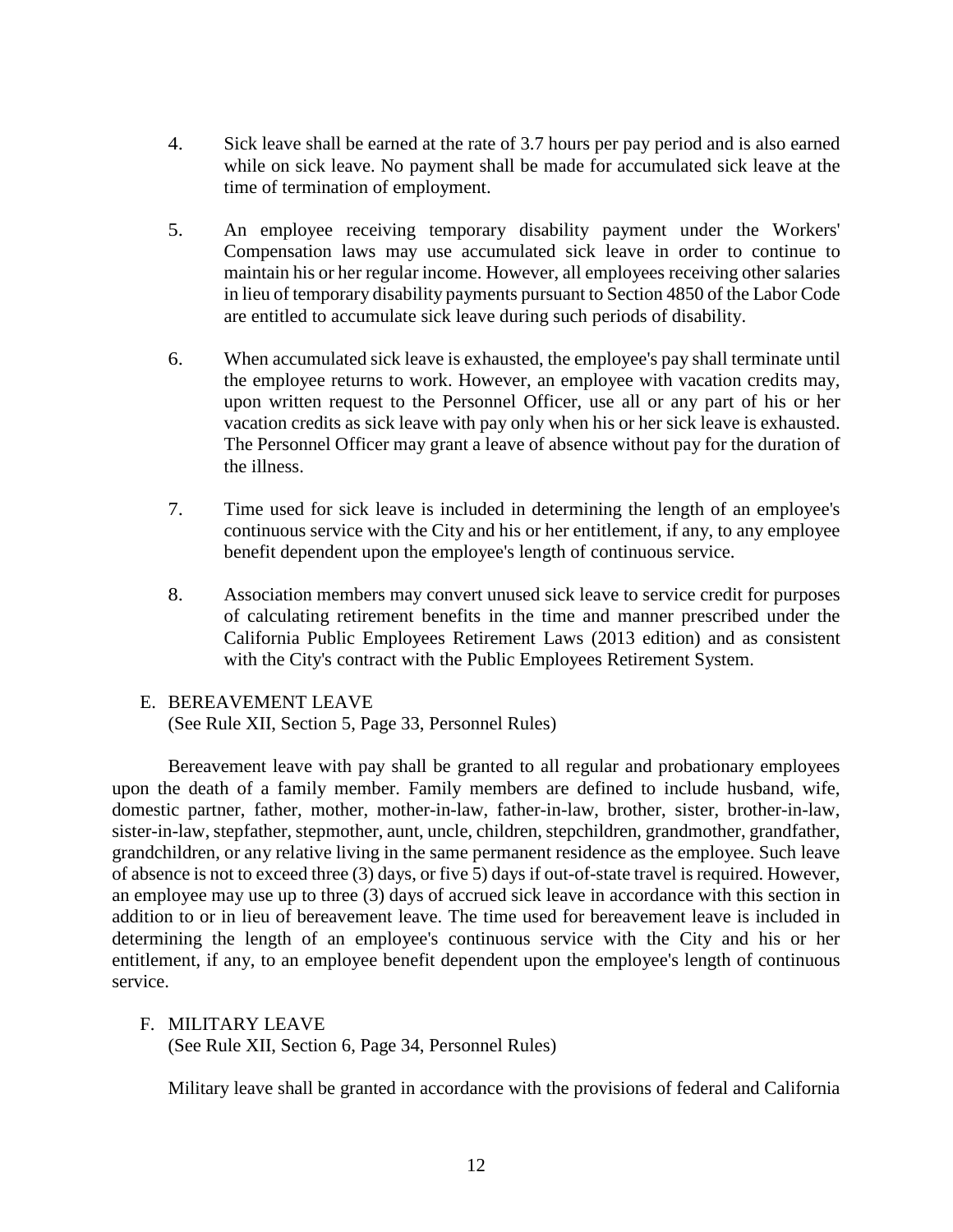- 4. Sick leave shall be earned at the rate of 3.7 hours per pay period and is also earned while on sick leave. No payment shall be made for accumulated sick leave at the time of termination of employment.
- 5. An employee receiving temporary disability payment under the Workers' Compensation laws may use accumulated sick leave in order to continue to maintain his or her regular income. However, all employees receiving other salaries in lieu of temporary disability payments pursuant to Section 4850 of the Labor Code are entitled to accumulate sick leave during such periods of disability.
- 6. When accumulated sick leave is exhausted, the employee's pay shall terminate until the employee returns to work. However, an employee with vacation credits may, upon written request to the Personnel Officer, use all or any part of his or her vacation credits as sick leave with pay only when his or her sick leave is exhausted. The Personnel Officer may grant a leave of absence without pay for the duration of the illness.
- 7. Time used for sick leave is included in determining the length of an employee's continuous service with the City and his or her entitlement, if any, to any employee benefit dependent upon the employee's length of continuous service.
- 8. Association members may convert unused sick leave to service credit for purposes of calculating retirement benefits in the time and manner prescribed under the California Public Employees Retirement Laws (2013 edition) and as consistent with the City's contract with the Public Employees Retirement System.

## <span id="page-14-0"></span>E. BEREAVEMENT LEAVE

(See Rule XII, Section 5, Page 33, Personnel Rules)

Bereavement leave with pay shall be granted to all regular and probationary employees upon the death of a family member. Family members are defined to include husband, wife, domestic partner, father, mother, mother-in-law, father-in-law, brother, sister, brother-in-law, sister-in-law, stepfather, stepmother, aunt, uncle, children, stepchildren, grandmother, grandfather, grandchildren, or any relative living in the same permanent residence as the employee. Such leave of absence is not to exceed three (3) days, or five 5) days if out-of-state travel is required. However, an employee may use up to three (3) days of accrued sick leave in accordance with this section in addition to or in lieu of bereavement leave. The time used for bereavement leave is included in determining the length of an employee's continuous service with the City and his or her entitlement, if any, to an employee benefit dependent upon the employee's length of continuous service.

#### <span id="page-14-1"></span>F. MILITARY LEAVE

(See Rule XII, Section 6, Page 34, Personnel Rules)

Military leave shall be granted in accordance with the provisions of federal and California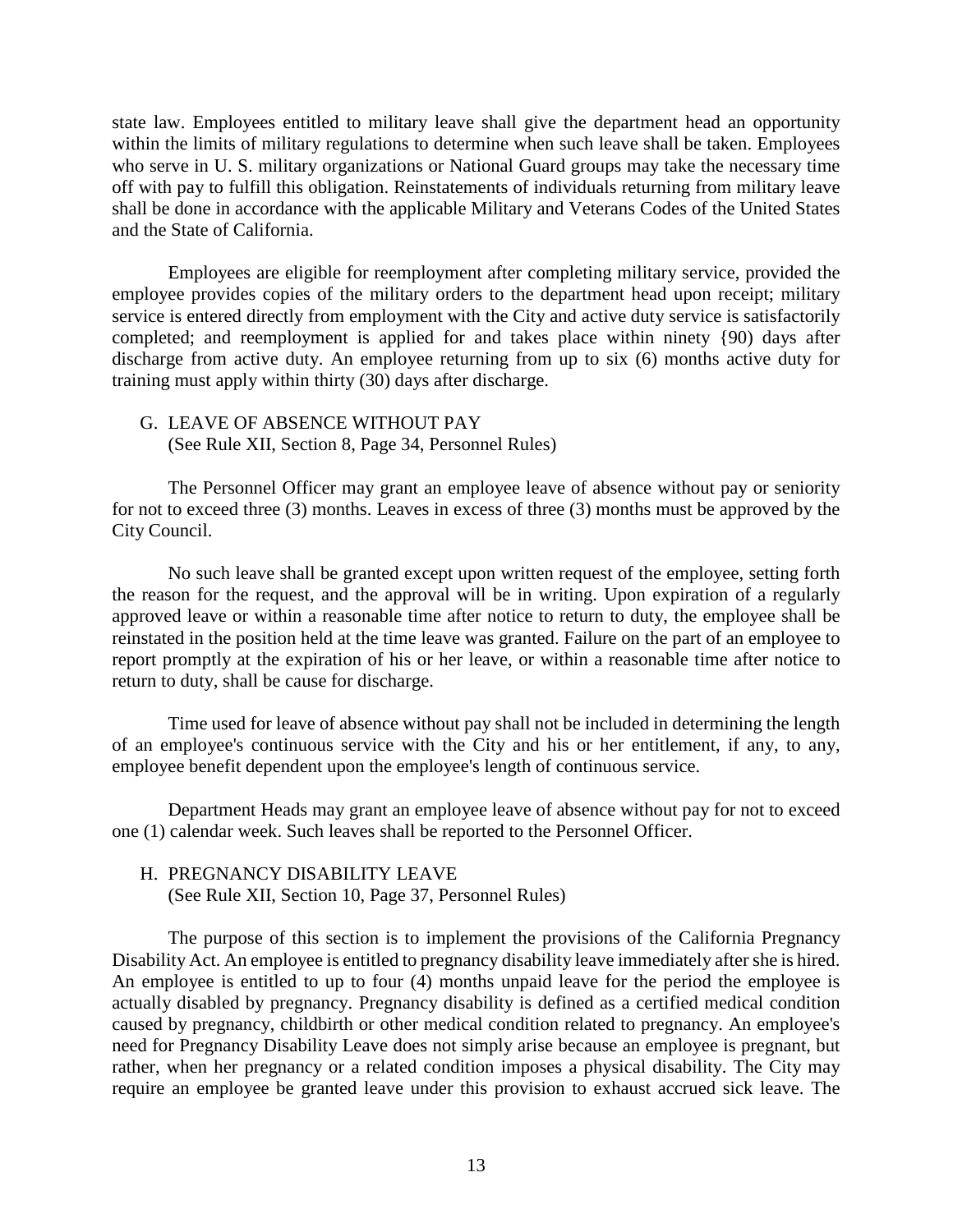state law. Employees entitled to military leave shall give the department head an opportunity within the limits of military regulations to determine when such leave shall be taken. Employees who serve in U. S. military organizations or National Guard groups may take the necessary time off with pay to fulfill this obligation. Reinstatements of individuals returning from military leave shall be done in accordance with the applicable Military and Veterans Codes of the United States and the State of California.

Employees are eligible for reemployment after completing military service, provided the employee provides copies of the military orders to the department head upon receipt; military service is entered directly from employment with the City and active duty service is satisfactorily completed; and reemployment is applied for and takes place within ninety {90) days after discharge from active duty. An employee returning from up to six (6) months active duty for training must apply within thirty (30) days after discharge.

#### <span id="page-15-0"></span>G. LEAVE OF ABSENCE WITHOUT PAY (See Rule XII, Section 8, Page 34, Personnel Rules)

The Personnel Officer may grant an employee leave of absence without pay or seniority for not to exceed three (3) months. Leaves in excess of three (3) months must be approved by the City Council.

No such leave shall be granted except upon written request of the employee, setting forth the reason for the request, and the approval will be in writing. Upon expiration of a regularly approved leave or within a reasonable time after notice to return to duty, the employee shall be reinstated in the position held at the time leave was granted. Failure on the part of an employee to report promptly at the expiration of his or her leave, or within a reasonable time after notice to return to duty, shall be cause for discharge.

Time used for leave of absence without pay shall not be included in determining the length of an employee's continuous service with the City and his or her entitlement, if any, to any, employee benefit dependent upon the employee's length of continuous service.

Department Heads may grant an employee leave of absence without pay for not to exceed one (1) calendar week. Such leaves shall be reported to the Personnel Officer.

# <span id="page-15-1"></span>H. PREGNANCY DISABILITY LEAVE

(See Rule XII, Section 10, Page 37, Personnel Rules)

The purpose of this section is to implement the provisions of the California Pregnancy Disability Act. An employee is entitled to pregnancy disability leave immediately after she is hired. An employee is entitled to up to four (4) months unpaid leave for the period the employee is actually disabled by pregnancy. Pregnancy disability is defined as a certified medical condition caused by pregnancy, childbirth or other medical condition related to pregnancy. An employee's need for Pregnancy Disability Leave does not simply arise because an employee is pregnant, but rather, when her pregnancy or a related condition imposes a physical disability. The City may require an employee be granted leave under this provision to exhaust accrued sick leave. The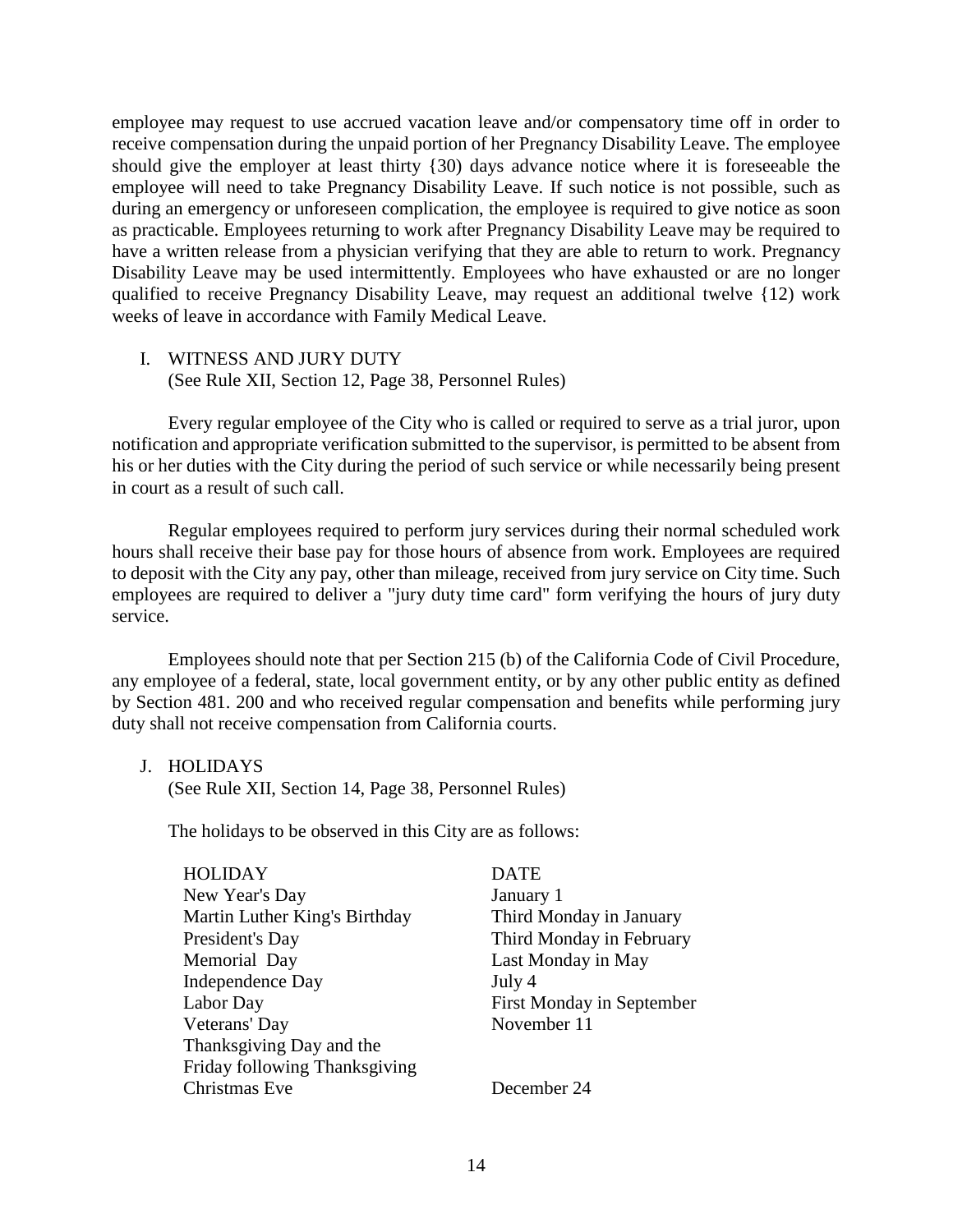employee may request to use accrued vacation leave and/or compensatory time off in order to receive compensation during the unpaid portion of her Pregnancy Disability Leave. The employee should give the employer at least thirty {30) days advance notice where it is foreseeable the employee will need to take Pregnancy Disability Leave. If such notice is not possible, such as during an emergency or unforeseen complication, the employee is required to give notice as soon as practicable. Employees returning to work after Pregnancy Disability Leave may be required to have a written release from a physician verifying that they are able to return to work. Pregnancy Disability Leave may be used intermittently. Employees who have exhausted or are no longer qualified to receive Pregnancy Disability Leave, may request an additional twelve {12) work weeks of leave in accordance with Family Medical Leave.

<span id="page-16-0"></span>I. WITNESS AND JURY DUTY

(See Rule XII, Section 12, Page 38, Personnel Rules)

Every regular employee of the City who is called or required to serve as a trial juror, upon notification and appropriate verification submitted to the supervisor, is permitted to be absent from his or her duties with the City during the period of such service or while necessarily being present in court as a result of such call.

Regular employees required to perform jury services during their normal scheduled work hours shall receive their base pay for those hours of absence from work. Employees are required to deposit with the City any pay, other than mileage, received from jury service on City time. Such employees are required to deliver a "jury duty time card" form verifying the hours of jury duty service.

Employees should note that per Section 215 (b) of the California Code of Civil Procedure, any employee of a federal, state, local government entity, or by any other public entity as defined by Section 481. 200 and who received regular compensation and benefits while performing jury duty shall not receive compensation from California courts.

<span id="page-16-1"></span>J. HOLIDAYS

(See Rule XII, Section 14, Page 38, Personnel Rules)

The holidays to be observed in this City are as follows:

| <b>HOLIDAY</b>                | <b>DATE</b>               |
|-------------------------------|---------------------------|
| New Year's Day                | January 1                 |
| Martin Luther King's Birthday | Third Monday in January   |
| President's Day               | Third Monday in February  |
| Memorial Day                  | Last Monday in May        |
| Independence Day              | July 4                    |
| Labor Day                     | First Monday in September |
| Veterans' Day                 | November 11               |
| Thanksgiving Day and the      |                           |
| Friday following Thanksgiving |                           |
| Christmas Eve                 | December 24               |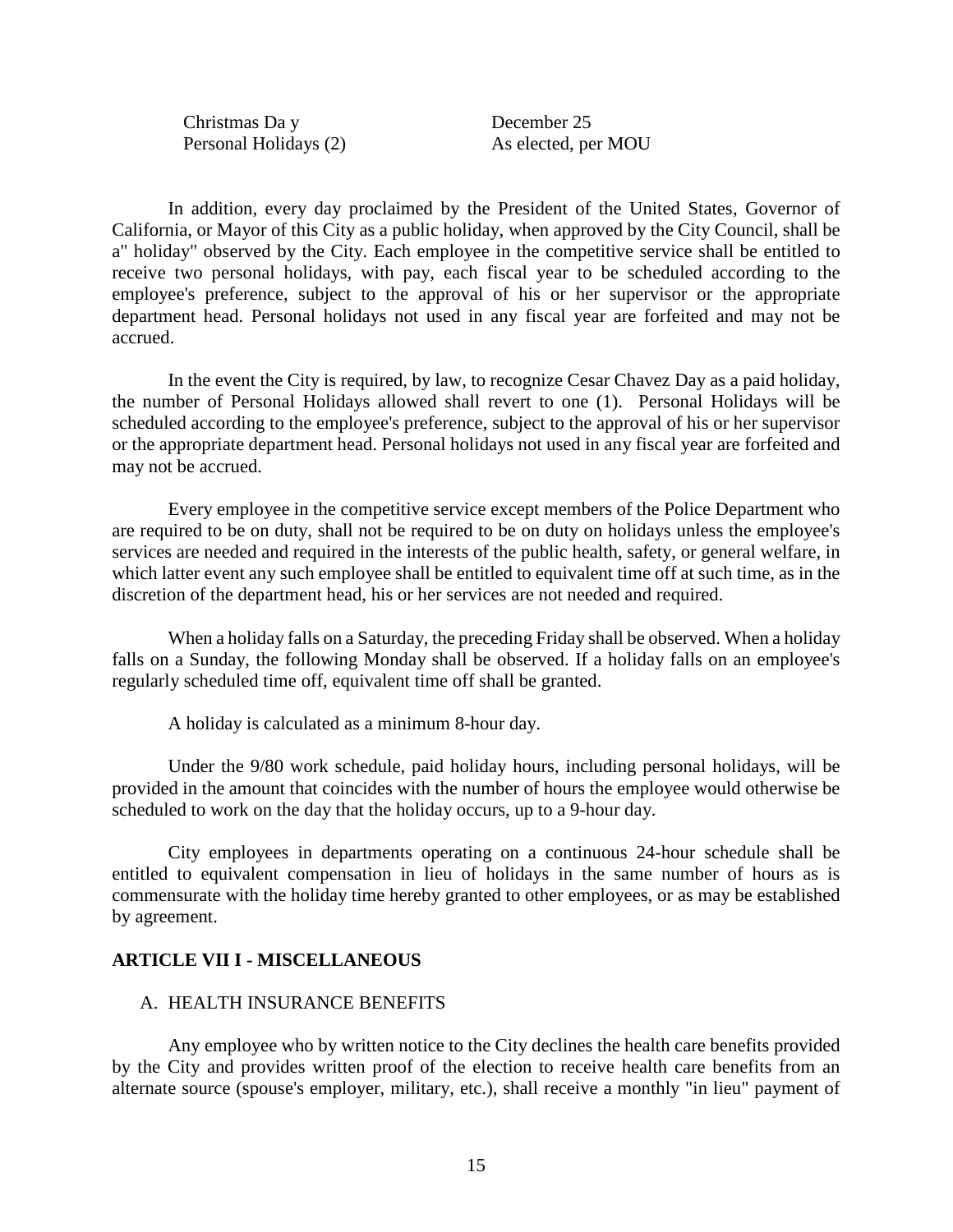Christmas Da y December 25 Personal Holidays (2) As elected, per MOU

In addition, every day proclaimed by the President of the United States, Governor of California, or Mayor of this City as a public holiday, when approved by the City Council, shall be a" holiday" observed by the City. Each employee in the competitive service shall be entitled to receive two personal holidays, with pay, each fiscal year to be scheduled according to the employee's preference, subject to the approval of his or her supervisor or the appropriate department head. Personal holidays not used in any fiscal year are forfeited and may not be accrued.

In the event the City is required, by law, to recognize Cesar Chavez Day as a paid holiday, the number of Personal Holidays allowed shall revert to one (1). Personal Holidays will be scheduled according to the employee's preference, subject to the approval of his or her supervisor or the appropriate department head. Personal holidays not used in any fiscal year are forfeited and may not be accrued.

Every employee in the competitive service except members of the Police Department who are required to be on duty, shall not be required to be on duty on holidays unless the employee's services are needed and required in the interests of the public health, safety, or general welfare, in which latter event any such employee shall be entitled to equivalent time off at such time, as in the discretion of the department head, his or her services are not needed and required.

When a holiday falls on a Saturday, the preceding Friday shall be observed. When a holiday falls on a Sunday, the following Monday shall be observed. If a holiday falls on an employee's regularly scheduled time off, equivalent time off shall be granted.

A holiday is calculated as a minimum 8-hour day.

Under the 9/80 work schedule, paid holiday hours, including personal holidays, will be provided in the amount that coincides with the number of hours the employee would otherwise be scheduled to work on the day that the holiday occurs, up to a 9-hour day.

City employees in departments operating on a continuous 24-hour schedule shall be entitled to equivalent compensation in lieu of holidays in the same number of hours as is commensurate with the holiday time hereby granted to other employees, or as may be established by agreement.

#### <span id="page-17-0"></span>**ARTICLE VII I - MISCELLANEOUS**

#### <span id="page-17-1"></span>A. HEALTH INSURANCE BENEFITS

Any employee who by written notice to the City declines the health care benefits provided by the City and provides written proof of the election to receive health care benefits from an alternate source (spouse's employer, military, etc.), shall receive a monthly "in lieu" payment of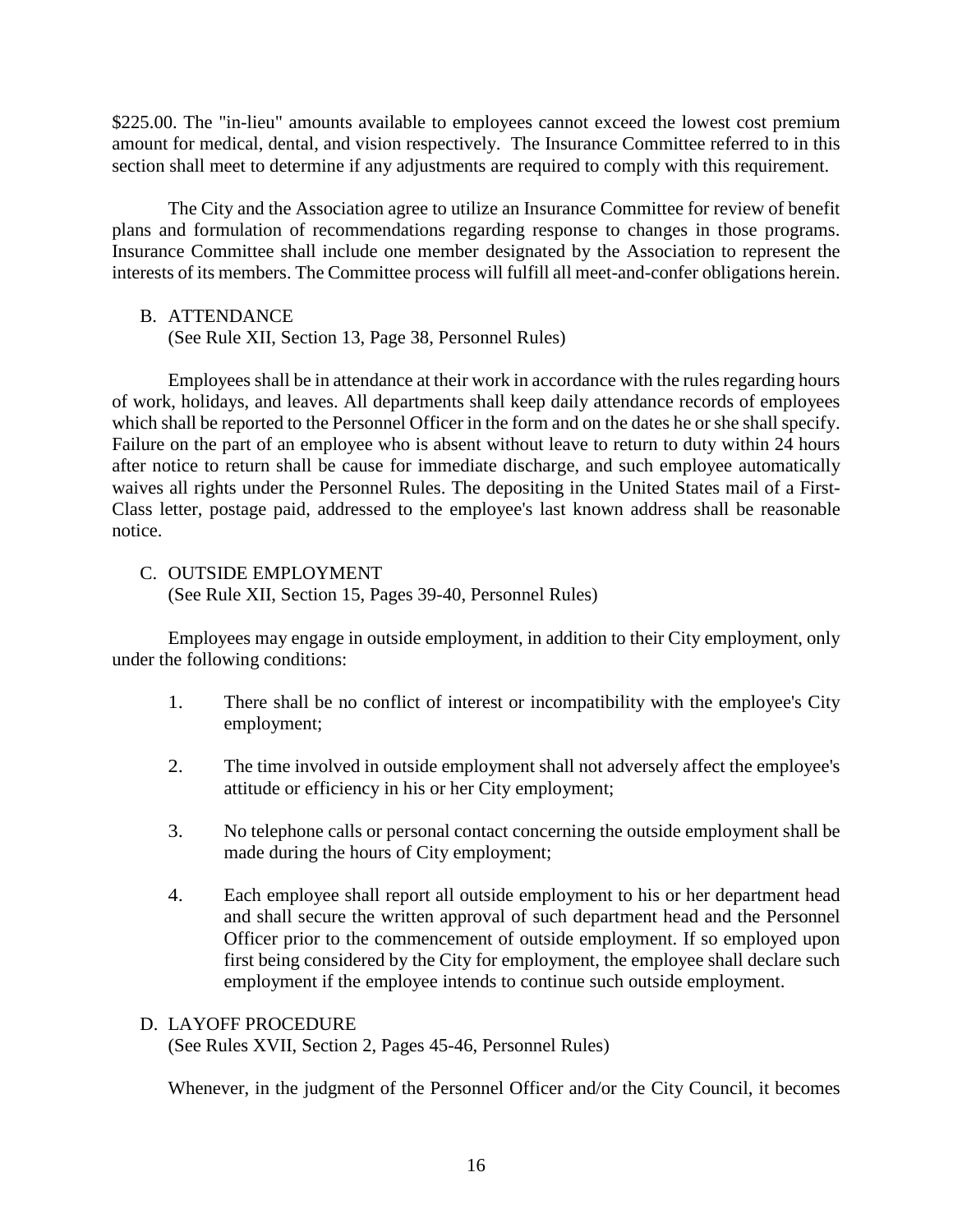\$225.00. The "in-lieu" amounts available to employees cannot exceed the lowest cost premium amount for medical, dental, and vision respectively. The Insurance Committee referred to in this section shall meet to determine if any adjustments are required to comply with this requirement.

The City and the Association agree to utilize an Insurance Committee for review of benefit plans and formulation of recommendations regarding response to changes in those programs. Insurance Committee shall include one member designated by the Association to represent the interests of its members. The Committee process will fulfill all meet-and-confer obligations herein.

<span id="page-18-0"></span>B. ATTENDANCE

(See Rule XII, Section 13, Page 38, Personnel Rules)

Employees shall be in attendance at their work in accordance with the rules regarding hours of work, holidays, and leaves. All departments shall keep daily attendance records of employees which shall be reported to the Personnel Officer in the form and on the dates he or she shall specify. Failure on the part of an employee who is absent without leave to return to duty within 24 hours after notice to return shall be cause for immediate discharge, and such employee automatically waives all rights under the Personnel Rules. The depositing in the United States mail of a First-Class letter, postage paid, addressed to the employee's last known address shall be reasonable notice.

#### <span id="page-18-1"></span>C. OUTSIDE EMPLOYMENT

(See Rule XII, Section 15, Pages 39-40, Personnel Rules)

Employees may engage in outside employment, in addition to their City employment, only under the following conditions:

- 1. There shall be no conflict of interest or incompatibility with the employee's City employment;
- 2. The time involved in outside employment shall not adversely affect the employee's attitude or efficiency in his or her City employment;
- 3. No telephone calls or personal contact concerning the outside employment shall be made during the hours of City employment;
- 4. Each employee shall report all outside employment to his or her department head and shall secure the written approval of such department head and the Personnel Officer prior to the commencement of outside employment. If so employed upon first being considered by the City for employment, the employee shall declare such employment if the employee intends to continue such outside employment.

#### <span id="page-18-2"></span>D. LAYOFF PROCEDURE

(See Rules XVII, Section 2, Pages 45-46, Personnel Rules)

Whenever, in the judgment of the Personnel Officer and/or the City Council, it becomes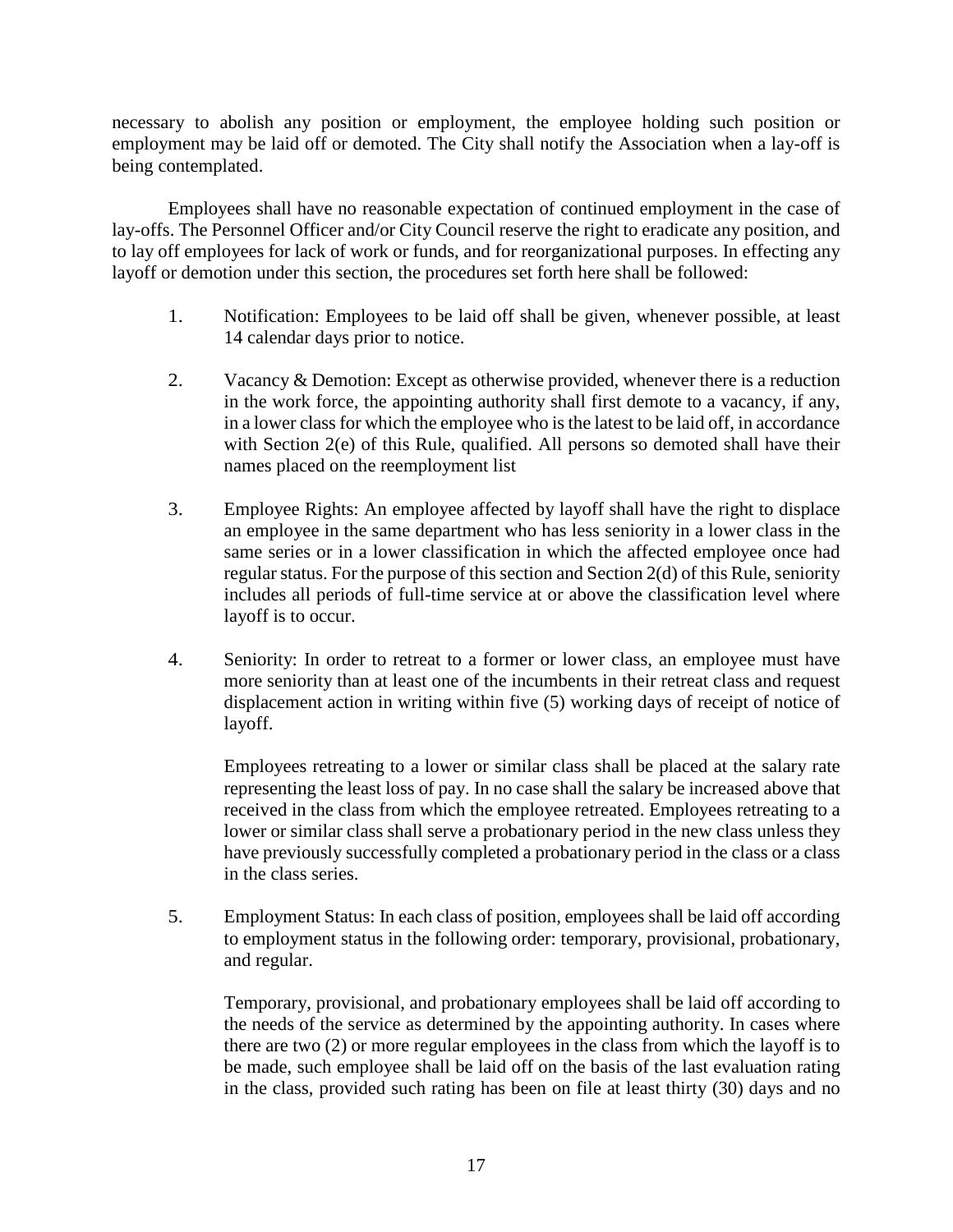necessary to abolish any position or employment, the employee holding such position or employment may be laid off or demoted. The City shall notify the Association when a lay-off is being contemplated.

Employees shall have no reasonable expectation of continued employment in the case of lay-offs. The Personnel Officer and/or City Council reserve the right to eradicate any position, and to lay off employees for lack of work or funds, and for reorganizational purposes. In effecting any layoff or demotion under this section, the procedures set forth here shall be followed:

- 1. Notification: Employees to be laid off shall be given, whenever possible, at least 14 calendar days prior to notice.
- 2. Vacancy & Demotion: Except as otherwise provided, whenever there is a reduction in the work force, the appointing authority shall first demote to a vacancy, if any, in a lower class for which the employee who is the latest to be laid off, in accordance with Section 2(e) of this Rule, qualified. All persons so demoted shall have their names placed on the reemployment list
- 3. Employee Rights: An employee affected by layoff shall have the right to displace an employee in the same department who has less seniority in a lower class in the same series or in a lower classification in which the affected employee once had regular status. For the purpose of this section and Section 2(d) of this Rule, seniority includes all periods of full-time service at or above the classification level where layoff is to occur.
- 4. Seniority: In order to retreat to a former or lower class, an employee must have more seniority than at least one of the incumbents in their retreat class and request displacement action in writing within five (5) working days of receipt of notice of layoff.

Employees retreating to a lower or similar class shall be placed at the salary rate representing the least loss of pay. In no case shall the salary be increased above that received in the class from which the employee retreated. Employees retreating to a lower or similar class shall serve a probationary period in the new class unless they have previously successfully completed a probationary period in the class or a class in the class series.

5. Employment Status: In each class of position, employees shall be laid off according to employment status in the following order: temporary, provisional, probationary, and regular.

Temporary, provisional, and probationary employees shall be laid off according to the needs of the service as determined by the appointing authority. In cases where there are two (2) or more regular employees in the class from which the layoff is to be made, such employee shall be laid off on the basis of the last evaluation rating in the class, provided such rating has been on file at least thirty (30) days and no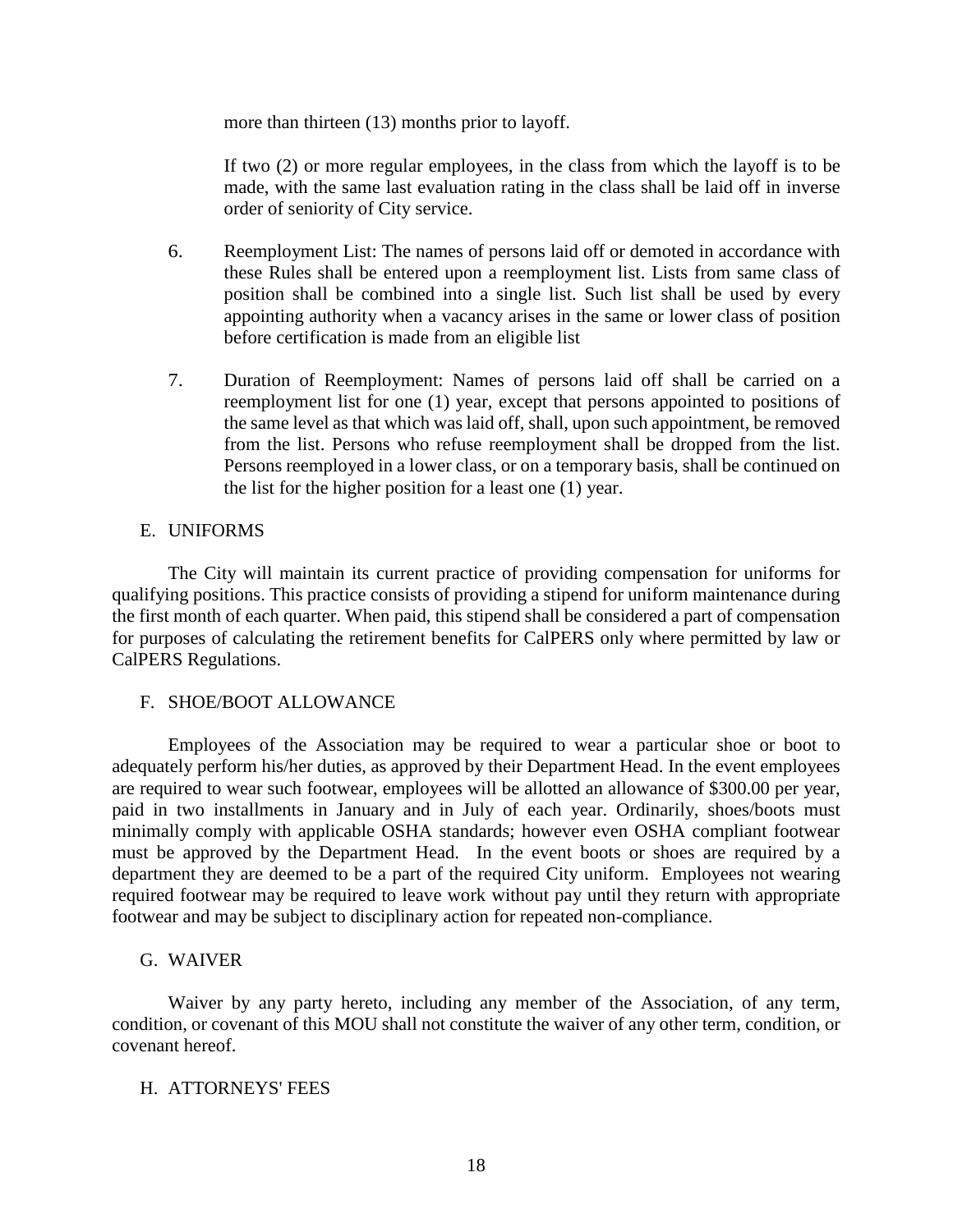more than thirteen (13) months prior to layoff.

If two (2) or more regular employees, in the class from which the layoff is to be made, with the same last evaluation rating in the class shall be laid off in inverse order of seniority of City service.

- 6. Reemployment List: The names of persons laid off or demoted in accordance with these Rules shall be entered upon a reemployment list. Lists from same class of position shall be combined into a single list. Such list shall be used by every appointing authority when a vacancy arises in the same or lower class of position before certification is made from an eligible list
- 7. Duration of Reemployment: Names of persons laid off shall be carried on a reemployment list for one (1) year, except that persons appointed to positions of the same level as that which was laid off, shall, upon such appointment, be removed from the list. Persons who refuse reemployment shall be dropped from the list. Persons reemployed in a lower class, or on a temporary basis, shall be continued on the list for the higher position for a least one (1) year.

#### <span id="page-20-0"></span>E. UNIFORMS

The City will maintain its current practice of providing compensation for uniforms for qualifying positions. This practice consists of providing a stipend for uniform maintenance during the first month of each quarter. When paid, this stipend shall be considered a part of compensation for purposes of calculating the retirement benefits for CalPERS only where permitted by law or CalPERS Regulations.

#### <span id="page-20-1"></span>F. SHOE/BOOT ALLOWANCE

Employees of the Association may be required to wear a particular shoe or boot to adequately perform his/her duties, as approved by their Department Head. In the event employees are required to wear such footwear, employees will be allotted an allowance of \$300.00 per year, paid in two installments in January and in July of each year. Ordinarily, shoes/boots must minimally comply with applicable OSHA standards; however even OSHA compliant footwear must be approved by the Department Head. In the event boots or shoes are required by a department they are deemed to be a part of the required City uniform. Employees not wearing required footwear may be required to leave work without pay until they return with appropriate footwear and may be subject to disciplinary action for repeated non-compliance.

#### <span id="page-20-2"></span>G. WAIVER

Waiver by any party hereto, including any member of the Association, of any term, condition, or covenant of this MOU shall not constitute the waiver of any other term, condition, or covenant hereof.

#### <span id="page-20-3"></span>H. ATTORNEYS' FEES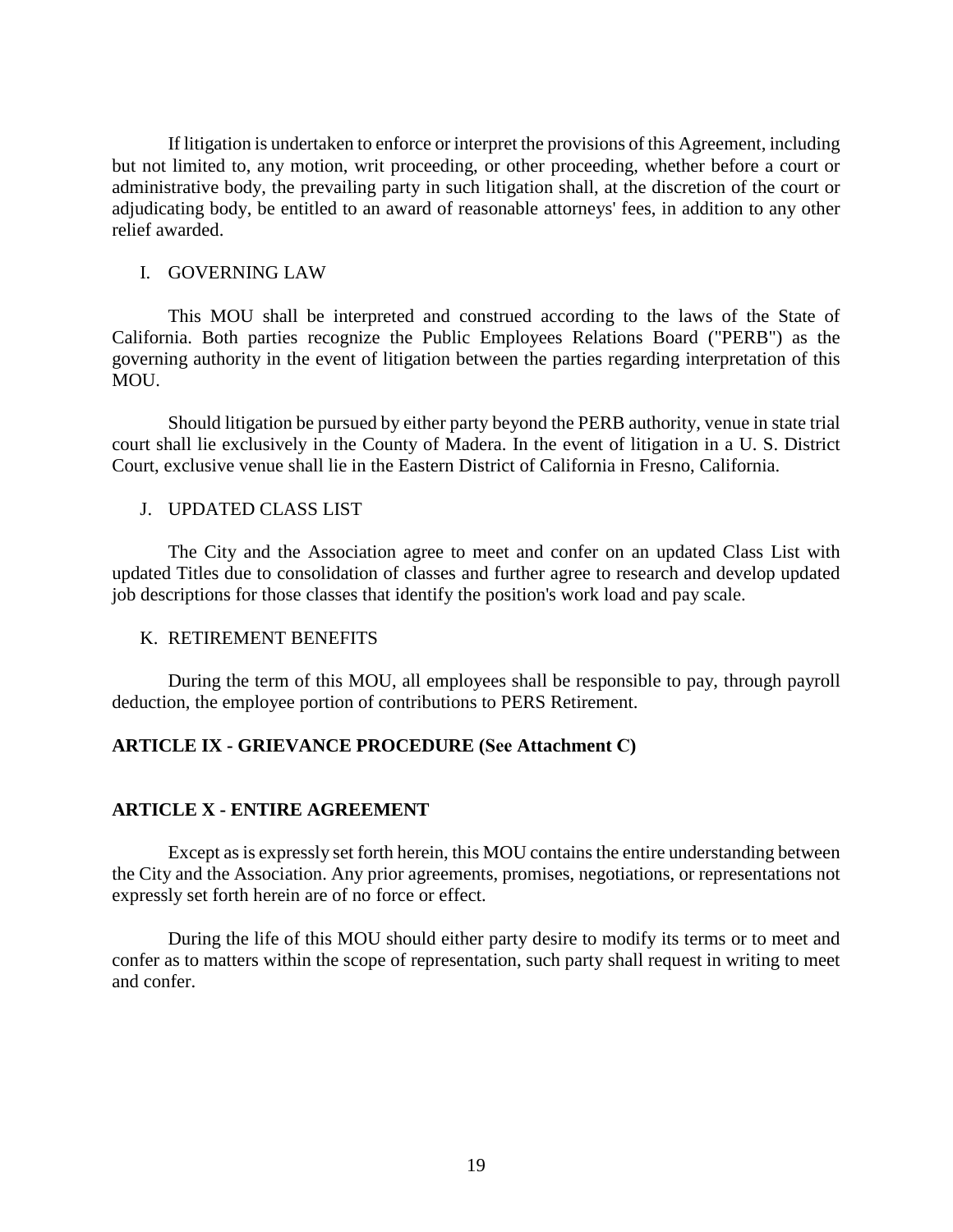If litigation is undertaken to enforce or interpret the provisions of this Agreement, including but not limited to, any motion, writ proceeding, or other proceeding, whether before a court or administrative body, the prevailing party in such litigation shall, at the discretion of the court or adjudicating body, be entitled to an award of reasonable attorneys' fees, in addition to any other relief awarded.

#### <span id="page-21-0"></span>I. GOVERNING LAW

This MOU shall be interpreted and construed according to the laws of the State of California. Both parties recognize the Public Employees Relations Board ("PERB") as the governing authority in the event of litigation between the parties regarding interpretation of this MOU.

Should litigation be pursued by either party beyond the PERB authority, venue in state trial court shall lie exclusively in the County of Madera. In the event of litigation in a U. S. District Court, exclusive venue shall lie in the Eastern District of California in Fresno, California.

#### <span id="page-21-1"></span>J. UPDATED CLASS LIST

The City and the Association agree to meet and confer on an updated Class List with updated Titles due to consolidation of classes and further agree to research and develop updated job descriptions for those classes that identify the position's work load and pay scale.

#### <span id="page-21-2"></span>K. RETIREMENT BENEFITS

During the term of this MOU, all employees shall be responsible to pay, through payroll deduction, the employee portion of contributions to PERS Retirement.

#### <span id="page-21-3"></span>**ARTICLE IX - GRIEVANCE PROCEDURE (See Attachment C)**

#### <span id="page-21-4"></span>**ARTICLE X - ENTIRE AGREEMENT**

Except as is expressly set forth herein, this MOU contains the entire understanding between the City and the Association. Any prior agreements, promises, negotiations, or representations not expressly set forth herein are of no force or effect.

During the life of this MOU should either party desire to modify its terms or to meet and confer as to matters within the scope of representation, such party shall request in writing to meet and confer.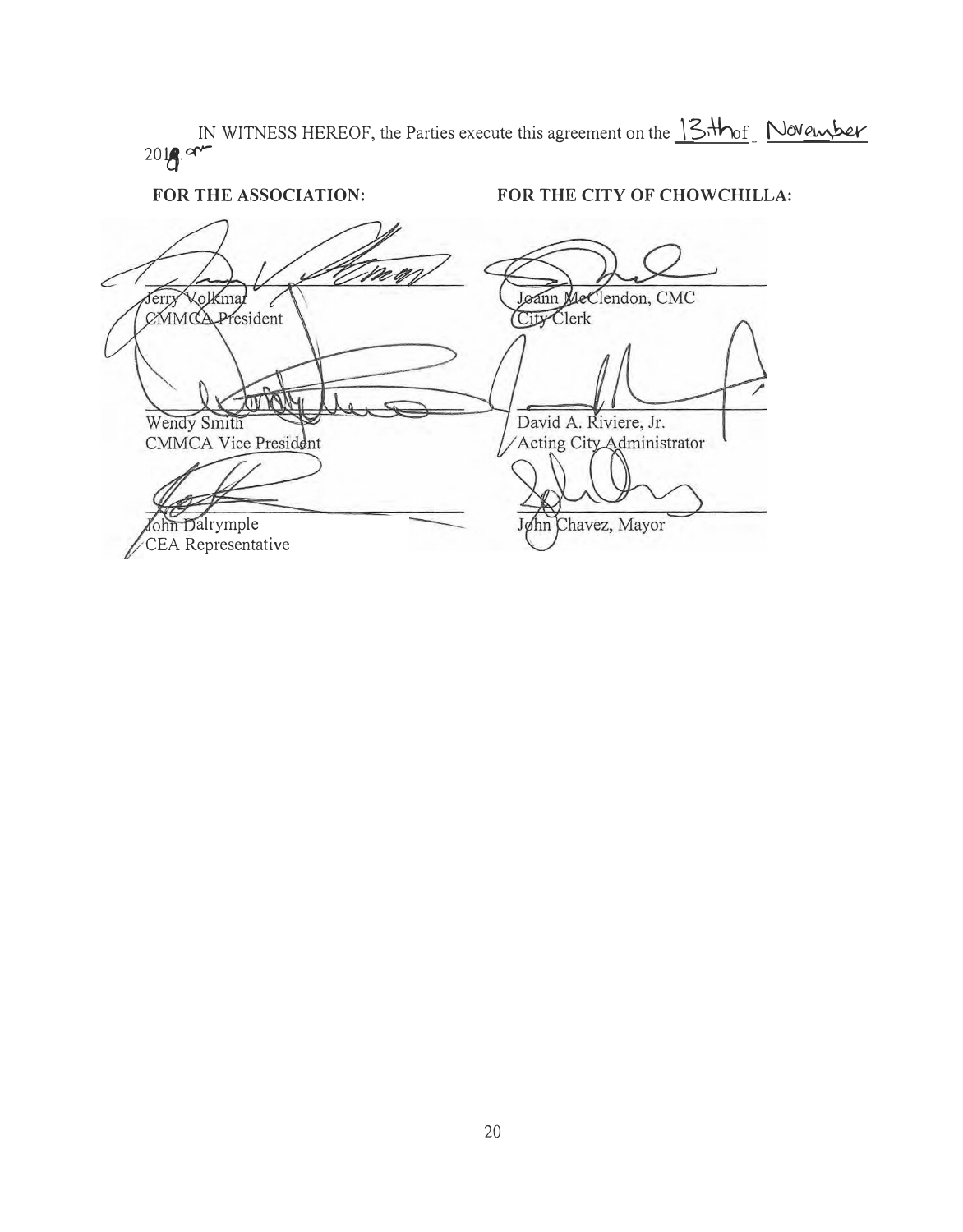$2018.9$ IN WITNESS HEREOF, the Parties execute this agreement on the  $3\frac{13}{100}$  November

**FOR THE ASSOCIATION:** 

**FOR THE CITY OF CHOWCHILLA:** 

Ferry Volkmar Joann MeClendon, CMC City Clerk FOTA Wendy Smith David A. Riviere, Jr. Acting City Administrator CMMCA Vice President John Dalrymple Jøhn Chavez, Mayor CEA Representative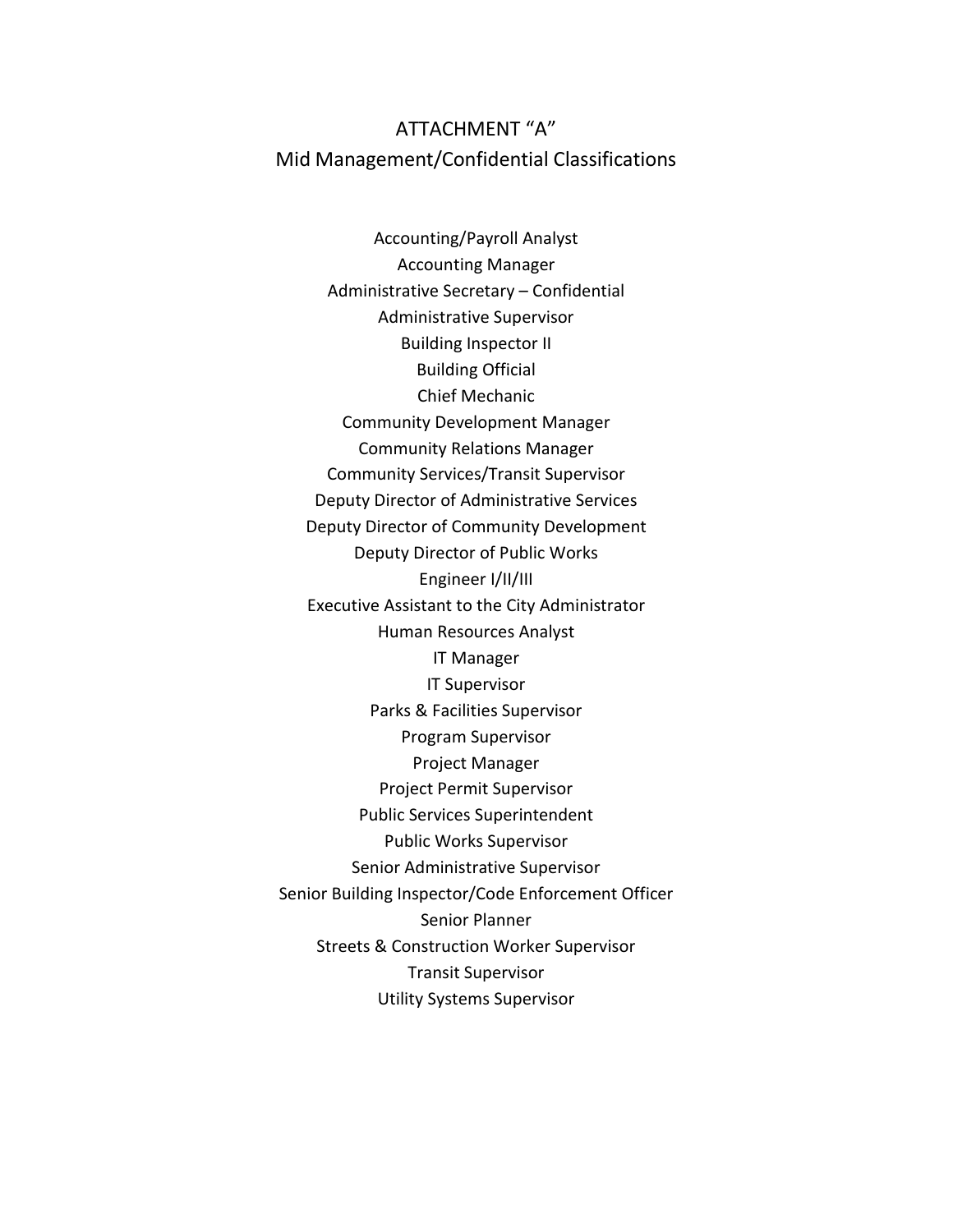# ATTACHMENT "A" Mid Management/Confidential Classifications

Accounting/Payroll Analyst Accounting Manager Administrative Secretary – Confidential Administrative Supervisor Building Inspector II Building Official Chief Mechanic Community Development Manager Community Relations Manager Community Services/Transit Supervisor Deputy Director of Administrative Services Deputy Director of Community Development Deputy Director of Public Works Engineer I/II/III Executive Assistant to the City Administrator Human Resources Analyst IT Manager IT Supervisor Parks & Facilities Supervisor Program Supervisor Project Manager Project Permit Supervisor Public Services Superintendent Public Works Supervisor Senior Administrative Supervisor Senior Building Inspector/Code Enforcement Officer Senior Planner Streets & Construction Worker Supervisor Transit Supervisor Utility Systems Supervisor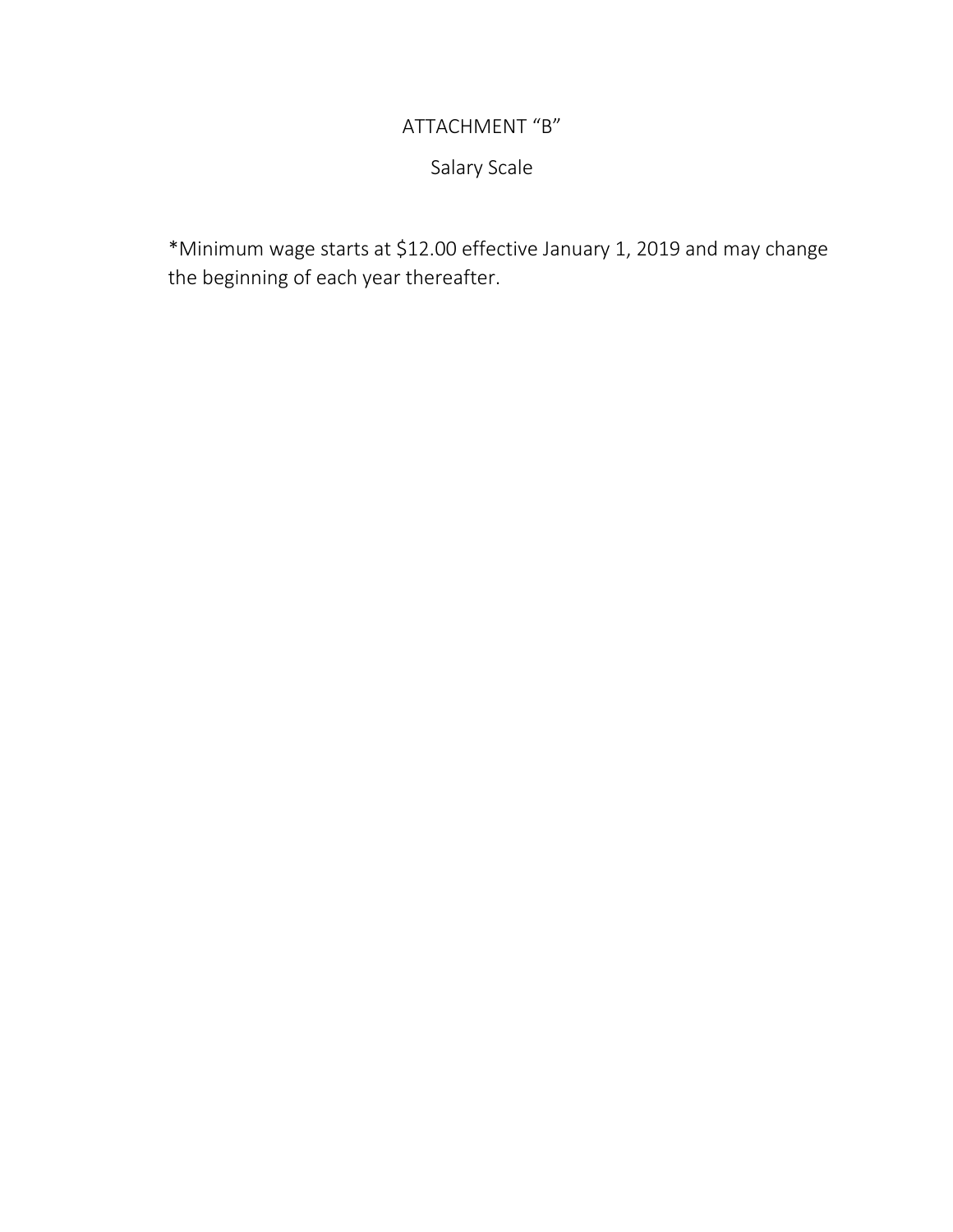# ATTACHMENT "B"

# Salary Scale

\*Minimum wage starts at \$12.00 effective January 1, 2019 and may change the beginning of each year thereafter.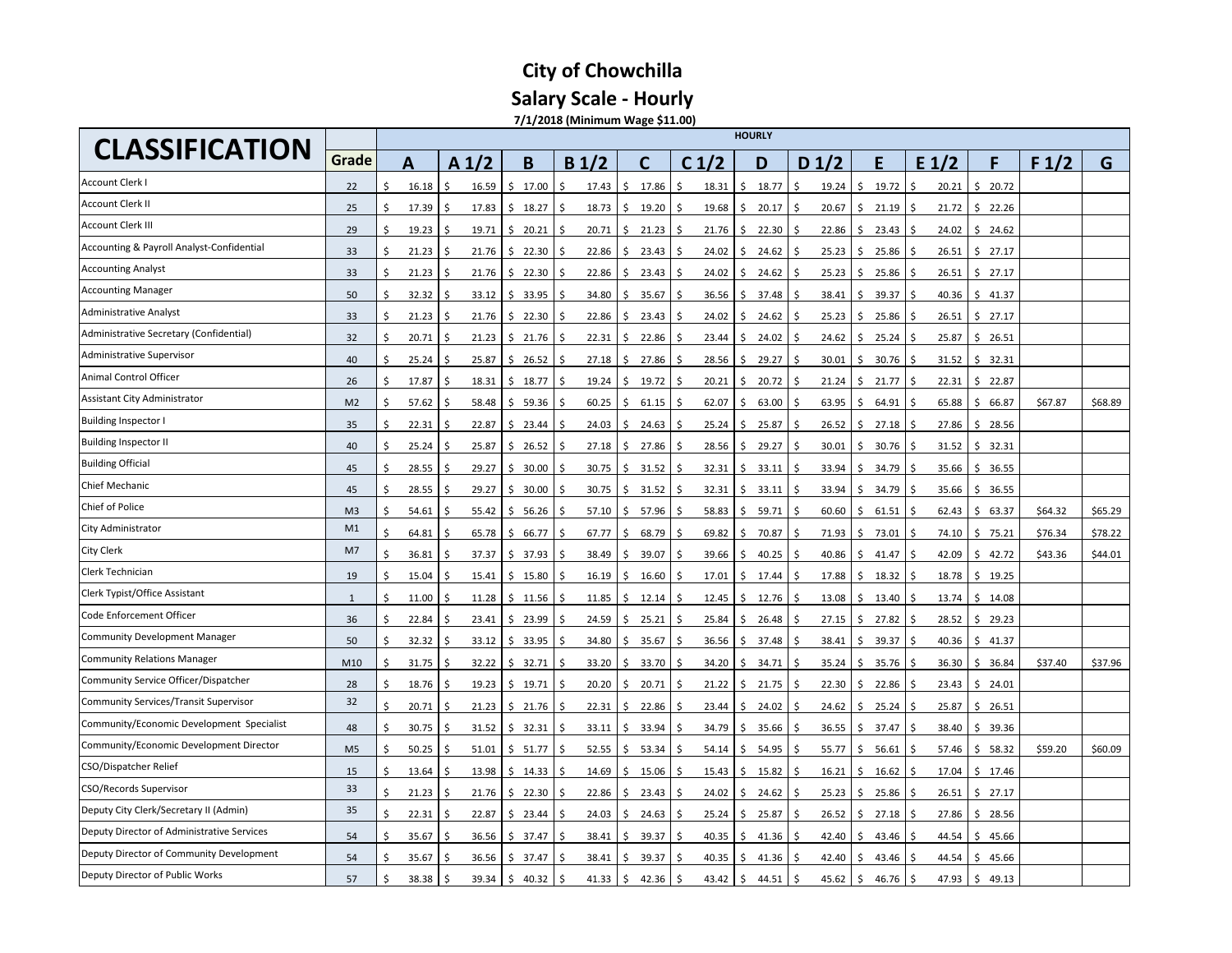**Salary Scale - Hourly** 

**7/1/2018 (Minimum Wage \$11.00)**

| <b>CLASSIFICATION</b>                        |                |    |       |                  |     |          |     |                   |     |             |    |                  |     | <b>HOURLY</b> |     |                  |    |       |    |                  |             |                  |         |
|----------------------------------------------|----------------|----|-------|------------------|-----|----------|-----|-------------------|-----|-------------|----|------------------|-----|---------------|-----|------------------|----|-------|----|------------------|-------------|------------------|---------|
|                                              | Grade          |    | A     | A <sub>1/2</sub> |     | B        |     | B <sub>1</sub> /2 |     | $\mathbf C$ |    | C <sub>1/2</sub> |     | D             |     | D <sub>1/2</sub> |    | E.    |    | E <sub>1/2</sub> | F           | F <sub>1/2</sub> | G       |
| <b>Account Clerk I</b>                       | 22             | Ś. | 16.18 | Ŝ.<br>16.59      | \$. | 17.00    | Ŝ   | 17.43             | \$  | 17.86       | \$ | 18.31            | -\$ | 18.77         | \$  | 19.24            | \$ | 19.72 |    | 20.21            | 20.72<br>\$ |                  |         |
| Account Clerk II                             | 25             | ς. | 17.39 | 17.83<br>S,      | \$  | 18.27    | -S  | 18.73             | Ŝ   | 19.20       | Ŝ  | 19.68            | .S  | 20.17         | \$. | 20.67            | S  | 21.19 |    | 21.72            | \$<br>22.26 |                  |         |
| <b>Account Clerk III</b>                     | 29             |    | 19.23 | Ŝ.<br>19.71      |     | \$20.21  | -Ŝ  | 20.71             | Ŝ.  | 21.23       | Ŝ. | 21.76            | S.  | 22.30         | Ŝ.  | 22.86            | Ŝ  | 23.43 |    | 24.02            | \$24.62     |                  |         |
| Accounting & Payroll Analyst-Confidential    | 33             | Ś  | 21.23 | Ŝ.<br>21.76      | S.  | 22.30    | -S  | 22.86             | Ŝ   | 23.43       | Ŝ  | 24.02            | \$  | 24.62         | Ś   | 25.23            | ς. | 25.86 |    | 26.51            | 27.17<br>\$ |                  |         |
| <b>Accounting Analyst</b>                    | 33             | Ś  | 21.23 | -\$<br>21.76     | S.  | 22.30    | -Ŝ  | 22.86             | \$  | 23.43       | -Ś | 24.02            | S.  | 24.62         | \$  | 25.23            | Ŝ  | 25.86 |    | 26.51            | \$27.17     |                  |         |
| <b>Accounting Manager</b>                    | 50             | Ś. | 32.32 | -\$<br>33.12     | \$  | 33.95    | -\$ | 34.80             | \$  | 35.67       | Ś. | 36.56            | S.  | 37.48         | \$  | 38.41            | \$ | 39.37 | -Ŝ | 40.36            | \$41.37     |                  |         |
| <b>Administrative Analyst</b>                | 33             | Ś. | 21.23 | -\$<br>21.76     | Ŝ.  | 22.30    | -S  | 22.86             | Ś   | 23.43       | Ŝ  | 24.02            | Ŝ.  | 24.62         | Ś   | 25.23            | Ŝ  | 25.86 |    | 26.51            | \$27.17     |                  |         |
| Administrative Secretary (Confidential)      | 32             | Ś. | 20.71 | -\$<br>21.23     | \$. | 21.76    | -\$ | 22.31             | Ś   | 22.86       | Ŝ  | 23.44            | -\$ | 24.02         | Ś   | 24.62            | \$ | 25.24 |    | 25.87            | \$26.51     |                  |         |
| Administrative Supervisor                    | 40             | ς. | 25.24 | Ś<br>25.87       | S.  | 26.52    | -\$ | 27.18             | Ŝ   | 27.86       | Ŝ  | 28.56            | .S  | 29.27         | \$  | 30.01            |    | 30.76 |    | 31.52            | \$32.31     |                  |         |
| Animal Control Officer                       | 26             |    | 17.87 | -\$<br>18.31     |     | \$18.77  | Ŝ.  | 19.24             | Ŝ.  | 19.72       | Ŝ  | 20.21            | Ŝ.  | 20.72         | Ŝ.  | 21.24            | Ŝ  | 21.77 | -S | 22.31            | \$22.87     |                  |         |
| Assistant City Administrator                 | M <sub>2</sub> | Ś  | 57.62 | Ŝ.<br>58.48      | \$  | 59.36    | -S  | 60.25             | Ś.  | 61.15       | -Ś | 62.07            | \$  | 63.00         | Ś   | 63.95            | ς. | 64.91 |    | 65.88            | 66.87<br>\$ | \$67.87          | \$68.89 |
| <b>Building Inspector I</b>                  | 35             | Ś  | 22.31 | \$.<br>22.87     | \$  | 23.44    | Ŝ.  | 24.03             | \$. | 24.63       | -Ś | 25.24            | \$  | 25.87         | \$  | 26.52            | \$ | 27.18 |    | 27.86            | \$<br>28.56 |                  |         |
| <b>Building Inspector II</b>                 | 40             | Ś. | 25.24 | Ś<br>25.87       | \$. | 26.52    | -Ś  | 27.18             | S.  | 27.86       | Ŝ  | 28.56            | S.  | 29.27         | Ŝ.  | 30.01            | Ś. | 30.76 |    | 31.52            | \$32.31     |                  |         |
| <b>Building Official</b>                     | 45             | Ś. | 28.55 | -\$<br>29.27     | \$  | 30.00    | -S  | 30.75             | S.  | 31.52       | .S | 32.31            | S.  | 33.11         | Ś   | 33.94            | Ŝ  | 34.79 |    | 35.66            | \$36.55     |                  |         |
| Chief Mechanic                               | 45             | \$ | 28.55 | -\$<br>29.27     | \$. | 30.00    | -S  | 30.75             | \$  | 31.52       | -S | 32.31            | -S  | 33.11         | Ś   | 33.94            | \$ | 34.79 |    | 35.66            | \$36.55     |                  |         |
| Chief of Police                              | M <sub>3</sub> | ς  | 54.61 | $\zeta$<br>55.42 | Ŝ.  | 56.26    | Ŝ.  | 57.10             | Ŝ.  | 57.96       | Ŝ  | 58.83            | Ŝ.  | 59.71         | Ŝ.  | 60.60            | Ŝ  | 61.51 | ς  | 62.43            | \$63.37     | \$64.32          | \$65.29 |
| City Administrator                           | M <sub>1</sub> |    | 64.81 | Ŝ.<br>65.78      | \$  | 66.77    | -Ŝ  | 67.77             | Ŝ.  | 68.79       | Ŝ  | 69.82            | \$  | 70.87         | Ŝ.  | 71.93            | Ŝ  | 73.01 |    | 74.10            | \$<br>75.21 | \$76.34          | \$78.22 |
| <b>City Clerk</b>                            | M7             |    | 36.81 | Ś<br>37.37       | \$  | 37.93    | .S  | 38.49             | Ŝ   | 39.07       | Ŝ  | 39.66            | S.  | 40.25         | Ś   | 40.86            | ς. | 41.47 |    | 42.09            | 42.72<br>\$ | \$43.36          | \$44.01 |
| Clerk Technician                             | 19             |    | 15.04 | Ŝ.<br>15.41      |     | \$15.80  | -Ŝ  | 16.19             | \$  | 16.60       | -Ś | 17.01            | S.  | 17.44         | \$  | 17.88            | \$ | 18.32 |    | 18.78            | \$19.25     |                  |         |
| Clerk Typist/Office Assistant                | $\mathbf{1}$   | Ś  | 11.00 | Ś<br>11.28       | \$  | 11.56    | -S  | 11.85             | \$. | 12.14       | Ś  | 12.45            | \$  | 12.76         | \$  | 13.08            | \$ | 13.40 |    | 13.74            | \$14.08     |                  |         |
| Code Enforcement Officer                     | 36             | Ś. | 22.84 | -\$<br>23.41     |     | \$23.99  | -S  | 24.59             | \$  | 25.21       | Ś  | 25.84            | \$  | 26.48         | Ś   | 27.15            | \$ | 27.82 |    | 28.52            | \$29.23     |                  |         |
| <b>Community Development Manager</b>         | 50             | ς  | 32.32 | -\$<br>33.12     |     | \$33.95  | -S  | 34.80             | Ś   | 35.67       | .S | 36.56            | -\$ | 37.48         | Ŝ   | 38.41            | S  | 39.37 |    | 40.36            | \$41.37     |                  |         |
| <b>Community Relations Manager</b>           | M10            | Ś. | 31.75 | Ŝ.<br>32.22      |     | \$32.71  | Ŝ.  | 33.20             | Ŝ.  | 33.70       | Ŝ  | 34.20            | Ŝ.  | 34.71         | Ŝ.  | 35.24            | Ŝ  | 35.76 | S, | 36.30            | \$36.84     | \$37.40          | \$37.96 |
| Community Service Officer/Dispatcher         | 28             | ς. | 18.76 | -\$<br>19.23     |     | \$19.71  | -S  | 20.20             | \$  | 20.71       | Ŝ  | 21.22            | Ŝ.  | 21.75         | Ś   | 22.30            | Ŝ  | 22.86 |    | 23.43            | \$24.01     |                  |         |
| <b>Community Services/Transit Supervisor</b> | 32             | Ś  | 20.71 | Ŝ.<br>21.23      |     | \$21.76  | Ŝ   | 22.31             | Ŝ   | 22.86       | Ŝ  | 23.44            | \$  | 24.02         | Ś   | 24.62            | ς. | 25.24 |    | 25.87            | \$<br>26.51 |                  |         |
| Community/Economic Development Specialist    | 48             | Ś  | 30.75 | Ŝ.<br>31.52      |     | \$32.31  | Ŝ.  | 33.11             | \$. | 33.94       | Ŝ  | 34.79            | S.  | 35.66         | Ś   | 36.55            | \$ | 37.47 |    | 38.40            | \$39.36     |                  |         |
| Community/Economic Development Director      | M <sub>5</sub> | Ś  | 50.25 | 51.01<br>Ś       |     | \$ 51.77 | -Ś  | 52.55             | \$. | 53.34       | Ŝ  | 54.14            | Ŝ.  | 54.95         | Ś   | 55.77            | \$ | 56.61 |    | 57.46            | \$58.32     | \$59.20          | \$60.09 |
| CSO/Dispatcher Relief                        | 15             | Ś. | 13.64 | -\$<br>13.98     |     | \$14.33  | -\$ | 14.69             | Ŝ.  | 15.06       | Ś  | 15.43            | S.  | 15.82         | Ś   | 16.21            | Ŝ  | 16.62 |    | 17.04            | \$17.46     |                  |         |
| CSO/Records Supervisor                       | 33             |    | 21.23 | -\$<br>21.76     |     | \$22.30  |     | 22.86             | Ś   | 23.43       | Ŝ  | 24.02            | -\$ | 24.62         | Ś   | 25.23            | S  | 25.86 |    | 26.51            | \$27.17     |                  |         |
| Deputy City Clerk/Secretary II (Admin)       | 35             |    | 22.31 | 22.87<br>Ś       |     | \$23.44  | S   | 24.03             | Ŝ   | 24.63       | ς  | 25.24            | -S  | 25.87         | Ś   | 26.52            | Ŝ  | 27.18 |    | 27.86            | 28.56<br>Ŝ. |                  |         |
| Deputy Director of Administrative Services   | 54             |    | 35.67 | Ŝ.<br>36.56      | \$  | 37.47    | -S  | 38.41             | \$  | 39.37       | .S | 40.35            | Ŝ.  | 41.36         | Ś   | 42.40            | Ŝ  | 43.46 |    | 44.54            | Ŝ.<br>45.66 |                  |         |
| Deputy Director of Community Development     | 54             |    | 35.67 | Ŝ.<br>36.56      | \$  | 37.47    |     | 38.41             | Ś   | 39.37       | Ŝ  | 40.35            | \$  | 41.36         | Ś   | 42.40            | Ŝ  | 43.46 |    | 44.54            | \$<br>45.66 |                  |         |
| Deputy Director of Public Works              | 57             | Ś. | 38.38 | Ŝ.<br>39.34      | \$  | 40.32    | Ŝ.  | 41.33             | \$  | 42.36       | \$ | 43.42            | \$  | 44.51         | \$  | 45.62            | \$ | 46.76 | Ŝ. | 47.93            | 49.13<br>\$ |                  |         |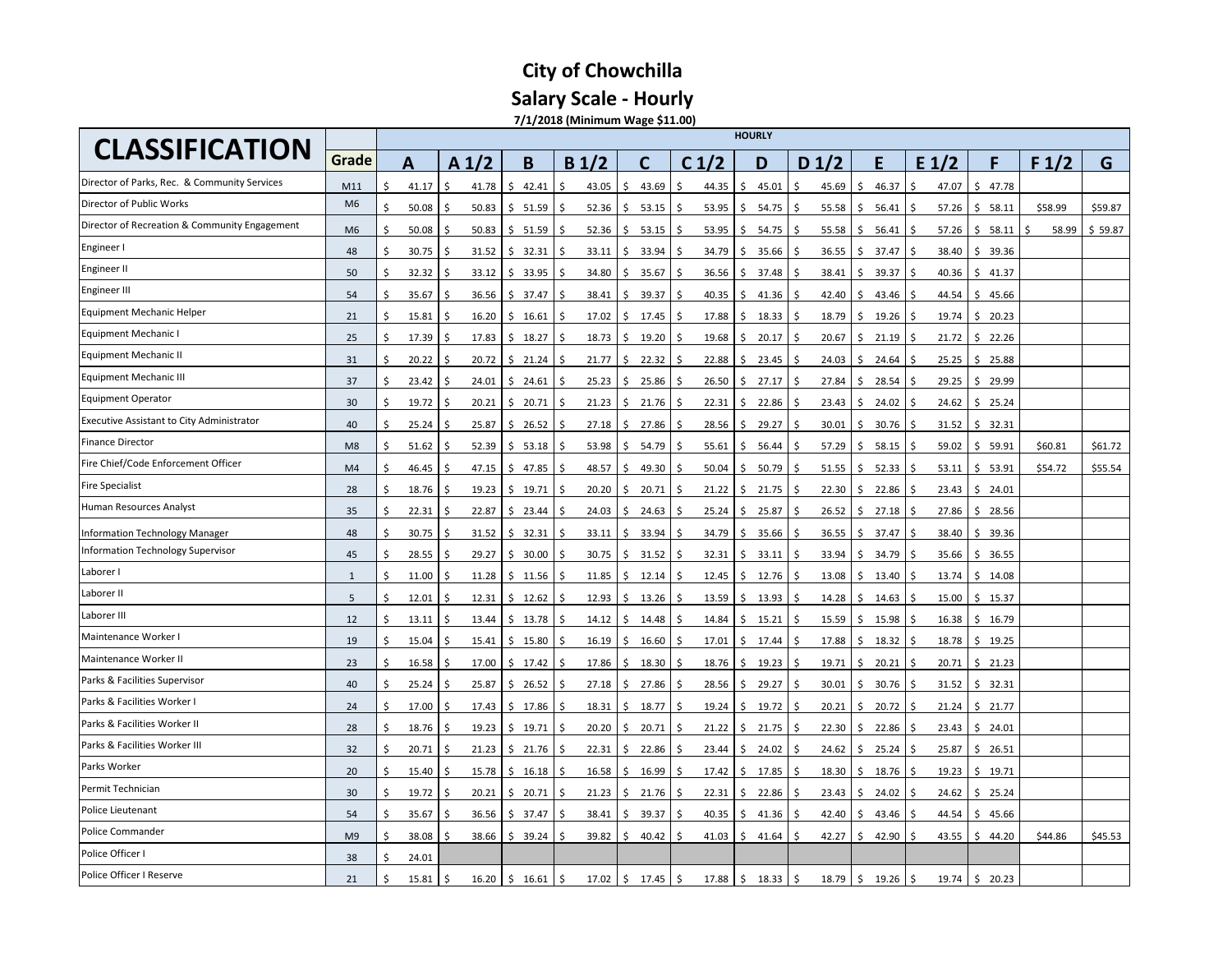**Salary Scale - Hourly** 

**7/1/2018 (Minimum Wage \$11.00)**

| <b>CLASSIFICATION</b>                         |                |     |       |                   |     |             |     |                   |     |                |     |                  |     | <b>HOURLY</b> |    |         |    |            |    |         |             |                   |         |
|-----------------------------------------------|----------------|-----|-------|-------------------|-----|-------------|-----|-------------------|-----|----------------|-----|------------------|-----|---------------|----|---------|----|------------|----|---------|-------------|-------------------|---------|
|                                               | <b>Grade</b>   |     | A     | A <sub>1</sub> /2 |     | B           |     | B <sub>1</sub> /2 |     | C              |     | C <sub>1/2</sub> |     | D             |    | D $1/2$ |    | E          |    | $E_1/2$ | F           | F <sub>1</sub> /2 | G       |
| Director of Parks, Rec. & Community Services  | M11            | ς   | 41.17 | \$<br>41.78       | \$  | 42.41       | S,  | 43.05             | Ś.  | 43.69          | Ŝ.  | 44.35            | -\$ | 45.01         | Ś  | 45.69   | Ŝ  | 46.37      |    | 47.07   | \$47.78     |                   |         |
| Director of Public Works                      | M <sub>6</sub> |     | 50.08 | 50.83<br>Ś        |     | \$51.59     | S,  | 52.36             | Ś   | 53.15          | \$  | 53.95            | Ŝ.  | 54.75         | Ŝ. | 55.58   | ς. | 56.41      |    | 57.26   | \$58.11     | \$58.99           | \$59.87 |
| Director of Recreation & Community Engagement | M <sub>6</sub> |     | 50.08 | Ŝ.<br>50.83       |     | \$51.59     | -S  | 52.36             | -Ŝ  | 53.15          | Ŝ   | 53.95            | .S  | 54.75         | Ŝ  | 55.58   | Ŝ  | 56.41      |    | 57.26   | Ŝ.<br>58.11 | 58.99             | \$59.87 |
| Engineer I                                    | 48             | Ś   | 30.75 | -\$<br>31.52      |     | \$32.31     | -Ŝ  | 33.11             | \$  | 33.94          | Ŝ   | 34.79            | \$  | 35.66         | Ŝ. | 36.55   | Ŝ  | 37.47      |    | 38.40   | 39.36<br>\$ |                   |         |
| Engineer II                                   | 50             | Ś   | 32.32 | -\$<br>33.12      | \$  | 33.95       | -Ŝ  | 34.80             | Ś.  | 35.67          | -\$ | 36.56            | S.  | 37.48         | \$ | 38.41   | Ŝ  | 39.37      | -Ŝ | 40.36   | \$<br>41.37 |                   |         |
| Engineer III                                  | 54             | Ś   | 35.67 | \$.<br>36.56      | \$  | 37.47       | -\$ | 38.41             | \$  | 39.37          | Ś   | 40.35            | Ŝ.  | 41.36         | \$ | 42.40   | Ś. | 43.46      | Ŝ  | 44.54   | \$45.66     |                   |         |
| Equipment Mechanic Helper                     | 21             | \$. | 15.81 | \$<br>16.20       | \$  | 16.61       | -\$ | 17.02             | \$  | 17.45          | Ś   | 17.88            | \$  | 18.33         | Ś  | 18.79   | Ŝ  | 19.26      |    | 19.74   | \$20.23     |                   |         |
| <b>Equipment Mechanic I</b>                   | 25             | Ś.  | 17.39 | \$<br>17.83       | \$  | 18.27       | \$  | 18.73             | \$  | 19.20          | \$  | 19.68            | \$  | 20.17         | \$ | 20.67   | Ŝ  | 21.19      |    | 21.72   | \$22.26     |                   |         |
| Equipment Mechanic II                         | 31             |     | 20.22 | 20.72<br>Ŝ.       |     | \$21.24     | Ŝ.  | 21.77             | Ŝ   | 22.32          | Ś,  | 22.88            | Ŝ.  | 23.45         | Ŝ. | 24.03   | ς. | 24.64      |    | 25.25   | \$25.88     |                   |         |
| <b>Equipment Mechanic III</b>                 | 37             |     | 23.42 | 24.01<br>\$.      |     | \$24.61     | -Ŝ  | 25.23             | Ŝ   | 25.86          | .S  | 26.50            | Ŝ.  | 27.17         | Ŝ. | 27.84   | Ŝ  | 28.54      |    | 29.25   | \$29.99     |                   |         |
| <b>Equipment Operator</b>                     | 30             | Ś.  | 19.72 | -\$<br>20.21      |     | \$20.71     | Ŝ.  | 21.23             | Ŝ.  | 21.76          | -Ś  | 22.31            | Ŝ.  | 22.86         | Ŝ. | 23.43   | Ŝ. | 24.02      | -Ŝ | 24.62   | \$25.24     |                   |         |
| Executive Assistant to City Administrator     | 40             | Ś.  | 25.24 | -\$<br>25.87      | S.  | 26.52       | -Ŝ  | 27.18             | \$  | 27.86          | Ś.  | 28.56            | S.  | 29.27         | \$ | 30.01   | Ŝ  | 30.76      | -Ŝ | 31.52   | \$<br>32.31 |                   |         |
| <b>Finance Director</b>                       | M <sub>8</sub> |     | 51.62 | Ŝ<br>52.39        | \$  | 53.18       | -Ś  | 53.98             | \$  | 54.79          | Ŝ   | 55.61            | Ŝ.  | 56.44         | Ś  | 57.29   | Ŝ  | 58.15      |    | 59.02   | \$<br>59.91 | \$60.81           | \$61.72 |
| Fire Chief/Code Enforcement Officer           | M4             | Ś.  | 46.45 | -\$<br>47.15      | \$  | 47.85       | -\$ | 48.57             | \$  | 49.30          | Ś   | 50.04            | \$  | 50.79         | Ś  | 51.55   | \$ | 52.33      |    | 53.11   | \$53.91     | \$54.72           | \$55.54 |
| <b>Fire Specialist</b>                        | 28             | Ś   | 18.76 | \$<br>19.23       | \$. | 19.71       | -\$ | 20.20             | Ś   | 20.71          | Ś   | 21.22            | \$  | 21.75         | Ś  | 22.30   | Ŝ  | 22.86      |    | 23.43   | \$24.01     |                   |         |
| Human Resources Analyst                       | 35             | Ś.  | 22.31 | Ŝ.<br>22.87       | Ŝ.  | 23.44       | Ŝ.  | 24.03             | \$  | 24.63          | -Ś  | 25.24            | Ŝ.  | 25.87         | Ŝ. | 26.52   | Ŝ. | 27.18      | -S | 27.86   | \$28.56     |                   |         |
| Information Technology Manager                | 48             |     | 30.75 | Ŝ.<br>31.52       | \$  | 32.31       |     | 33.11             | Ŝ.  | 33.94          | .S  | 34.79            | Ŝ.  | 35.66         | Ŝ  | 36.55   | Ŝ  | 37.47      |    | 38.40   | Ŝ.<br>39.36 |                   |         |
| Information Technology Supervisor             | 45             | Ś   | 28.55 | -\$<br>29.27      | \$  | 30.00       | -S  | 30.75             | \$  | 31.52          | Ŝ   | 32.31            | \$  | 33.11         | \$ | 33.94   | Ŝ  | 34.79      |    | 35.66   | \$<br>36.55 |                   |         |
| Laborer I                                     | $\mathbf{1}$   | Ś   | 11.00 | -\$<br>11.28      | \$  | 11.56       | -Ŝ  | 11.85             | \$  | 12.14          | -\$ | 12.45            | S.  | 12.76         | \$ | 13.08   | \$ | 13.40      | -Ŝ | 13.74   | \$<br>14.08 |                   |         |
| Laborer II                                    | 5              | ς.  | 12.01 | Ś<br>12.31        | \$  | 12.62       | -Ŝ  | 12.93             | \$  | 13.26          | Ŝ   | 13.59            | \$  | 13.93         | \$ | 14.28   | Ŝ  | 14.63      |    | 15.00   | \$<br>15.37 |                   |         |
| Laborer III                                   | 12             | ς.  | 13.11 | -\$<br>13.44      |     | \$13.78     | -\$ | 14.12             | \$  | 14.48          | Ś.  | 14.84            | \$. | 15.21         | \$ | 15.59   | \$ | 15.98      |    | 16.38   | \$16.79     |                   |         |
| Maintenance Worker I                          | 19             | Ś.  | 15.04 | Ŝ.<br>15.41       | Ŝ.  | 15.80       | -Ś  | 16.19             | Ś   | 16.60          | Ś   | 17.01            | Ŝ.  | 17.44         | Ś  | 17.88   | S  | 18.32      |    | 18.78   | \$<br>19.25 |                   |         |
| Maintenance Worker II                         | 23             | Ś.  | 16.58 | Ŝ.<br>17.00       | Ŝ.  | 17.42       | -S  | 17.86             | S.  | 18.30          | -Ś  | 18.76            | Ŝ.  | 19.23         | \$ | 19.71   | Ŝ  | 20.21      | -S | 20.71   | \$21.23     |                   |         |
| Parks & Facilities Supervisor                 | 40             | Ŝ   | 25.24 | 25.87<br>Ŝ        | \$. | 26.52       | -\$ | 27.18             | \$. | 27.86          | Ś.  | 28.56            | -\$ | 29.27         | \$ | 30.01   | S  | 30.76      |    | 31.52   | \$32.31     |                   |         |
| Parks & Facilities Worker I                   | 24             | Ś.  | 17.00 | -\$<br>17.43      | \$  | 17.86       | Ŝ.  | 18.31             | Ŝ.  | 18.77          | -Ś  | 19.24            | Ŝ.  | 19.72         | \$ | 20.21   | Ŝ  | 20.72      |    | 21.24   | \$21.77     |                   |         |
| Parks & Facilities Worker II                  | 28             | Ś.  | 18.76 | -\$<br>19.23      | \$  | 19.71       | -Ŝ  | 20.20             | \$  | 20.71          | Ŝ.  | 21.22            | S.  | 21.75         | \$ | 22.30   | \$ | 22.86      |    | 23.43   | \$<br>24.01 |                   |         |
| Parks & Facilities Worker III                 | 32             | ς.  | 20.71 | Ŝ<br>21.23        | \$  | 21.76       | Ŝ.  | 22.31             | Ŝ.  | 22.86          | Ś   | 23.44            | Ŝ.  | 24.02         | Ŝ. | 24.62   | Ŝ  | 25.24      |    | 25.87   | \$<br>26.51 |                   |         |
| Parks Worker                                  | 20             | \$. | 15.40 | -\$<br>15.78      |     | \$16.18     | -\$ | 16.58             | \$  | 16.99          | Ś.  | 17.42            | \$  | 17.85         | Ś  | 18.30   | Ŝ  | 18.76      |    | 19.23   | \$19.71     |                   |         |
| Permit Technician                             | 30             | Ś.  | 19.72 | -\$<br>20.21      | \$  | 20.71       | -S  | 21.23             | Ś   | 21.76          | Ś   | 22.31            | \$  | 22.86         | Ŝ  | 23.43   | ς  | 24.02      |    | 24.62   | \$<br>25.24 |                   |         |
| Police Lieutenant                             | 54             | Ś.  | 35.67 | Ŝ.<br>36.56       |     | \$37.47     | Ŝ.  | 38.41             | Ś.  | 39.37          | Ŝ.  | 40.35            | Ŝ.  | 41.36         | Ŝ. | 42.40   | Ŝ  | 43.46      |    | 44.54   | Ŝ.<br>45.66 |                   |         |
| Police Commander                              | M <sub>9</sub> | Ŝ.  | 38.08 | 38.66             | \$  | 39.24       | .S  | 39.82             | \$  | 40.42          | Ŝ.  | 41.03            | Ŝ.  | 41.64         | Ś  | 42.27   | Ŝ  | 42.90      |    | 43.55   | \$44.20     | \$44.86           | \$45.53 |
| Police Officer I                              | 38             | Ś.  | 24.01 |                   |     |             |     |                   |     |                |     |                  |     |               |    |         |    |            |    |         |             |                   |         |
| Police Officer I Reserve                      | 21             | Ŝ   | 15.81 | -\$<br>16.20      |     | $$16.61$ \$ |     |                   |     | 17.02 \$ 17.45 | \$  | 17.88            |     | \$18.33       |    | 18.79   | \$ | $19.26$ \$ |    | 19.74   | \$20.23     |                   |         |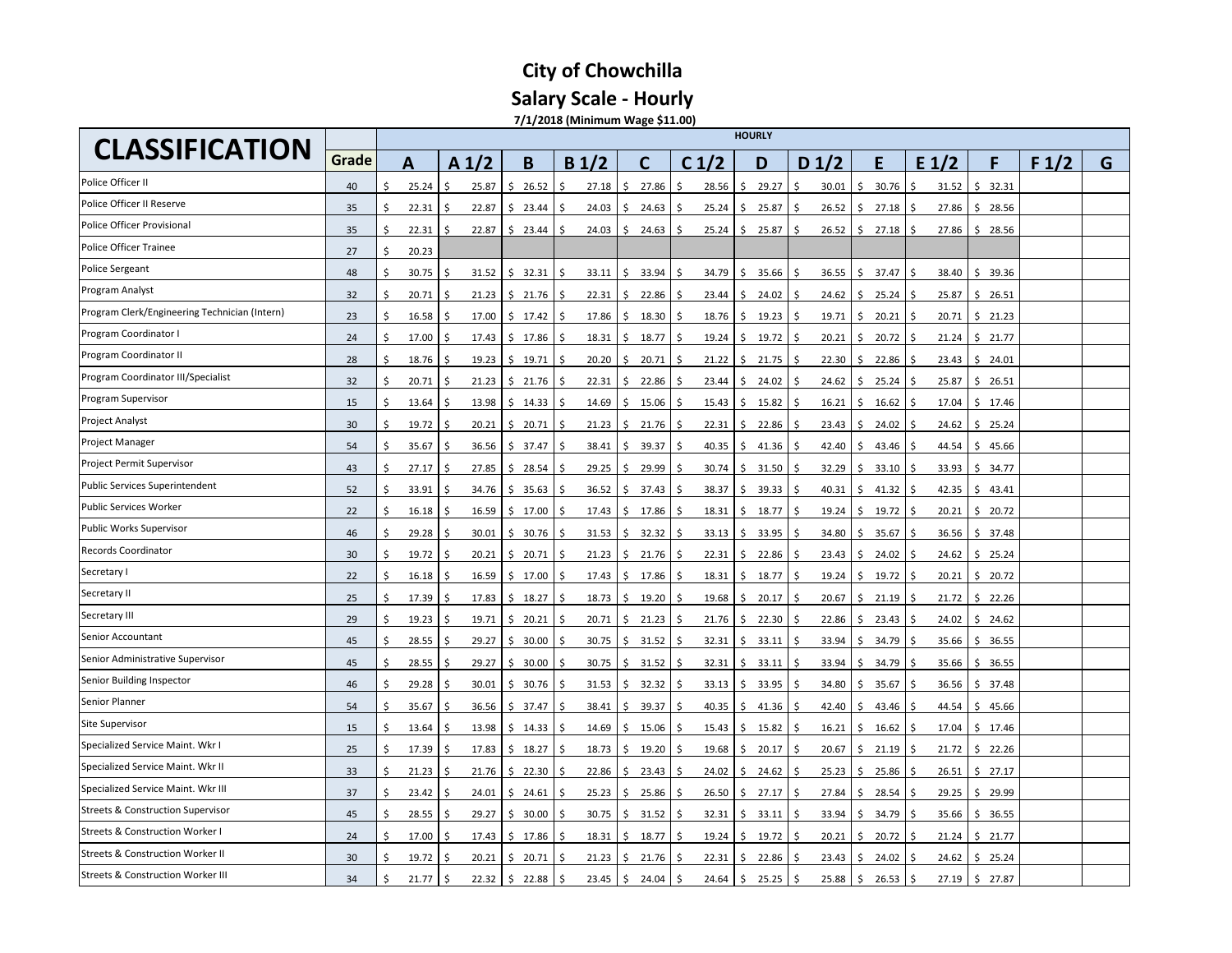**Salary Scale - Hourly** 

**7/1/2018 (Minimum Wage \$11.00)**

| <b>CLASSIFICATION</b>                         |       |    |       |               |                   |             |     |                   |              |       |     |                  |              | <b>HOURLY</b> |                     |                  |     |            |     |                  |             |                  |   |
|-----------------------------------------------|-------|----|-------|---------------|-------------------|-------------|-----|-------------------|--------------|-------|-----|------------------|--------------|---------------|---------------------|------------------|-----|------------|-----|------------------|-------------|------------------|---|
|                                               | Grade |    | A     |               | A <sub>1</sub> /2 | B           |     | B <sub>1</sub> /2 |              | C     |     | C <sub>1/2</sub> |              | D             |                     | D <sub>1/2</sub> |     | E          |     | E <sub>1/2</sub> | F           | F <sub>1/2</sub> | G |
| Police Officer II                             | 40    | \$ | 25.24 | Ŝ.            | 25.87             | \$26.52     | Ŝ   | 27.18             | \$           | 27.86 | \$. | 28.56            | S.           | 29.27         | \$.                 | 30.01            | \$  | 30.76      | -Ŝ  | 31.52            | \$32.31     |                  |   |
| Police Officer II Reserve                     | 35    | ς. | 22.31 |               | 22.87             | \$23.44     | Ŝ   | 24.03             | \$           | 24.63 |     | 25.24            | S            | 25.87         | -\$                 | 26.52            | \$. | 27.18      |     | 27.86            | \$28.56     |                  |   |
| Police Officer Provisional                    | 35    |    | 22.31 | Ŝ.            | 22.87             | \$23.44     | Ś   | 24.03             | Ŝ.           | 24.63 | Ŝ.  | 25.24            | Ŝ.           | 25.87         | Ŝ.                  | 26.52            | Ś.  | 27.18      |     | 27.86            | \$28.56     |                  |   |
| Police Officer Trainee                        | 27    | Ś  | 20.23 |               |                   |             |     |                   |              |       |     |                  |              |               |                     |                  |     |            |     |                  |             |                  |   |
| Police Sergeant                               | 48    | Ś. | 30.75 | Ŝ.            | 31.52             | \$32.31     | Ŝ   | 33.11             | Ŝ.           | 33.94 | Ŝ.  | 34.79            | Ŝ.           | 35.66         | \$                  | 36.55            | \$  | 37.47      | -Ś  | 38.40            | \$39.36     |                  |   |
| Program Analyst                               | 32    | Ś. | 20.71 | \$            | 21.23             | \$21.76     | Ŝ.  | 22.31             | \$           | 22.86 | Ŝ   | 23.44            | \$           | 24.02         | Ś                   | 24.62            | \$  | $25.24$ \$ |     | 25.87            | \$26.51     |                  |   |
| Program Clerk/Engineering Technician (Intern) | 23    | \$ | 16.58 | \$            | 17.00             | \$17.42     | \$  | 17.86             | \$           | 18.30 | S   | 18.76            | \$           | 19.23         | \$                  | 19.71            | \$  | 20.21      | -\$ | 20.71            | \$21.23     |                  |   |
| Program Coordinator I                         | 24    | \$ | 17.00 | .S            | 17.43             | \$17.86     | S.  | 18.31             | \$           | 18.77 | Ŝ   | 19.24            | S.           | 19.72         | \$                  | 20.21            | \$. | 20.72      | -\$ | 21.24            | \$21.77     |                  |   |
| Program Coordinator II                        | 28    | ς. | 18.76 |               | 19.23             | \$19.71     | S.  | 20.20             | \$           | 20.71 |     | 21.22            | S            | 21.75         | -\$                 | 22.30            | \$. | 22.86      |     | 23.43            | \$24.01     |                  |   |
| Program Coordinator III/Specialist            | 32    | ς. | 20.71 | Ŝ.            | 21.23             | \$21.76     | Ŝ.  | 22.31             | S.           | 22.86 | -Ŝ  | 23.44            | \$           | 24.02         | Ŝ.                  | 24.62            | \$  | 25.24      |     | 25.87            | \$26.51     |                  |   |
| Program Supervisor                            | 15    | Ś  | 13.64 | Ŝ.            | 13.98             | \$14.33     | Ŝ.  | 14.69             | Ŝ.           | 15.06 | -Ŝ  | 15.43            | Ŝ.           | 15.82         | Ŝ.                  | 16.21            | Ŝ.  | 16.62      |     | 17.04            | \$17.46     |                  |   |
| Project Analyst                               | 30    | Ś. | 19.72 | Ŝ.            | 20.21             | \$20.71     | Ŝ.  | 21.23             | Ŝ.           | 21.76 | Ś,  | 22.31            | Ŝ.           | 22.86         | Ś                   | 23.43            | \$  | 24.02      |     | 24.62            | \$25.24     |                  |   |
| Project Manager                               | 54    | Ś  | 35.67 | -Ŝ            | 36.56             | \$37.47     | -\$ | 38.41             | Ŝ.           | 39.37 |     | 40.35            | \$           | 41.36         | Ŝ.                  | 42.40            | Ŝ.  | 43.46      |     | 44.54            | 45.66<br>Ś. |                  |   |
| Project Permit Supervisor                     | 43    | ς  | 27.17 | Ŝ.            | 27.85             | \$<br>28.54 | Ś   | 29.25             | Ŝ            | 29.99 |     | 30.74            | Ŝ.           | 31.50         |                     | 32.29            | \$  | 33.10      |     | 33.93            | 34.77<br>Ś. |                  |   |
| <b>Public Services Superintendent</b>         | 52    | \$ | 33.91 |               | 34.76             | \$35.63     | \$. | 36.52             | \$           | 37.43 | S   | 38.37            | S            | 39.33         | -\$                 | 40.31            | \$. | 41.32      |     | 42.35            | \$43.41     |                  |   |
| Public Services Worker                        | 22    | \$ | 16.18 | <sub>S</sub>  | 16.59             | \$17.00     | -\$ | 17.43             | \$           | 17.86 | S   | 18.31            | S            | 18.77         | \$                  | 19.24            | \$. | 19.72      | -\$ | 20.21            | \$<br>20.72 |                  |   |
| Public Works Supervisor                       | 46    |    | 29.28 | S.            | 30.01             | \$<br>30.76 | Ŝ   | 31.53             | S.           | 32.32 | ς   | 33.13            | \$           | 33.95         | Ŝ.                  | 34.80            | Ŝ.  | 35.67      |     | 36.56            | \$37.48     |                  |   |
| <b>Records Coordinator</b>                    | 30    | Ś  | 19.72 | Ŝ.            | 20.21             | \$<br>20.71 | Ŝ   | 21.23             | \$           | 21.76 | -Ŝ  | 22.31            | \$           | 22.86         | Ŝ.                  | 23.43            | Ŝ.  | 24.02      |     | 24.62            | \$<br>25.24 |                  |   |
| Secretary I                                   | 22    | Ś. | 16.18 | Ŝ.            | 16.59             | \$17.00     | Ŝ   | 17.43             | Ŝ.           | 17.86 | Ŝ.  | 18.31            | Ŝ.           | 18.77         | Ŝ.                  | 19.24            | \$  | 19.72      |     | 20.21            | \$20.72     |                  |   |
| Secretary II                                  | 25    | Ś  | 17.39 | .S            | 17.83             | \$18.27     | -\$ | 18.73             | Ŝ.           | 19.20 |     | 19.68            | \$           | 20.17         | Ś                   | 20.67            | \$  | 21.19      |     | 21.72            | \$22.26     |                  |   |
| Secretary III                                 | 29    | Ś. | 19.23 |               | 19.71             | \$<br>20.21 | Ŝ.  | 20.71             | Ś.           | 21.23 | S   | 21.76            | Ŝ.           | 22.30         | Ś                   | 22.86            | \$  | 23.43      |     | 24.02            | \$24.62     |                  |   |
| Senior Accountant                             | 45    | Ś. | 28.55 |               | 29.27             | \$30.00     | Ŝ   | 30.75             | \$           | 31.52 | ς   | 32.31            | ς            | 33.11         | -S                  | 33.94            | \$. | 34.79      |     | 35.66            | \$36.55     |                  |   |
| Senior Administrative Supervisor              | 45    | Ś. | 28.55 | Ŝ.            | 29.27             | \$30.00     | \$  | 30.75             | \$           | 31.52 | S   | 32.31            | S            | 33.11         | \$                  | 33.94            | \$  | 34.79      | -\$ | 35.66            | \$36.55     |                  |   |
| Senior Building Inspector                     | 46    | \$ | 29.28 | \$.           | 30.01             | \$<br>30.76 | Ŝ.  | 31.53             | \$           | 32.32 | Ŝ.  | 33.13            | S.           | 33.95         | Ś                   | 34.80            | \$  | 35.67      | -Ŝ  | 36.56            | \$37.48     |                  |   |
| Senior Planner                                | 54    | Ś  | 35.67 | Ŝ.            | 36.56             | \$<br>37.47 | Ŝ   | 38.41             | Ŝ.           | 39.37 | Ŝ.  | 40.35            | S.           | 41.36         | Ŝ.                  | 42.40            | Ŝ.  | 43.46      |     | 44.54            | Ś.<br>45.66 |                  |   |
| Site Supervisor                               | 15    | Ś. | 13.64 | <sup>\$</sup> | 13.98             | \$14.33     | Ŝ   | 14.69             | Ŝ.           | 15.06 | Ś,  | 15.43            | Ŝ.           | 15.82         | Ś                   | 16.21            | \$  | 16.62      |     | 17.04            | \$17.46     |                  |   |
| Specialized Service Maint. Wkr I              | 25    | Ś  | 17.39 | Ŝ.            | 17.83             | \$18.27     | -\$ | 18.73             | Ŝ.           | 19.20 |     | 19.68            | \$           | 20.17         | Ś                   | 20.67            | \$  | 21.19      |     | 21.72            | \$22.26     |                  |   |
| Specialized Service Maint. Wkr II             | 33    | ς  | 21.23 |               | 21.76             | \$<br>22.30 | Ŝ   | 22.86             | Ŝ            | 23.43 |     | 24.02            | Ŝ            | 24.62         |                     | 25.23            | Ŝ.  | 25.86      |     | 26.51            | \$27.17     |                  |   |
| Specialized Service Maint. Wkr III            | 37    | Ś. | 23.42 |               | 24.01             | \$24.61     | Ŝ   | 25.23             | \$           | 25.86 | S   | 26.50            | <sub>S</sub> | 27.17         | -S                  | 27.84            | \$. | 28.54      |     | 29.25            | \$29.99     |                  |   |
| <b>Streets &amp; Construction Supervisor</b>  | 45    | Ś. | 28.55 |               | 29.27             | \$30.00     | Ŝ.  | 30.75             | \$           | 31.52 |     | 32.31            |              | 33.11         | Ś                   | 33.94            | \$. | 34.79      |     | 35.66            | 36.55<br>\$ |                  |   |
| Streets & Construction Worker I               | 24    | Ŝ  | 17.00 | Ŝ.            | 17.43             | \$<br>17.86 | Ŝ   | 18.31             | \$           | 18.77 | -S  | 19.24            | S.           | 19.72         | -\$                 | 20.21            | \$  | 20.72      | -Ŝ  | 21.24            | \$<br>21.77 |                  |   |
| Streets & Construction Worker II              | 30    | Ś  | 19.72 | Ŝ.            | 20.21             | \$<br>20.71 | Ŝ   | 21.23             | \$           | 21.76 | S   | 22.31            | \$           | 22.86         | Ś                   | 23.43            | \$  | 24.02      |     | 24.62            | \$<br>25.24 |                  |   |
| Streets & Construction Worker III             | 34    | Ś. | 21.77 | \$            | 22.32             | \$22.88     | Ŝ.  | 23.45             | $\mathsf{S}$ | 24.04 | - Ś | 24.64            | \$           | 25.25         | $\ddot{\mathsf{S}}$ | 25.88            | \$  | $26.53$ \$ |     | 27.19            | \$27.87     |                  |   |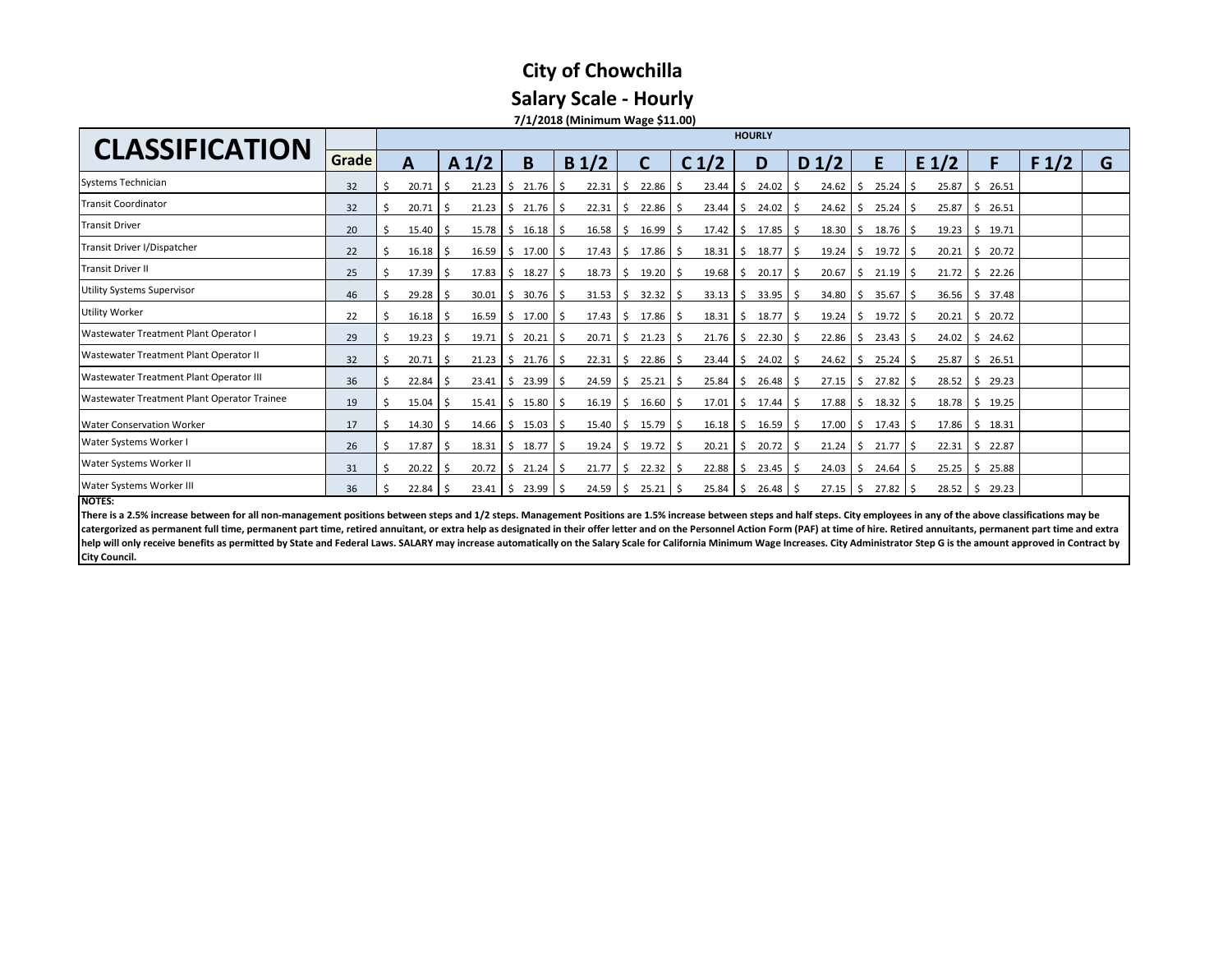**Salary Scale - Hourly** 

**7/1/2018 (Minimum Wage \$11.00)**

|                                             |       |               |     |                   |      |                                                     |                       |                                           |                       |            | <b>HOURLY</b>                         |    |                    |    |                                     |         |    |                                    |                   |   |
|---------------------------------------------|-------|---------------|-----|-------------------|------|-----------------------------------------------------|-----------------------|-------------------------------------------|-----------------------|------------|---------------------------------------|----|--------------------|----|-------------------------------------|---------|----|------------------------------------|-------------------|---|
| <b>CLASSIFICATION</b>                       | Grade | Α             |     | A <sub>1</sub> /2 |      | B                                                   | B <sub>1</sub> /2     | C                                         | C <sub>1/2</sub>      |            | D                                     |    | D $1/2$            |    | E                                   | $E_1/2$ |    | F                                  | F <sub>1</sub> /2 | G |
| Systems Technician                          | 32    | 20.71         | l S | $21.23$ \$        |      | $21.76$ S                                           | $22.31 \, \text{S}$   | $22.86$ $\overline{\phantom{0}}$ \$       | 23.44                 | 15         | 24.02                                 | -S | 24.62              | -S | $25.24$ $\overline{\phantom{1}}$ \$ | 25.87   | \$ | 26.51                              |                   |   |
| <b>Transit Coordinator</b>                  | 32    | 20.71         | l S |                   |      | $21.23$ \$ 21.76 \$                                 | $22.31$ $\frac{1}{2}$ | $22.86$ \$                                | 23.44                 | I \$       | 24.02                                 | Ŝ. | 24.62              | S. | $25.24$ $\overline{\phantom{1}}$ \$ | 25.87   |    | \$26.51                            |                   |   |
| <b>Transit Driver</b>                       | 20    | $15.40 \,$ \$ |     |                   |      | $15.78$ \$ 16.18 \$                                 | $16.58$ \$            | $16.99$ \$                                | 17.42   \$            |            | 17.85                                 | S. | 18.30              | -S | $18.76$ \$                          | 19.23   |    | \$19.71                            |                   |   |
| Transit Driver I/Dispatcher                 | 22    | $16.18$ \$    |     |                   |      | $16.59$ \$ 17.00 \$                                 |                       | $17.43$ \$ 17.86 \$                       |                       |            | 18.31 \$ 18.77                        | S. | 19.24              | \$ | $19.72 \quad$ \$                    | 20.21   |    | \$20.72                            |                   |   |
| <b>Transit Driver II</b>                    | 25    | $17.39$   \$  |     |                   |      | $17.83$ \$ 18.27 \$                                 | $18.73 \quad$ \$      | 19.20%                                    | $19.68$   \$          |            | 20.17                                 | -S | 20.67              | S. | $21.19$ \$                          | 21.72   | S. | 22.26                              |                   |   |
| <b>Utility Systems Supervisor</b>           | 46    | 29.28         | ΙS  | 30.01             | - \$ | $30.76$ S                                           | $31.53$ $\mid$ \$     | $32.32$ S                                 | $33.13$ $\frac{1}{5}$ |            | 33.95                                 | -S | 34.80              | -S | $35.67$ S                           | 36.56   |    | \$37.48                            |                   |   |
| <b>Utility Worker</b>                       | 22    | $16.18$ \$    |     |                   |      | $16.59$ \$ 17.00 \$                                 |                       | $17.43$   \$ 17.86   \$                   | 18.31                 |            | \$18.77                               | S. | 19.24              | S. | $19.72$   \$                        | 20.21   |    | \$20.72                            |                   |   |
| Wastewater Treatment Plant Operator I       | 29    | 19.23         | l S |                   |      | $19.71$ \$ 20.21 \$                                 | 20.71 S               | $21.23$ \$                                | $21.76$ \$            |            | 22.30                                 | -S | 22.86              | S. | $23.43$ \$                          | 24.02   |    | \$24.62                            |                   |   |
| Wastewater Treatment Plant Operator II      | 32    | 20.71         | l S |                   |      | $21.23$ \$ 21.76 \$                                 | $22.31$   \$          | $22.86$ \$                                | 23.44                 | I\$        | 24.02                                 | S. | 24.62              | -S | $25.24$ $\overline{\phantom{1}}$ \$ | 25.87   | S. | 26.51                              |                   |   |
| Wastewater Treatment Plant Operator III     | 36    | 22.84         | l S |                   |      | $23.41 \mid \xi$ 23.99 $\mid \xi$                   | $24.59$ \$            | $25.21 \quad$ \$                          | 25.84                 | 15         | 26.48                                 | -S | 27.15              | S. | $27.82 \quad$ \$                    | 28.52   |    | \$29.23                            |                   |   |
| Wastewater Treatment Plant Operator Trainee | 19    | 15.04         | l S |                   |      | $15.41 \quad \text{\$} \quad 15.80 \quad \text{\$}$ | $16.19$ $\sqrt{5}$    | $16.60 \quad$ \$                          |                       |            | $17.01 \quad $17.44$                  | -Ŝ | 17.88              | -S | $18.32$   \$                        | 18.78   |    | \$19.25                            |                   |   |
| <b>Water Conservation Worker</b>            | 17    | $14.30$   \$  |     |                   |      | $14.66$   \$ 15.03   \$                             | $15.40 \mid \zeta$    | $15.79$ \$                                |                       |            | $16.18$ \$ $16.59$                    | -Ŝ | 17.00              | S. | $17.43 \mid \zeta$                  | 17.86   |    | \$18.31                            |                   |   |
| Water Systems Worker I                      | 26    | 17.87         | l S |                   |      | $18.31 \mid \xi$ 18.77 $\mid \xi$                   | $19.24 \,$ \$         | $19.72 \quad$ \$                          | 20.21                 | $\sqrt{5}$ | 20.72                                 | -Ŝ | 21.24              | S. | $21.77$ S                           | 22.31   |    | \$22.87                            |                   |   |
| Water Systems Worker II                     | 31    | $20.22$ \$    |     |                   |      | $20.72$ \$ 21.24 \$                                 |                       | $21.77$ $\frac{1}{2}$ 22.32 $\frac{1}{2}$ |                       |            | $22.88$ \$ 23.45                      | S. | $24.03 \mid \zeta$ |    | $24.64$ \$                          | 25.25   |    | \$25.88                            |                   |   |
| Water Systems Worker III                    | 36    | 22.84         |     |                   |      | $23.41 \quad \text{S} \quad 23.99 \quad \text{S}$   |                       | $24.59$ \$ 25.21 \$                       |                       |            | $25.84 \quad \frac{2}{5} \quad 26.48$ | -Ŝ | $27.15$ $\sqrt{5}$ |    | $27.82 \mid$ \$                     |         |    | $28.52 \quad \text{S} \quad 29.23$ |                   |   |
| <b>NOTES:</b>                               |       |               |     |                   |      |                                                     |                       |                                           |                       |            |                                       |    |                    |    |                                     |         |    |                                    |                   |   |

There is a 2.5% increase between for all non-management positions between steps and 1/2 steps. Management Positions are 1.5% increase between steps and half steps. City employees in any of the above classifications may be catergorized as permanent full time, permanent part time, retired annuitant, or extra help as designated in their offer letter and on the Personnel Action Form (PAF) at time of hire. Retired annuitants, permanent part time help will only receive benefits as permitted by State and Federal Laws. SALARY may increase automatically on the Salary Scale for California Minimum Wage Increases. City Administrator Step G is the amount approved in Contr **City Council.**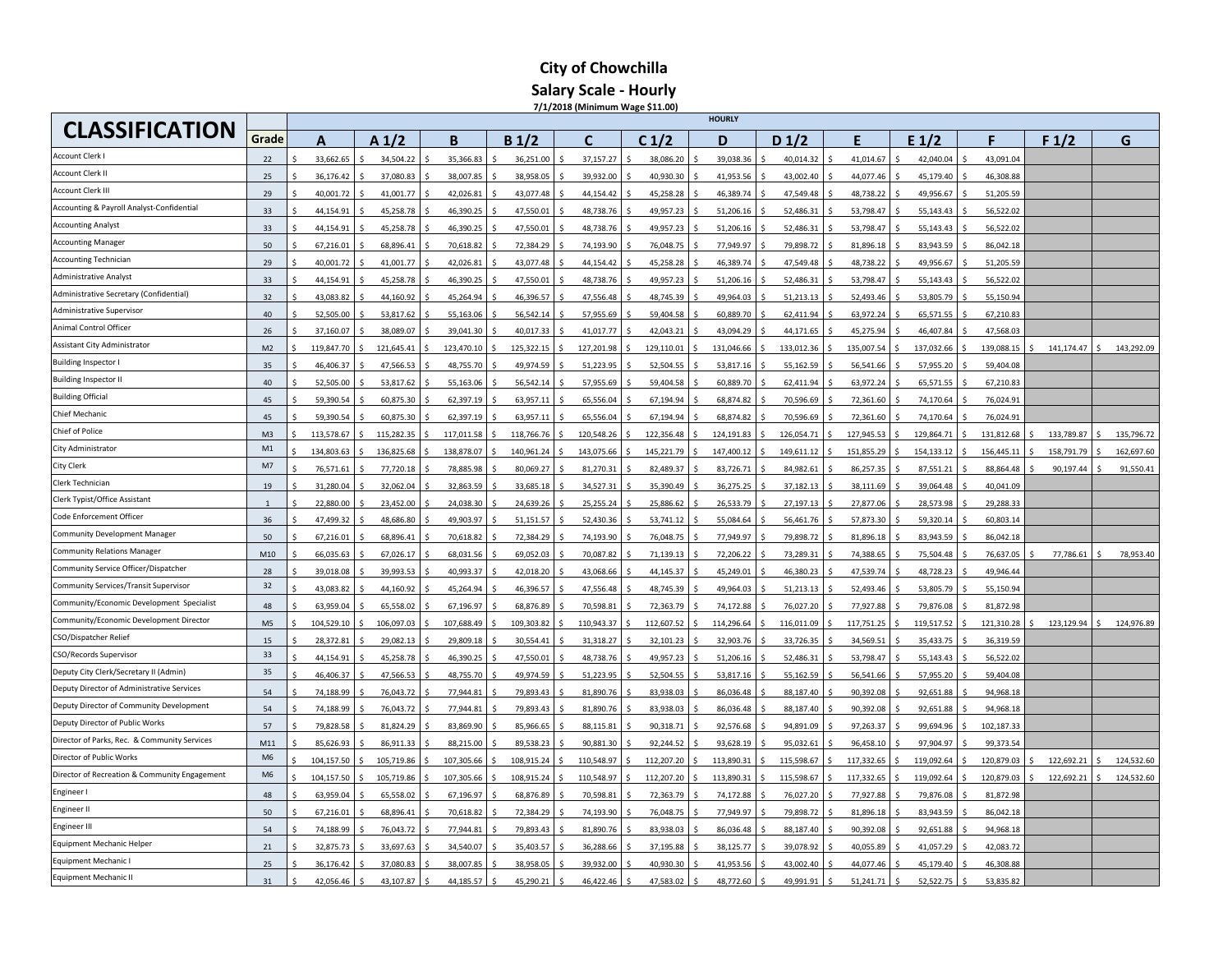#### **City of Chowchilla Salary Scale - Hourly 7/1/2018 (Minimum Wage \$11.00)**

| <b>CLASSIFICATION</b>                         |                |            |            |            |                  |            |                  | <b>HOURLY</b> |            |            |                  |            |            |                  |            |            |
|-----------------------------------------------|----------------|------------|------------|------------|------------------|------------|------------------|---------------|------------|------------|------------------|------------|------------|------------------|------------|------------|
|                                               | Grade          | A          | A1/2       | B          | B <sub>1/2</sub> | C          | C <sub>1/2</sub> | D             | D $1/2$    | F          | E <sub>1/2</sub> |            | F          | F <sub>1/2</sub> |            | G          |
| <b>ccount Clerk</b>                           | 22             | 33,662.65  | 34,504.22  | 35,366.83  | 36,251.00        | 37,157.27  | 38,086.20        | 39,038.36     | 40,014.32  | 41,014.67  |                  | 42,040.04  | 43,091.04  |                  |            |            |
| <b>Account Clerk II</b>                       | 25             | 36,176.42  | 37,080.83  | 38,007.85  | 38,958.05        | 39,932.00  | 40,930.30        | 41,953.56     | 43,002.40  | 44,077.46  |                  | 45,179.40  | 46,308.88  |                  |            |            |
| Account Clerk II                              | 29             | 40,001.72  | 41.001.77  | 42,026.81  | 43,077.48        | 44.154.42  | 45,258.28        | 46,389.74     | 47,549.48  | 48.738.22  |                  | 49,956.67  | 51,205.59  |                  |            |            |
| Accounting & Payroll Analyst-Confidential     | 33             | 44,154.91  | 45,258.78  | 46,390.25  | 47,550.01        | 48,738.76  | 49,957.23        | 51,206.16     | 52,486.31  | 53,798.47  |                  | 55,143.43  | 56,522.02  |                  |            |            |
| <b>Accounting Analyst</b>                     | 33             | 44,154.91  | 45,258.78  | 46,390.25  | 47,550.01        | 48,738.76  | 49,957.23        | 51,206.16     | 52,486.31  | 53,798.47  |                  | 55,143.43  | 56,522.02  |                  |            |            |
| <b>Accounting Manager</b>                     | 50             | 67,216.01  | 68,896.41  | 70,618.82  | 72,384.29        | 74,193.90  | 76,048.75        | 77,949.97     | 79,898.72  | 81,896.18  |                  | 83,943.59  | 86,042.18  |                  |            |            |
| <b>Accounting Technician</b>                  | 29             | 40,001.72  | 41,001.77  | 42,026.81  | 43,077.48        | 44,154.42  | 45,258.28        | 46,389.74     | 47,549.48  | 48,738.22  |                  | 49,956.67  | 51,205.59  |                  |            |            |
| <b>Administrative Analyst</b>                 | 33             | 44,154.91  | 45,258.78  | 46,390.25  | 47,550.01        | 48,738.76  | 49,957.23        | 51,206.16     | 52,486.31  | 53,798.47  |                  | 55,143.43  | 56,522.02  |                  |            |            |
| Administrative Secretary (Confidential)       | 32             | 43.083.82  | 44.160.92  | 45,264.94  | 46.396.57        | 47,556.48  | 48.745.39        | 49.964.03     | 51,213.13  | 52.493.46  |                  | 53.805.79  | 55,150.94  |                  |            |            |
| Administrative Supervisor                     | 40             | 52.505.00  | 53.817.62  | 55.163.06  | 56.542.14        | 57.955.69  | 59.404.58        | 60.889.70     | 62.411.94  | 63.972.24  |                  | 65.571.55  | 67.210.83  |                  |            |            |
| <b>Animal Control Officer</b>                 | 26             | 37,160.07  | 38,089.07  | 39,041.30  | 40,017.33        | 41,017.77  | 42,043.21        | 43,094.29     | 44,171.65  | 45,275.94  |                  | 46,407.84  | 47,568.03  |                  |            |            |
| Assistant City Administrator                  | M <sub>2</sub> | 119,847.70 | 121,645.41 | 123,470.10 | 125,322.15       | 127,201.98 | 129,110.01       | 131,046.66    | 133,012.36 | 135,007.54 |                  | 137,032.66 | 139,088.15 |                  | 141,174.47 | 143,292.09 |
| <b>Building Inspector I</b>                   | 35             | 46,406.37  | 47,566.53  | 48,755.70  | 49,974.59        | 51,223.95  | 52,504.55        | 53,817.16     | 55,162.59  | 56,541.66  |                  | 57,955.20  | 59,404.08  |                  |            |            |
| <b>Building Inspector II</b>                  | 40             | 52,505.00  | 53,817.62  | 55,163.06  | 56,542.14        | 57,955.69  | 59,404.58        | 60,889.70     | 62,411.94  | 63,972.24  |                  | 65,571.55  | 67,210.83  |                  |            |            |
| <b>Building Official</b>                      | 45             | 59,390.54  | 60,875.30  | 62,397.19  | 63,957.11        | 65,556.04  | 67,194.94        | 68,874.82     | 70,596.69  | 72,361.60  |                  | 74,170.64  | 76,024.91  |                  |            |            |
| Chief Mechanic                                | 45             | 59,390.54  | 60,875.30  | 62,397.19  | 63,957.11        | 65,556.04  | 67,194.94        | 68,874.82     | 70,596.69  | 72,361.60  |                  | 74,170.64  | 76,024.91  |                  |            |            |
| Chief of Police                               | M <sup>3</sup> | 113.578.67 | 115,282.35 | 117,011.58 | 118.766.76       | 120.548.26 | 122.356.48       | 124,191.83    | 126.054.71 | 127,945.53 |                  | 129,864.71 | 131,812.68 |                  | 133.789.87 | 135.796.72 |
| City Administrator                            | M1             | 134.803.63 | 136.825.68 | 138,878.07 | 140,961.24       | 143,075.66 | 145,221.79       | 147,400.12    | 149,611.12 | 151.855.29 |                  | 154,133.12 | 156.445.11 |                  | 158.791.79 | 162.697.60 |
| City Clerk                                    | M7             | 76,571.61  | 77,720.18  | 78,885.98  | 80,069.27        | 81,270.31  | 82,489.37        | 83,726.71     | 84,982.61  | 86,257.35  |                  | 87,551.21  | 88,864.48  |                  | 90,197.44  | 91,550.41  |
| Clerk Technician                              | 19             | 31.280.04  | 32.062.04  | 32.863.59  | 33.685.18        | 34.527.31  | 35.390.49        | 36,275.25     | 37.182.13  | 38.111.69  |                  | 39,064.48  | 40.041.09  |                  |            |            |
| Clerk Typist/Office Assistant                 |                | 22,880.00  | 23,452.00  | 24,038.30  | 24,639.26        | 25,255.24  | 25,886.62        | 26,533.79     | 27,197.13  | 27,877.06  |                  | 28,573.98  | 29,288.33  |                  |            |            |
| Code Enforcement Officer                      | 36             | 47,499.32  | 48,686.80  | 49,903.97  | 51,151.57        | 52,430.36  | 53,741.12        | 55,084.64     | 56,461.76  | 57,873.30  |                  | 59,320.14  | 60,803.14  |                  |            |            |
| <b>Community Development Manager</b>          | 50             | 67,216.01  | 68,896.41  | 70,618.82  | 72,384.29        | 74,193.90  | 76,048.75        | 77,949.97     | 79,898.72  | 81,896.18  |                  | 83,943.59  | 86,042.18  |                  |            |            |
| <b>Community Relations Manager</b>            | M10            | 66,035.63  | 67,026.17  | 68,031.56  | 69,052.03        | 70,087.82  | 71,139.1         | 72,206.22     | 73,289.31  | 74,388.65  |                  | 75,504.48  | 76,637.05  |                  | 77,786.61  | 78,953.40  |
| Community Service Officer/Dispatcher          | 28             | 39,018.08  | 39,993.53  | 40,993.37  | 42,018.20        | 43,068.66  | 44,145.37        | 45,249.01     | 46,380.23  | 47,539.74  |                  | 48,728.23  | 49,946.44  |                  |            |            |
| Community Services/Transit Supervisor         | 32             | 43.083.82  | 44.160.92  | 45.264.94  | 46.396.57        | 47.556.48  | 48.745.39        | 49.964.03     | 51.213.13  | 52.493.46  |                  | 53.805.79  | 55.150.94  |                  |            |            |
| Community/Economic Development Specialist     | 48             | 63,959.04  | 65,558.02  | 67,196.97  | 68,876.89        | 70,598.81  | 72,363.79        | 74,172.88     | 76,027.20  | 77,927.88  |                  | 79,876.08  | 81,872.98  |                  |            |            |
| Community/Economic Development Director       | M <sub>5</sub> | 104,529.10 | 106,097.03 | 107,688.49 | 109,303.82       | 110,943.37 | 112,607.52       | 114,296.64    | 116,011.09 | 117,751.25 |                  | 119,517.52 | 121,310.28 |                  | 123,129.94 | 124.976.89 |
| CSO/Dispatcher Relief                         | 15             | 28,372.81  | 29,082.13  | 29,809.18  | 30,554.41        | 31,318.27  | 32,101.23        | 32,903.76     | 33,726.35  | 34,569.51  |                  | 35,433.75  | 36,319.59  |                  |            |            |
| CSO/Records Supervisor                        | 33             | 44,154.91  | 45,258.78  | 46,390.25  | 47,550.01        | 48,738.76  | 49,957.23        | 51,206.16     | 52,486.31  | 53,798.47  |                  | 55,143.43  | 56,522.02  |                  |            |            |
| Deputy City Clerk/Secretary II (Admin)        | 35             | 46,406.37  | 47,566.53  | 48,755.70  | 49,974.59        | 51,223.95  | 52,504.55        | 53,817.16     | 55,162.59  | 56,541.66  |                  | 57,955.20  | 59,404.08  |                  |            |            |
| Deputy Director of Administrative Services    | 54             | 74,188.99  | 76,043.72  | 77,944.81  | 79,893.43        | 81,890.76  | 83,938.03        | 86,036.48     | 88,187.40  | 90,392.08  |                  | 92,651.88  | 94,968.18  |                  |            |            |
| Deputy Director of Community Development      | 54             | 74,188.99  | 76,043.72  | 77,944.81  | 79,893.43        | 81,890.76  | 83,938.03        | 86,036.48     | 88,187.40  | 90,392.08  |                  | 92,651.88  | 94,968.18  |                  |            |            |
| Deputy Director of Public Works               | 57             | 79.828.58  | 81.824.29  | 83,869.90  | 85,966.65        | 88.115.81  | 90,318.71        | 92,576.68     | 94.891.09  | 97,263.37  |                  | 99,694.96  | 102,187.33 |                  |            |            |
| Director of Parks, Rec. & Community Services  | M11            | 85.626.93  | 86.911.33  | 88.215.00  | 89.538.23        | 90.881.30  | 92.244.52        | 93,628.19     | 95,032.61  | 96.458.10  |                  | 97,904.97  | 99.373.54  |                  |            |            |
| Director of Public Works                      | M <sub>6</sub> | 104,157.50 | 105,719.86 | 107,305.66 | 108,915.24       | 110,548.97 | 112,207.20       | 113,890.31    | 115,598.67 | 117,332.65 |                  | 119,092.64 | 120,879.03 |                  | 122,692.21 | 124,532.60 |
| Director of Recreation & Community Engagement | M <sub>6</sub> | 104,157.50 | 105,719.86 | 107,305.66 | 108,915.24       | 110,548.97 | 112,207.20       | 113,890.31    | 115,598.67 | 117,332.65 |                  | 119,092.64 | 120,879.03 |                  | 122,692.21 | 124,532.60 |
| Engineer I                                    | 48             | 63,959.04  | 65,558.02  | 67,196.97  | 68,876.89        | 70,598.81  | 72,363.79        | 74,172.88     | 76,027.20  | 77,927.88  |                  | 79,876.08  | 81,872.98  |                  |            |            |
| Engineer II                                   | 50             | 67,216.01  | 68,896.41  | 70,618.82  | 72,384.29        | 74,193.90  | 76,048.75        | 77,949.97     | 79,898.72  | 81,896.18  |                  | 83,943.59  | 86,042.18  |                  |            |            |
| Ingineer II                                   | 54             | 74,188.99  | 76,043.72  | 77,944.81  | 79,893.43        | 81,890.76  | 83,938.03        | 86,036.48     | 88,187.40  | 90,392.08  |                  | 92,651.88  | 94,968.18  |                  |            |            |
| <b>Equipment Mechanic Helper</b>              | 21             | 32,875.73  | 33,697.63  | 34,540.07  | 35,403.57        | 36,288.66  | 37,195.88        | 38,125.77     | 39,078.92  | 40,055.89  |                  | 41,057.29  | 42,083.72  |                  |            |            |
| Equipment Mechanic I                          | 25             | 36.176.42  | 37.080.83  | 38.007.85  | 38.958.05        | 39.932.00  | 40.930.30        | 41,953.56     | 43.002.40  | 44.077.46  |                  | 45.179.40  | 46,308.88  |                  |            |            |
| Equipment Mechanic II                         | 31             | 42.056.46  | 43.107.87  | 44.185.57  | 45.290.21        | 46.422.4   | 47.583.02        | 48.772.60     | 49.991.91  | 51.241.71  |                  | 52.522.75  | 53.835.82  |                  |            |            |
|                                               |                |            |            |            |                  |            |                  |               |            |            |                  |            |            |                  |            |            |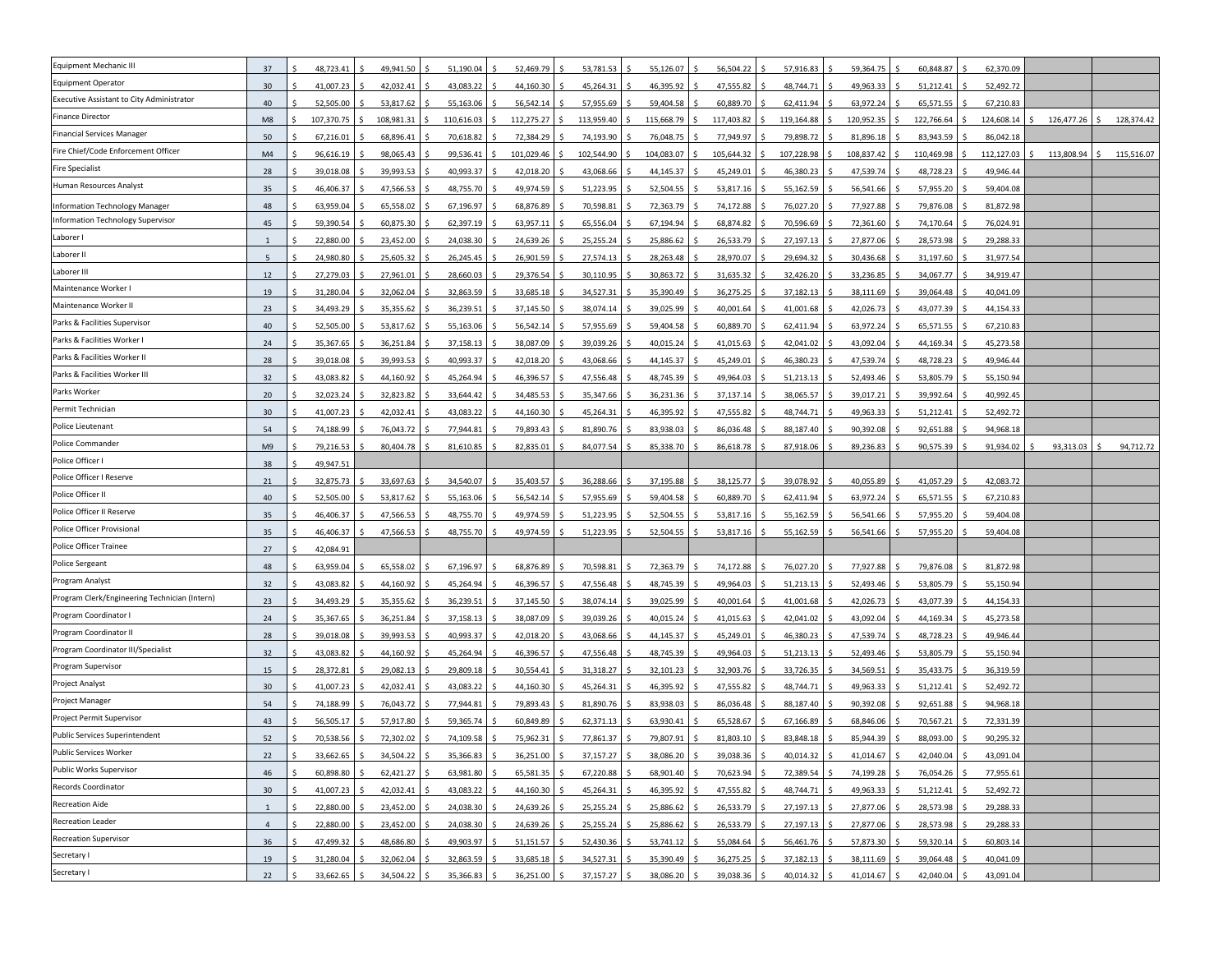| Equipment Mechanic III                        | 37             | 48,723.41  | 49,941.50  | 51,190.04       | 52,469.79  | 53,781.53  | 55,126.07  | 56,504.22  | 57,916.83  |   | 59,364.75  | 60,848.87      | 62,370.09       |            |            |
|-----------------------------------------------|----------------|------------|------------|-----------------|------------|------------|------------|------------|------------|---|------------|----------------|-----------------|------------|------------|
| Equipment Operator                            | 30             | 41,007.23  | 42,032.41  | 43,083.22       | 44,160.30  | 45,264.31  | 46,395.92  | 47,555.82  | 48,744.71  |   | 49,963.33  | 51,212.41      | 52,492.72       |            |            |
| Executive Assistant to City Administrator     | 40             | 52,505.00  | 53,817.62  | 55,163.06       | 56,542.14  | 57,955.69  | 59,404.58  | 60,889.70  | 62,411.94  |   | 63,972.24  | 65,571.55      | 67,210.83       |            |            |
| <b>Finance Director</b>                       | M8             | 107,370.75 | 108,981.31 | 110,616.03      | 112,275.27 | 113,959.40 | 115,668.79 | 117,403.82 | 119,164.88 |   | 120,952.35 | 122,766.64     | 124,608.14      | 126,477.26 | 128,374.42 |
| Financial Services Manager                    | 50             | 67,216.01  | 68,896.41  | 70,618.82       | 72,384.29  | 74,193.90  | 76,048.75  | 77,949.97  | 79,898.72  |   | 81,896.18  | 83,943.59      | 86,042.18       |            |            |
| Fire Chief/Code Enforcement Officer           | M4             | 96,616.19  | 98,065.43  | 99,536.41       | 101,029.46 | 102,544.90 | 104,083.07 | 105,644.32 | 107,228.98 |   | 108,837.42 | 110,469.98     | 112,127.03      | 113,808.94 | 115,516.07 |
| Fire Specialist                               | 28             | 39,018.08  | 39,993.53  | 40,993.37       | 42,018.20  | 43,068.66  | 44,145.37  | 45,249.01  | 46,380.23  |   | 47,539.74  | 48,728.23      | 49,946.44       |            |            |
| Human Resources Analyst                       | 35             | 46,406.37  | 47,566.53  | 48,755.70       | 49,974.59  | 51,223.95  | 52,504.55  | 53,817.16  | 55,162.59  |   | 56,541.66  | 57,955.20      | 59,404.08       |            |            |
| Information Technology Manager                | 48             | 63,959.04  | 65,558.02  | 67,196.97       | 68,876.89  | 70,598.81  | 72,363.79  | 74,172.88  | 76,027.20  |   | 77,927.88  | 79,876.08      | 81,872.98       |            |            |
| Information Technology Supervisor             | 45             | 59,390.54  | 60,875.30  | 62,397.19       | 63,957.11  | 65,556.04  | 67,194.94  | 68,874.82  | 70,596.69  |   | 72,361.60  | 74,170.64      | 76,024.91       |            |            |
| Laborer I                                     | 1              | 22,880.00  | 23,452.00  | 24,038.30       | 24,639.26  | 25,255.24  | 25,886.62  | 26,533.79  | 27,197.13  |   | 27,877.06  | 28,573.98      | 29,288.33       |            |            |
| Laborer II                                    | 5              | 24,980.80  | 25,605.32  | 26,245.45       | 26,901.59  | 27,574.13  | 28,263.48  | 28,970.07  | 29,694.32  |   | 30,436.68  | 31,197.60      | 31,977.54       |            |            |
| Laborer III                                   | 12             | 27,279.03  | 27,961.01  | 28,660.03       | 29,376.54  | 30,110.95  | 30,863.72  | 31,635.32  | 32,426.20  |   | 33,236.85  | 34,067.77      | 34,919.47       |            |            |
| Maintenance Worker I                          | 19             | 31,280.04  | 32,062.04  | 32,863.59       | 33,685.18  | 34,527.31  | 35,390.49  | 36,275.25  | 37,182.13  |   | 38,111.69  | 39,064.48      | 40,041.09       |            |            |
| Maintenance Worker II                         | 23             | 34,493.29  | 35,355.62  | 36,239.51       | 37,145.50  | 38,074.14  | 39,025.99  | 40,001.64  | 41,001.68  |   | 42,026.73  | 43,077.39      | 44,154.33       |            |            |
| Parks & Facilities Supervisor                 | 40             | 52,505.00  | 53,817.62  | 55,163.06       | 56,542.14  | 57,955.69  | 59,404.58  | 60,889.70  | 62,411.94  |   | 63,972.24  | 65,571.55      | 67,210.83       |            |            |
| Parks & Facilities Worker I                   | 24             | 35,367.65  | 36,251.84  | 37,158.13       | 38,087.09  | 39,039.26  | 40,015.24  | 41,015.63  | 42,041.02  |   | 43,092.04  | 44,169.34      | 45,273.58       |            |            |
| Parks & Facilities Worker II                  | 28             | 39,018.08  | 39,993.53  | 40,993.37       | 42,018.20  | 43,068.66  | 44,145.37  | 45,249.01  | 46,380.23  |   | 47,539.74  | 48,728.23      | 49,946.44       |            |            |
| Parks & Facilities Worker III                 | 32             | 43,083.82  | 44,160.92  | 45,264.94       | 46,396.57  | 47,556.48  | 48,745.39  | 49,964.03  | 51,213.13  |   | 52,493.46  | 53,805.79      | 55,150.94       |            |            |
| Parks Worker                                  | 20             | 32,023.24  | 32,823.82  | 33,644.42       | 34,485.53  | 35,347.66  | 36,231.36  | 37,137.14  | 38,065.57  |   | 39,017.21  | 39,992.64      | 40,992.45       |            |            |
| Permit Technician                             | 30             | 41,007.23  | 42,032.41  | 43,083.22       | 44,160.30  | 45,264.31  | 46,395.92  | 47,555.82  | 48,744.71  |   | 49,963.33  | 51,212.41      | 52,492.72       |            |            |
| Police Lieutenant                             | 54             | 74,188.99  | 76,043.72  | 77,944.81       | 79,893.43  | 81,890.76  | 83,938.03  | 86,036.48  | 88,187.40  |   | 90,392.08  | 92,651.88      | 94,968.18       |            |            |
| Police Commander                              | M <sub>9</sub> | 79,216.53  | 80,404.78  | 81,610.85       | 82,835.01  | 84,077.54  | 85,338.70  | 86,618.78  | 87,918.06  |   | 89,236.83  | 90,575.39      | 91,934.02       | 93,313.03  | 94,712.72  |
| Police Officer I                              | 38             | 49,947.51  |            |                 |            |            |            |            |            |   |            |                |                 |            |            |
| Police Officer I Reserve                      | 21             | 32,875.73  | 33,697.63  | 34,540.07       | 35,403.57  | 36,288.66  | 37,195.88  | 38,125.77  | 39,078.92  |   | 40,055.89  | 41,057.29      | 42,083.72       |            |            |
| Police Officer II                             | 40             | 52,505.00  | 53,817.62  | 55,163.06       | 56,542.14  | 57,955.69  | 59,404.58  | 60,889.70  | 62,411.94  |   | 63,972.24  | 65,571.55      | 67,210.83       |            |            |
| Police Officer II Reserve                     | 35             | 46,406.37  | 47,566.53  | 48,755.70       | 49,974.59  | 51,223.95  | 52,504.55  | 53,817.16  | 55,162.59  |   | 56,541.66  | 57,955.20      | 59,404.08       |            |            |
| Police Officer Provisional                    | 35             | 46,406.37  | 47,566.53  | 48,755.70       | 49,974.59  | 51,223.95  | 52,504.55  | 53,817.16  | 55,162.59  |   | 56,541.66  | 57,955.20      | 59,404.08       |            |            |
| Police Officer Trainee                        | 27             | 42,084.91  |            |                 |            |            |            |            |            |   |            |                |                 |            |            |
| Police Sergeant                               | 48             | 63,959.04  | 65,558.02  | 67,196.97       | 68,876.89  | 70,598.81  | 72,363.79  | 74,172.88  | 76,027.20  |   | 77,927.88  | 79,876.08      | 81,872.98       |            |            |
| Program Analyst                               | 32             | 43,083.82  | 44,160.92  | 45,264.94       | 46,396.57  | 47,556.48  | 48,745.39  | 49,964.03  | 51,213.13  |   | 52,493.46  | 53,805.79      | 55,150.94       |            |            |
| Program Clerk/Engineering Technician (Intern) | 23             | 34,493.29  | 35,355.62  | 36,239.51       | 37,145.50  | 38,074.14  | 39,025.99  | 40,001.64  | 41,001.68  |   | 42,026.73  | 43,077.39      | 44,154.33       |            |            |
| Program Coordinator                           | 24             | 35,367.65  | 36,251.84  | 37,158.13       | 38,087.09  | 39,039.26  | 40,015.24  | 41,015.63  | 42,041.02  |   | 43,092.04  | 44,169.34      | 45,273.58       |            |            |
| Program Coordinator II                        | 28             | 39,018.08  | 39,993.53  | 40,993.37       | 42,018.20  | 43,068.66  | 44,145.37  | 45,249.01  | 46,380.23  |   | 47,539.74  | 48,728.23      | 49,946.44       |            |            |
| Program Coordinator III/Specialist            | 32             | 43,083.82  | 44,160.92  | 45,264.94       | 46,396.57  | 47,556.48  | 48,745.39  | 49,964.03  | 51,213.13  |   | 52,493.46  | 53,805.79      | 55,150.94       |            |            |
| Program Supervisor                            | 15             | 28,372.81  | 29,082.13  | 29,809.18       | 30,554.41  | 31,318.27  | 32,101.23  | 32,903.76  | 33,726.35  |   | 34,569.51  | 35,433.75      | 36,319.59       |            |            |
| Project Analyst                               | 30             | 41,007.23  | 42,032.41  | 43,083.22       | 44,160.30  | 45,264.31  | 46,395.92  | 47,555.82  | 48,744.71  |   | 49,963.33  | 51,212.41      | 52,492.72       |            |            |
| Project Manager                               | 54             | 74,188.99  | 76,043.72  | 77,944.81       | 79,893.43  | 81,890.76  | 83,938.03  | 86,036.48  | 88,187.40  |   | 90,392.08  | 92,651.88      | 94,968.18       |            |            |
| Project Permit Supervisor                     | 43             | 56,505.17  | 57,917.80  | 59,365.74       | 60,849.89  | 62,371.13  | 63,930.41  | 65,528.67  | 67,166.89  |   | 68,846.06  | 70,567.21      | 72,331.39       |            |            |
| Public Services Superintendent                | 52             | 70,538.56  | 72,302.02  | Ś<br>74,109.58  | 75,962.31  | 77,861.37  | 79,807.91  | 81,803.10  | 83,848.18  |   | 85,944.39  | 88,093.00      | 90,295.32       |            |            |
| <b>Public Services Worker</b>                 | 22             | 33,662.65  | 34,504.22  | 35,366.83       | 36,251.00  | 37,157.27  | 38,086.20  | 39,038.36  | 40,014.32  |   | 41,014.67  | 42,040.04      | 43,091.0        |            |            |
| Public Works Supervisor                       | 46             | 60,898.80  | 62,421.27  | 63,981.80<br>Ŝ  | 65,581.35  | 67,220.88  | 68,901.40  | 70,623.94  | 72,389.54  | ς | 74,199.28  | 76,054.26<br>S | 77,955.61       |            |            |
| Records Coordinator                           | 30             | 41,007.23  | 42,032.41  | 43,083.22       | 44,160.30  | 45,264.31  | 46,395.92  | 47,555.82  | 48,744.71  |   | 49,963.33  | 51,212.41      | 52,492.72       |            |            |
| <b>Recreation Aide</b>                        | -1             | 22,880.00  | 23,452.00  | 24,038.30       | 24,639.26  | 25,255.24  | 25,886.62  | 26,533.79  | 27,197.13  |   | 27,877.06  | 28,573.98      | 29,288.33       |            |            |
| <b>Recreation Leader</b>                      | $\overline{a}$ | 22,880.00  | 23,452.00  | 24,038.30       | 24,639.26  | 25,255.24  | 25,886.62  | 26,533.79  | 27,197.13  |   | 27,877.06  | 28,573.98      | 29,288.33       |            |            |
| <b>Recreation Supervisor</b>                  | 36             | 47,499.32  | 48,686.80  | 49,903.97       | 51,151.57  | 52,430.36  | 53,741.12  | 55,084.64  | 56,461.76  |   | 57,873.30  | 59,320.14      | 60,803.14       |            |            |
| Secretary I                                   | 19             | 31,280.04  | 32,062.04  | 32,863.59<br>.S | 33,685.18  | 34,527.31  | 35,390.49  | 36,275.25  | 37,182.13  |   | 38,111.69  | 39,064.48      | 40,041.09       |            |            |
| Secretary I                                   | 22             | 33,662.65  | 34,504.22  | 35,366.83       | 36,251.00  | 37,157.27  | 38,086.20  | 39,038.36  | 40,014.32  |   | 41,014.67  | 42,040.04      | 43,091.04<br>.S |            |            |
|                                               |                |            |            |                 |            |            |            |            |            |   |            |                |                 |            |            |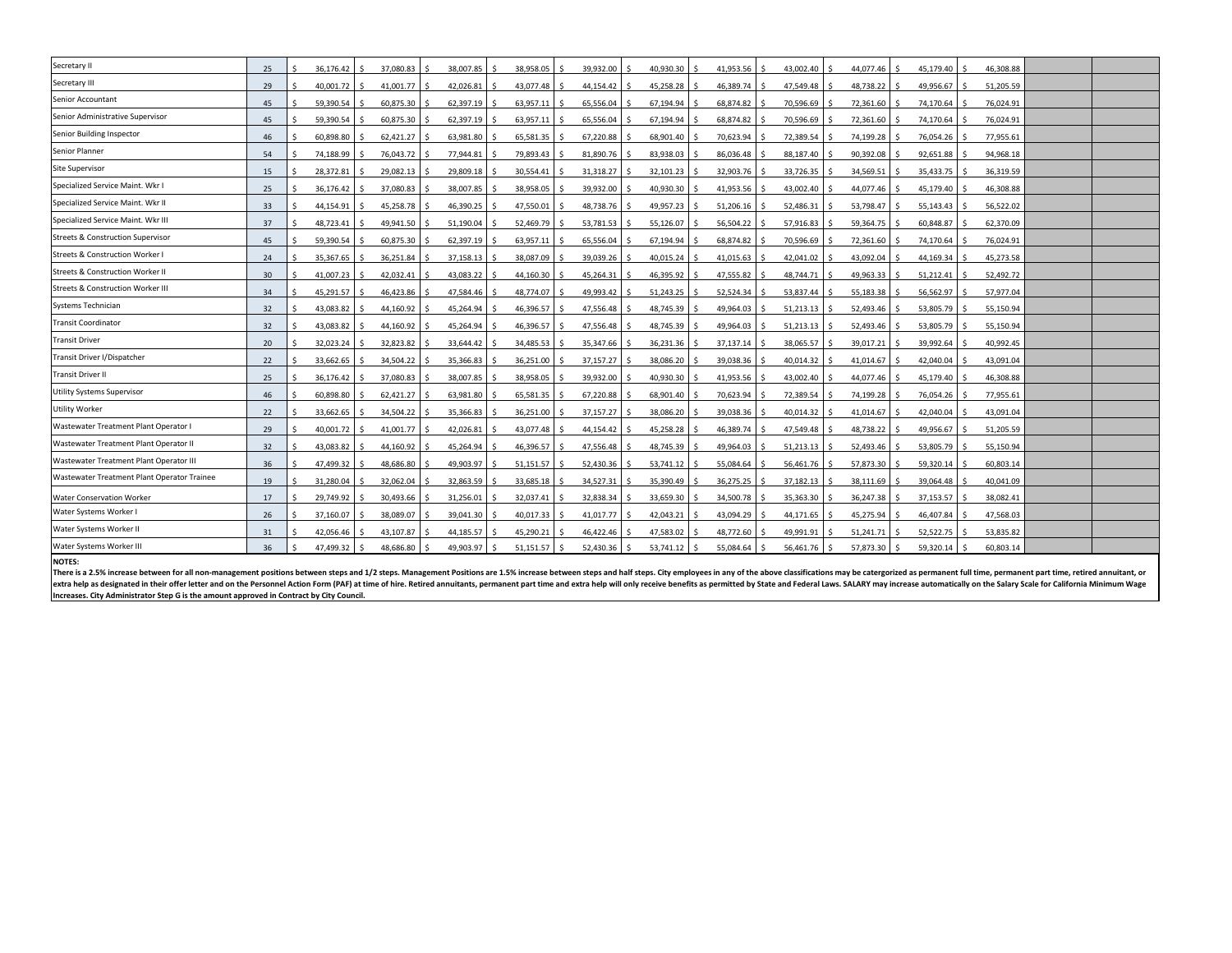| Secretary II                                 | 25 |    | 36,176.42 | -S | 37,080.83      | -S  | 38,007.85 | 38,958.05 | -S | 39,932.00 | -S | 40,930.30 | - Ś    | 41,953.56 | l S | 43,002.40 \$ | 44,077.46 \$ |    | 45,179.40 | 46,308.88 |  |
|----------------------------------------------|----|----|-----------|----|----------------|-----|-----------|-----------|----|-----------|----|-----------|--------|-----------|-----|--------------|--------------|----|-----------|-----------|--|
| Secretary III                                | 29 |    | 40,001.72 |    | $41,001.77$ \$ |     | 42,026.81 | 43,077.48 |    | 44,154.42 |    | 45,258.28 | -S     | 46,389.74 |     | 47,549.48    | 48,738.22    |    | 49,956.67 | 51,205.59 |  |
| Senior Accountant                            | 45 |    | 59.390.54 |    | 60.875.30      |     | 62.397.19 | 63.957.11 |    | 65.556.04 |    | 67.194.94 |        | 68,874.82 |     | 70,596.69    | 72,361.60    |    | 74,170.64 | 76.024.91 |  |
| Senior Administrative Supervisor             | 45 |    | 59.390.54 |    | 60.875.30      |     | 62,397.19 | 63.957.11 |    | 65.556.04 |    | 67.194.94 |        | 68,874.82 |     | 70,596.69    | 72,361.60    |    | 74,170.64 | 76,024.91 |  |
| Senior Building Inspector                    | 46 |    | 60.898.80 |    | 62.421.27      |     | 63,981.80 | 65,581.35 |    | 67,220.88 |    | 68,901.40 |        | 70,623.94 |     | 72,389.54    | 74,199.28    |    | 76,054.26 | 77,955.61 |  |
| Senior Planner                               | 54 | Ŝ. | 74,188.99 |    | 76,043.72      | -S  | 77,944.81 | 79,893.43 |    | 81,890.76 | -S | 83,938.03 | $\leq$ | 86,036.48 |     | 88,187.40    | 90,392.08    | ΙS | 92,651.88 | 94,968.18 |  |
| <b>Site Supervisor</b>                       | 15 | Š. | 28,372.81 |    | 29,082.13      |     | 29,809.18 | 30,554.41 |    | 31,318.27 |    | 32,101.23 |        | 32,903.76 |     | 33,726.35    | 34,569.51    |    | 35,433.75 | 36,319.59 |  |
| Specialized Service Maint. Wkr I             | 25 |    | 36,176.42 |    | 37,080.83      |     | 38,007.85 | 38,958.05 |    | 39,932.00 |    | 40,930.30 | - S    | 41,953.56 |     | 43,002.40    | 44,077.46 \$ |    | 45,179.40 | 46,308.88 |  |
| Specialized Service Maint. Wkr II            | 33 |    | 44,154.91 |    | 45,258.78      |     | 46,390.25 | 47,550.01 |    | 48,738.76 |    | 49,957.23 | .S     | 51,206.16 |     | 52,486.31    | 53,798.47    |    | 55,143.43 | 56.522.02 |  |
| Specialized Service Maint. Wkr III           | 37 |    | 48,723.41 |    | 49,941.50      | -Ś  | 51,190.04 | 52,469.79 |    | 53,781.53 |    | 55,126.07 |        | 56,504.22 |     | 57,916.83    | 59,364.75    |    | 60,848.87 | 62,370.09 |  |
| <b>Streets &amp; Construction Supervisor</b> | 45 |    | 59.390.54 |    | 60,875.30      |     | 62,397.19 | 63,957.11 |    | 65,556.04 |    | 67,194.94 |        | 68,874.82 |     | 70,596.69    | 72,361.60    |    | 74,170.64 | 76,024.91 |  |
| <b>Streets &amp; Construction Worker I</b>   | 24 |    | 35,367.65 |    | 36,251.84      |     | 37,158.13 | 38,087.09 |    | 39,039.26 |    | 40,015.24 |        | 41,015.63 |     | 42,041.02    | 43,092.04    |    | 44.169.34 | 45,273.58 |  |
| <b>Streets &amp; Construction Worker II</b>  | 30 |    | 41.007.23 |    | 42,032.41      | .S  | 43,083.22 | 44,160.30 |    | 45,264.31 |    | 46,395.92 | -S     | 47,555.82 |     | 48,744.71    | 49,963.33    | ΙS | 51,212.41 | 52,492.72 |  |
| <b>Streets &amp; Construction Worker III</b> | 34 |    | 45,291.57 |    | 46,423.86      |     | 47,584.46 | 48,774.07 |    | 49,993.42 |    | 51,243.25 |        | 52,524.34 |     | 53,837.44    | 55,183.38    |    | 56,562.97 | 57,977.04 |  |
| Systems Technician                           | 32 |    | 43,083.82 |    | 44,160.92      |     | 45,264.94 | 46,396.57 |    | 47,556.48 |    | 48,745.39 | S.     | 49,964.03 |     | 51,213.13    | 52,493.46    |    | 53,805.79 | 55,150.94 |  |
| <b>Transit Coordinator</b>                   | 32 |    | 43,083.82 |    | 44,160.92      |     | 45,264.94 | 46,396.57 |    | 47,556.48 |    | 48,745.39 | - S    | 49,964.03 |     | 51,213.13    | 52,493.46    |    | 53,805.79 | 55,150.94 |  |
| <b>Transit Driver</b>                        | 20 |    | 32,023.24 |    | 32,823.82      | l s | 33,644.42 | 34,485.53 |    | 35,347.66 | -S | 36,231.36 |        | 37,137.14 |     | 38,065.57    | 39,017.21    |    | 39,992.64 | 40,992.45 |  |
| Transit Driver I/Dispatcher                  | 22 |    | 33,662.65 |    | 34,504.22      |     | 35,366.83 | 36,251.00 |    | 37,157.27 |    | 38,086.20 |        | 39,038.36 |     | 40,014.32    | 41,014.67    |    | 42,040.04 | 43,091.04 |  |
| <b>Transit Driver II</b>                     | 25 |    | 36,176.42 |    | 37,080.83      |     | 38,007.85 | 38,958.05 |    | 39,932.00 |    | 40,930.30 |        | 41,953.56 |     | 43,002.40    | 44,077.46    |    | 45,179.40 | 46,308.88 |  |
| <b>Utility Systems Supervisor</b>            | 46 |    | 60.898.80 |    | 62,421.27      | -Ś  | 63,981.80 | 65,581.35 |    | 67,220.88 | -Ś | 68,901.40 | -S     | 70,623.94 |     | 72,389.54    | 74,199.28 \$ |    | 76,054.26 | 77,955.61 |  |
| Utility Worker                               | 22 |    | 33.662.65 |    | 34.504.22      |     | 35,366.83 | 36.251.00 |    | 37.157.27 |    | 38.086.20 |        | 39.038.36 |     | 40.014.32    | 41.014.67    |    | 42.040.04 | 43.091.04 |  |
| Wastewater Treatment Plant Operator I        | 29 |    | 40.001.72 |    | 41.001.77      |     | 42,026.81 | 43.077.48 |    | 44.154.42 |    | 45,258.28 |        | 46.389.74 |     | 47,549.48    | 48,738.22    |    | 49.956.67 | 51.205.59 |  |
| Wastewater Treatment Plant Operator II       | 32 |    | 43,083.82 |    | 44,160.92      |     | 45,264.94 | 46,396.57 |    | 47,556.48 |    | 48,745.39 |        | 49,964.03 |     | 51,213.13    | 52,493.46    |    | 53,805.79 | 55,150.94 |  |
| Wastewater Treatment Plant Operator III      | 36 |    | 47,499.32 |    | 48,686.80      |     | 49,903.97 | 51,151.57 |    | 52,430.36 |    | 53,741.12 |        | 55,084.64 |     | 56,461.76    | 57,873.30    |    | 59,320.14 | 60,803.14 |  |
| Wastewater Treatment Plant Operator Trainee  | 19 |    | 31,280.04 |    | 32,062.04      | .S  | 32,863.59 | 33,685.18 |    | 34,527.31 | -S | 35,390.49 | -S     | 36,275.25 |     | 37,182.13    | 38,111.69    |    | 39,064.48 | 40,041.09 |  |
| <b>Water Conservation Worker</b>             | 17 |    | 29,749.92 |    | 30,493.66      |     | 31,256.01 | 32,037.41 |    | 32,838.34 |    | 33,659.30 |        | 34,500.78 |     | 35,363.30    | 36,247.38    |    | 37,153.57 | 38,082.41 |  |
| Water Systems Worker I                       | 26 |    | 37.160.07 |    | 38,089.07      |     | 39,041.30 | 40,017.33 |    | 41,017.77 |    | 42,043.21 |        | 43,094.29 |     | 44,171.65    | 45,275.94    |    | 46,407.84 | 47,568.03 |  |
| Water Systems Worker II                      | 31 |    | 42.056.46 |    | 43.107.87      |     | 44,185.57 | 45.290.21 |    | 46.422.46 |    | 47,583.02 |        | 48.772.60 |     | 49.991.91    | 51.241.71    |    | 52,522.75 | 53.835.82 |  |
| Water Systems Worker III                     | 36 |    | 47,499.32 | -S | 48,686.80      |     | 49,903.97 | 51,151.57 | -S | 52,430.36 | \$ | 53,741.12 | -Ś     | 55,084.64 |     | 56,461.76    | 57,873.30 \$ |    | 59,320.14 | 60,803.14 |  |

NOTES:<br>There is a 2.5% increase between for all non-management positions between steps and 1/2 steps. Management Positions are 1.5% increase between steps and half steps. City employees in any of the above classifications **Increases. City Administrator Step G is the amount approved in Contract by City Council.**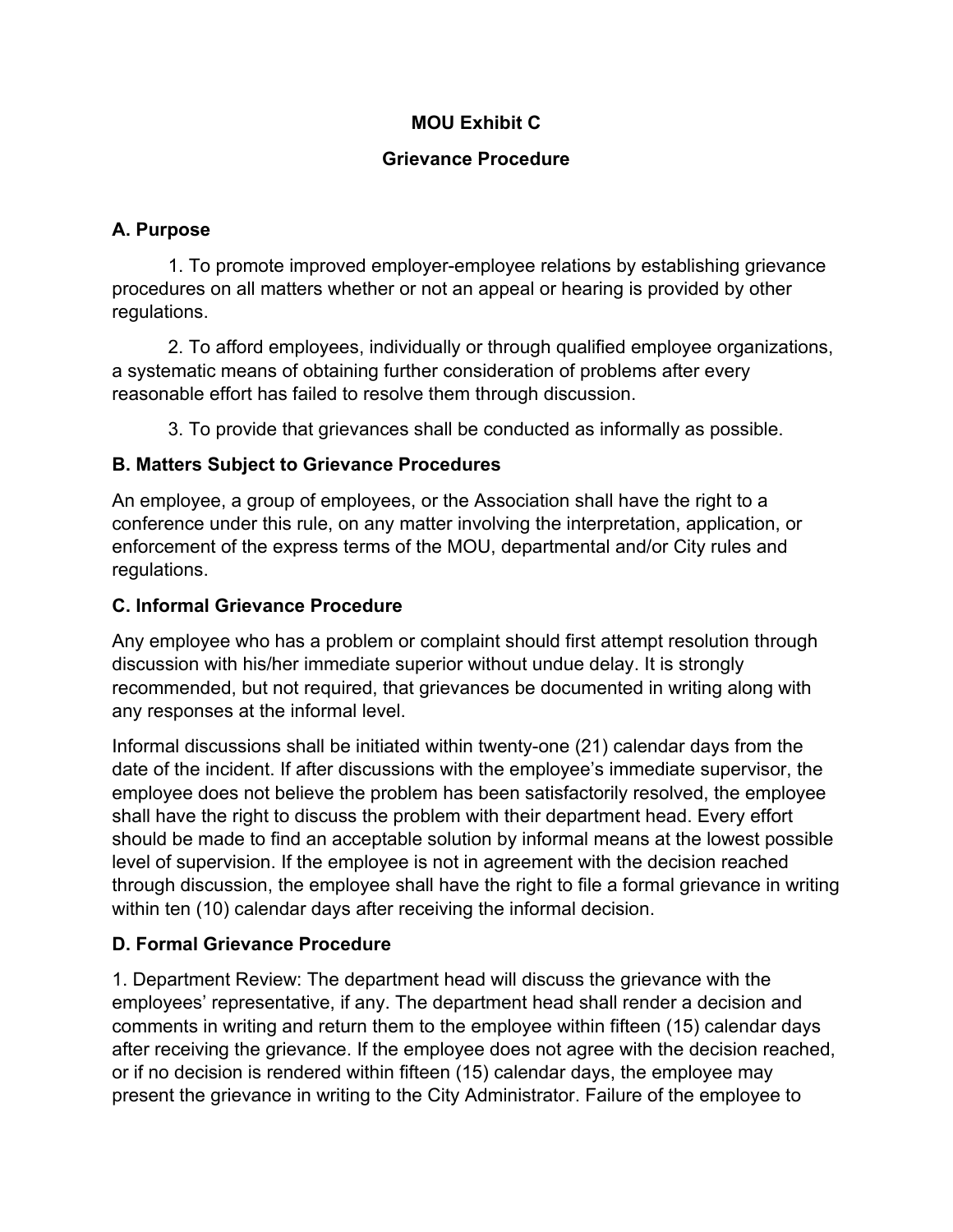# **MOU Exhibit C**

## **Grievance Procedure**

# **A. Purpose**

1. To promote improved employer-employee relations by establishing grievance procedures on all matters whether or not an appeal or hearing is provided by other regulations.

2. To afford employees, individually or through qualified employee organizations, a systematic means of obtaining further consideration of problems after every reasonable effort has failed to resolve them through discussion.

3. To provide that grievances shall be conducted as informally as possible.

# **B. Matters Subject to Grievance Procedures**

An employee, a group of employees, or the Association shall have the right to a conference under this rule, on any matter involving the interpretation, application, or enforcement of the express terms of the MOU, departmental and/or City rules and regulations.

# **C. Informal Grievance Procedure**

Any employee who has a problem or complaint should first attempt resolution through discussion with his/her immediate superior without undue delay. It is strongly recommended, but not required, that grievances be documented in writing along with any responses at the informal level.

Informal discussions shall be initiated within twenty-one (21) calendar days from the date of the incident. If after discussions with the employee's immediate supervisor, the employee does not believe the problem has been satisfactorily resolved, the employee shall have the right to discuss the problem with their department head. Every effort should be made to find an acceptable solution by informal means at the lowest possible level of supervision. If the employee is not in agreement with the decision reached through discussion, the employee shall have the right to file a formal grievance in writing within ten (10) calendar days after receiving the informal decision.

# **D. Formal Grievance Procedure**

1. Department Review: The department head will discuss the grievance with the employees' representative, if any. The department head shall render a decision and comments in writing and return them to the employee within fifteen (15) calendar days after receiving the grievance. If the employee does not agree with the decision reached, or if no decision is rendered within fifteen (15) calendar days, the employee may present the grievance in writing to the City Administrator. Failure of the employee to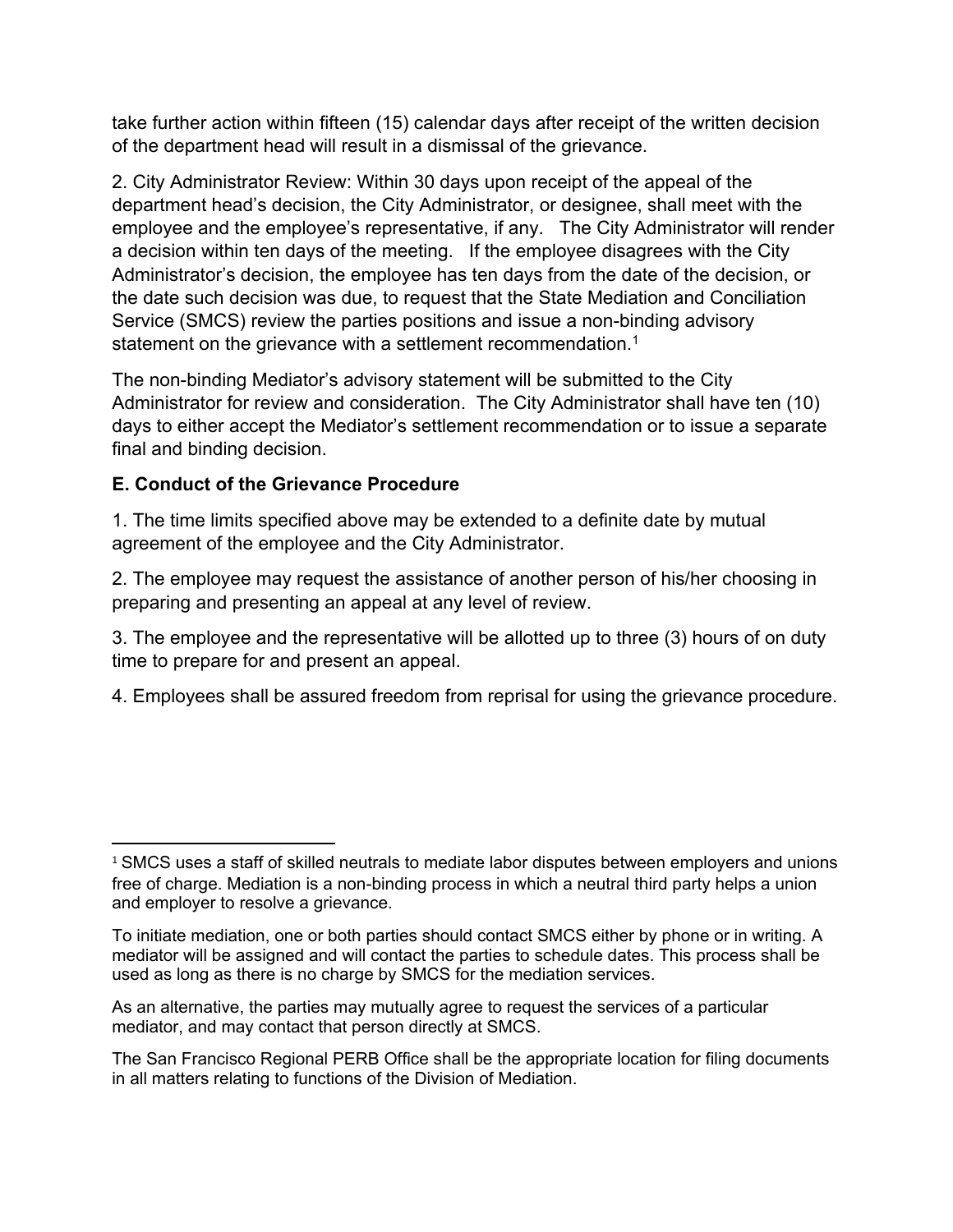take further action within fifteen (15) calendar days after receipt of the written decision of the department head will result in a dismissal of the grievance.

2. City Administrator Review: Within 30 days upon receipt of the appeal of the department head's decision, the City Administrator, or designee, shall meet with the employee and the employee's representative, if any. The City Administrator will render a decision within ten days of the meeting. If the employee disagrees with the City Administrator's decision, the employee has ten days from the date of the decision, or the date such decision was due, to request that the State Mediation and Conciliation Service (SMCS) review the parties positions and issue a non-binding advisory statement on the grievance with a settlement recommendation.<sup>1</sup>

The non-binding Mediator's advisory statement will be submitted to the City Administrator for review and consideration. The City Administrator shall have ten (10) days to either accept the Mediator's settlement recommendation or to issue a separate final and binding decision.

# **E. Conduct of the Grievance Procedure**

1. The time limits specified above may be extended to a definite date by mutual agreement of the employee and the City Administrator.

2. The employee may request the assistance of another person of his/her choosing in preparing and presenting an appeal at any level of review.

3. The employee and the representative will be allotted up to three (3) hours of on duty time to prepare for and present an appeal.

4. Employees shall be assured freedom from reprisal for using the grievance procedure.

As an alternative, the parties may mutually agree to request the services of a particular mediator, and may contact that person directly at SMCS.

The San Francisco Regional PERB Office shall be the appropriate location for filing documents in all matters relating to functions of the Division of Mediation.

<sup>&</sup>lt;sup>1</sup> SMCS uses a staff of skilled neutrals to mediate labor disputes between employers and unions free of charge. Mediation is a non-binding process in which a neutral third party helps a union and employer to resolve a grievance.

To initiate mediation, one or both parties should contact SMCS either by phone or in writing. A mediator will be assigned and will contact the parties to schedule dates. This process shall be used as long as there is no charge by SMCS for the mediation services.